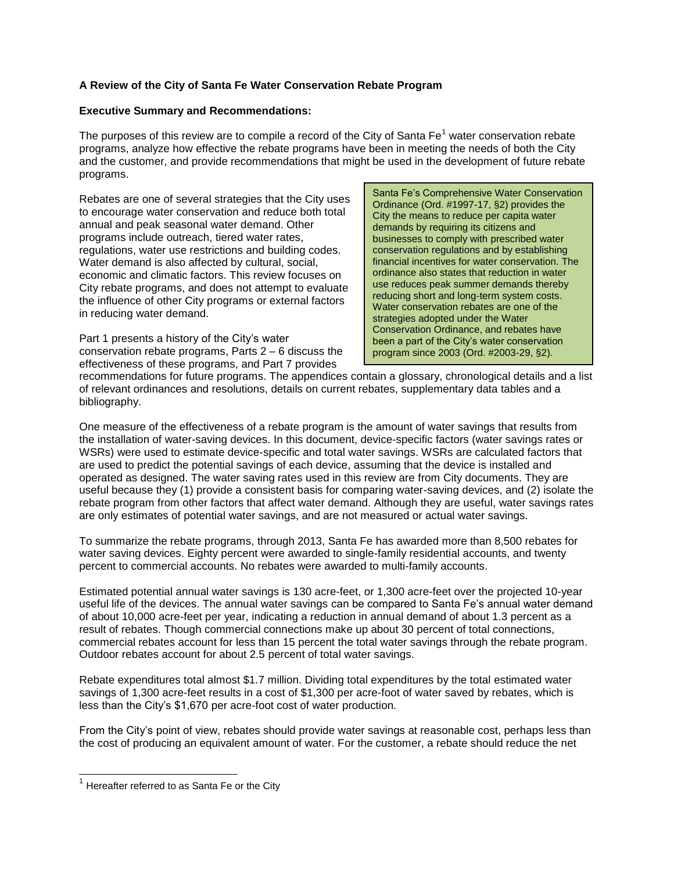## **A Review of the City of Santa Fe Water Conservation Rebate Program**

#### **Executive Summary and Recommendations:**

The purposes of this review are to compile a record of the City of Santa  $Fe<sup>1</sup>$  water conservation rebate programs, analyze how effective the rebate programs have been in meeting the needs of both the City and the customer, and provide recommendations that might be used in the development of future rebate programs.

Rebates are one of several strategies that the City uses to encourage water conservation and reduce both total annual and peak seasonal water demand. Other programs include outreach, tiered water rates, regulations, water use restrictions and building codes. Water demand is also affected by cultural, social, economic and climatic factors. This review focuses on City rebate programs, and does not attempt to evaluate the influence of other City programs or external factors in reducing water demand.

Part 1 presents a history of the City's water conservation rebate programs, Parts 2 – 6 discuss the effectiveness of these programs, and Part 7 provides

Santa Fe's Comprehensive Water Conservation Ordinance (Ord. #1997-17, §2) provides the City the means to reduce per capita water demands by requiring its citizens and businesses to comply with prescribed water conservation regulations and by establishing financial incentives for water conservation. The ordinance also states that reduction in water use reduces peak summer demands thereby reducing short and long-term system costs. Water conservation rebates are one of the strategies adopted under the Water Conservation Ordinance, and rebates have been a part of the City's water conservation program since 2003 (Ord. #2003-29, §2).

recommendations for future programs. The appendices contain a glossary, chronological details and a list of relevant ordinances and resolutions, details on current rebates, supplementary data tables and a bibliography.

One measure of the effectiveness of a rebate program is the amount of water savings that results from the installation of water-saving devices. In this document, device-specific factors (water savings rates or WSRs) were used to estimate device-specific and total water savings. WSRs are calculated factors that are used to predict the potential savings of each device, assuming that the device is installed and operated as designed. The water saving rates used in this review are from City documents. They are useful because they (1) provide a consistent basis for comparing water-saving devices, and (2) isolate the rebate program from other factors that affect water demand. Although they are useful, water savings rates are only estimates of potential water savings, and are not measured or actual water savings.

To summarize the rebate programs, through 2013, Santa Fe has awarded more than 8,500 rebates for water saving devices. Eighty percent were awarded to single-family residential accounts, and twenty percent to commercial accounts. No rebates were awarded to multi-family accounts.

Estimated potential annual water savings is 130 acre-feet, or 1,300 acre-feet over the projected 10-year useful life of the devices. The annual water savings can be compared to Santa Fe's annual water demand of about 10,000 acre-feet per year, indicating a reduction in annual demand of about 1.3 percent as a result of rebates. Though commercial connections make up about 30 percent of total connections, commercial rebates account for less than 15 percent the total water savings through the rebate program. Outdoor rebates account for about 2.5 percent of total water savings.

Rebate expenditures total almost \$1.7 million. Dividing total expenditures by the total estimated water savings of 1,300 acre-feet results in a cost of \$1,300 per acre-foot of water saved by rebates, which is less than the City's \$1,670 per acre-foot cost of water production.

From the City's point of view, rebates should provide water savings at reasonable cost, perhaps less than the cost of producing an equivalent amount of water. For the customer, a rebate should reduce the net

l

 $1$  Hereafter referred to as Santa Fe or the City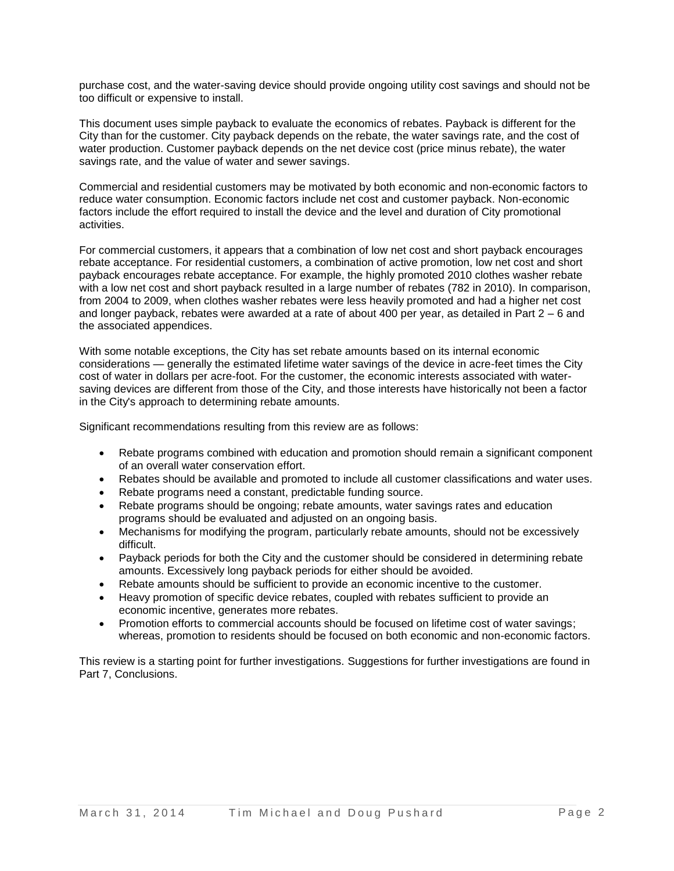purchase cost, and the water-saving device should provide ongoing utility cost savings and should not be too difficult or expensive to install.

This document uses simple payback to evaluate the economics of rebates. Payback is different for the City than for the customer. City payback depends on the rebate, the water savings rate, and the cost of water production. Customer payback depends on the net device cost (price minus rebate), the water savings rate, and the value of water and sewer savings.

Commercial and residential customers may be motivated by both economic and non-economic factors to reduce water consumption. Economic factors include net cost and customer payback. Non-economic factors include the effort required to install the device and the level and duration of City promotional activities.

For commercial customers, it appears that a combination of low net cost and short payback encourages rebate acceptance. For residential customers, a combination of active promotion, low net cost and short payback encourages rebate acceptance. For example, the highly promoted 2010 clothes washer rebate with a low net cost and short payback resulted in a large number of rebates (782 in 2010). In comparison, from 2004 to 2009, when clothes washer rebates were less heavily promoted and had a higher net cost and longer payback, rebates were awarded at a rate of about 400 per year, as detailed in Part 2 – 6 and the associated appendices.

With some notable exceptions, the City has set rebate amounts based on its internal economic considerations — generally the estimated lifetime water savings of the device in acre-feet times the City cost of water in dollars per acre-foot. For the customer, the economic interests associated with watersaving devices are different from those of the City, and those interests have historically not been a factor in the City's approach to determining rebate amounts.

Significant recommendations resulting from this review are as follows:

- Rebate programs combined with education and promotion should remain a significant component of an overall water conservation effort.
- Rebates should be available and promoted to include all customer classifications and water uses.
- Rebate programs need a constant, predictable funding source.
- Rebate programs should be ongoing; rebate amounts, water savings rates and education programs should be evaluated and adjusted on an ongoing basis.
- Mechanisms for modifying the program, particularly rebate amounts, should not be excessively difficult.
- Payback periods for both the City and the customer should be considered in determining rebate amounts. Excessively long payback periods for either should be avoided.
- Rebate amounts should be sufficient to provide an economic incentive to the customer.
- Heavy promotion of specific device rebates, coupled with rebates sufficient to provide an economic incentive, generates more rebates.
- Promotion efforts to commercial accounts should be focused on lifetime cost of water savings; whereas, promotion to residents should be focused on both economic and non-economic factors.

This review is a starting point for further investigations. Suggestions for further investigations are found in Part 7, Conclusions.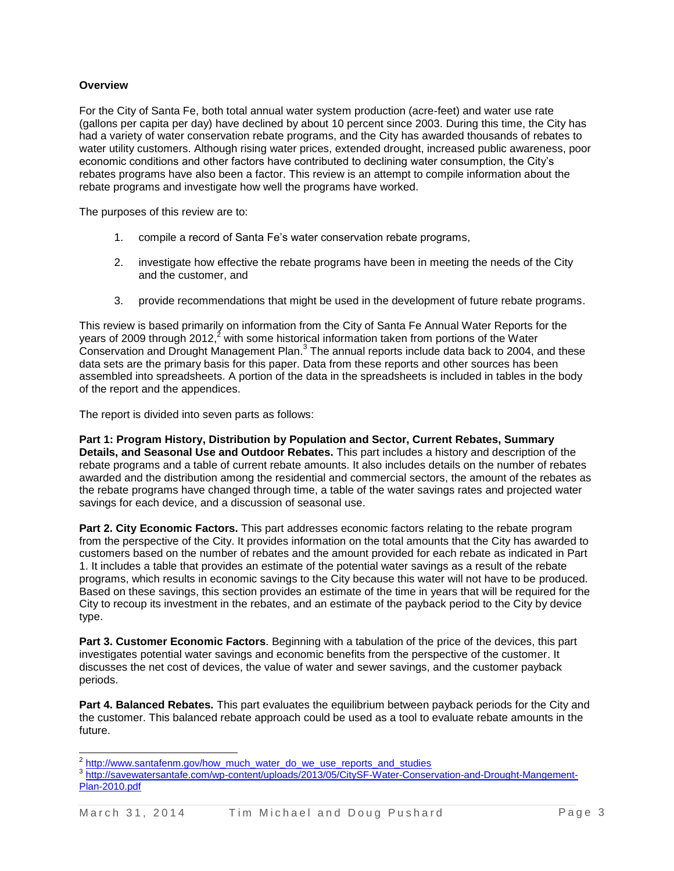### **Overview**

For the City of Santa Fe, both total annual water system production (acre-feet) and water use rate (gallons per capita per day) have declined by about 10 percent since 2003. During this time, the City has had a variety of water conservation rebate programs, and the City has awarded thousands of rebates to water utility customers. Although rising water prices, extended drought, increased public awareness, poor economic conditions and other factors have contributed to declining water consumption, the City's rebates programs have also been a factor. This review is an attempt to compile information about the rebate programs and investigate how well the programs have worked.

The purposes of this review are to:

- 1. compile a record of Santa Fe's water conservation rebate programs,
- 2. investigate how effective the rebate programs have been in meeting the needs of the City and the customer, and
- 3. provide recommendations that might be used in the development of future rebate programs.

This review is based primarily on information from the City of Santa Fe Annual Water Reports for the years of 2009 through 2012,<sup>2</sup> with some historical information taken from portions of the Water Conservation and Drought Management Plan. $3$  The annual reports include data back to 2004, and these data sets are the primary basis for this paper. Data from these reports and other sources has been assembled into spreadsheets. A portion of the data in the spreadsheets is included in tables in the body of the report and the appendices.

The report is divided into seven parts as follows:

**Part 1: Program History, Distribution by Population and Sector, Current Rebates, Summary Details, and Seasonal Use and Outdoor Rebates.** This part includes a history and description of the rebate programs and a table of current rebate amounts. It also includes details on the number of rebates awarded and the distribution among the residential and commercial sectors, the amount of the rebates as the rebate programs have changed through time, a table of the water savings rates and projected water savings for each device, and a discussion of seasonal use.

**Part 2. City Economic Factors.** This part addresses economic factors relating to the rebate program from the perspective of the City. It provides information on the total amounts that the City has awarded to customers based on the number of rebates and the amount provided for each rebate as indicated in Part 1. It includes a table that provides an estimate of the potential water savings as a result of the rebate programs, which results in economic savings to the City because this water will not have to be produced. Based on these savings, this section provides an estimate of the time in years that will be required for the City to recoup its investment in the rebates, and an estimate of the payback period to the City by device type.

**Part 3. Customer Economic Factors**. Beginning with a tabulation of the price of the devices, this part investigates potential water savings and economic benefits from the perspective of the customer. It discusses the net cost of devices, the value of water and sewer savings, and the customer payback periods.

**Part 4. Balanced Rebates.** This part evaluates the equilibrium between payback periods for the City and the customer. This balanced rebate approach could be used as a tool to evaluate rebate amounts in the future.

<sup>2&</sup>lt;br>[http://www.santafenm.gov/how\\_much\\_water\\_do\\_we\\_use\\_reports\\_and\\_studies](http://www.santafenm.gov/how_much_water_do_we_use_reports_and_studies)

<sup>&</sup>lt;sup>3</sup> [http://savewatersantafe.com/wp-content/uploads/2013/05/CitySF-Water-Conservation-and-Drought-Mangement-](http://savewatersantafe.com/wp-content/uploads/2013/05/CitySF-Water-Conservation-and-Drought-Mangement-Plan-2010.pdf)[Plan-2010.pdf](http://savewatersantafe.com/wp-content/uploads/2013/05/CitySF-Water-Conservation-and-Drought-Mangement-Plan-2010.pdf)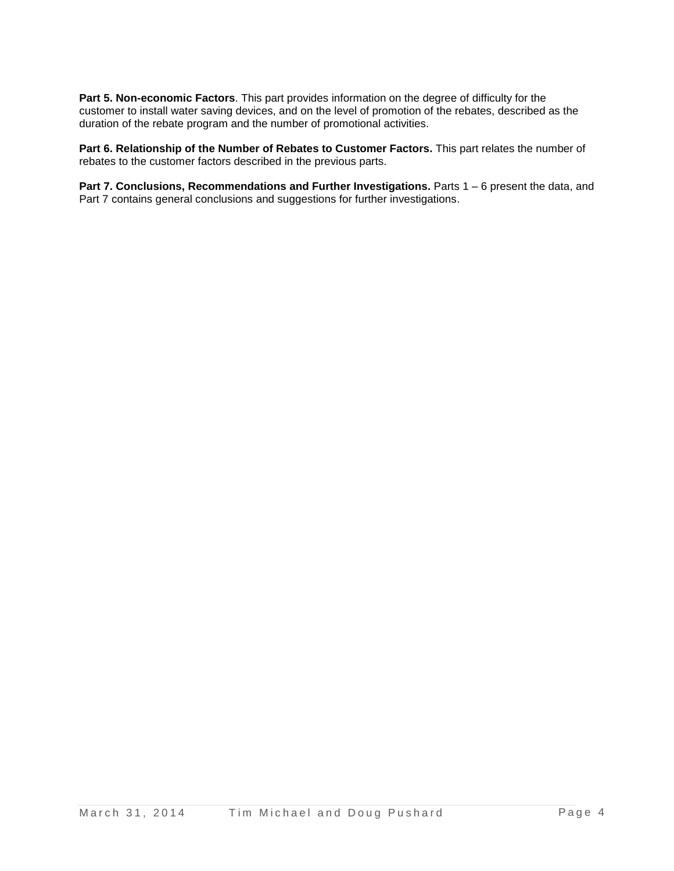**Part 5. Non-economic Factors**. This part provides information on the degree of difficulty for the customer to install water saving devices, and on the level of promotion of the rebates, described as the duration of the rebate program and the number of promotional activities.

Part 6. Relationship of the Number of Rebates to Customer Factors. This part relates the number of rebates to the customer factors described in the previous parts.

**Part 7. Conclusions, Recommendations and Further Investigations.** Parts 1 – 6 present the data, and Part 7 contains general conclusions and suggestions for further investigations.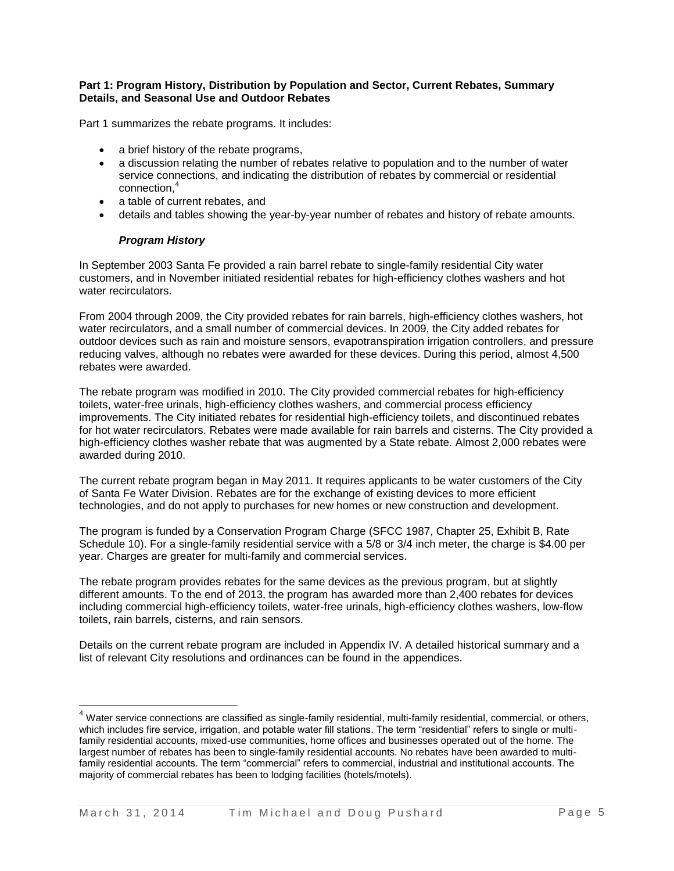#### **Part 1: Program History, Distribution by Population and Sector, Current Rebates, Summary Details, and Seasonal Use and Outdoor Rebates**

Part 1 summarizes the rebate programs. It includes:

- a brief history of the rebate programs,
- a discussion relating the number of rebates relative to population and to the number of water service connections, and indicating the distribution of rebates by commercial or residential connection, 4
- a table of current rebates, and
- details and tables showing the year-by-year number of rebates and history of rebate amounts.

#### *Program History*

j

In September 2003 Santa Fe provided a rain barrel rebate to single-family residential City water customers, and in November initiated residential rebates for high-efficiency clothes washers and hot water recirculators.

From 2004 through 2009, the City provided rebates for rain barrels, high-efficiency clothes washers, hot water recirculators, and a small number of commercial devices. In 2009, the City added rebates for outdoor devices such as rain and moisture sensors, evapotranspiration irrigation controllers, and pressure reducing valves, although no rebates were awarded for these devices. During this period, almost 4,500 rebates were awarded.

The rebate program was modified in 2010. The City provided commercial rebates for high-efficiency toilets, water-free urinals, high-efficiency clothes washers, and commercial process efficiency improvements. The City initiated rebates for residential high-efficiency toilets, and discontinued rebates for hot water recirculators. Rebates were made available for rain barrels and cisterns. The City provided a high-efficiency clothes washer rebate that was augmented by a State rebate. Almost 2,000 rebates were awarded during 2010.

The current rebate program began in May 2011. It requires applicants to be water customers of the City of Santa Fe Water Division. Rebates are for the exchange of existing devices to more efficient technologies, and do not apply to purchases for new homes or new construction and development.

The program is funded by a Conservation Program Charge (SFCC 1987, Chapter 25, Exhibit B, Rate Schedule 10). For a single-family residential service with a 5/8 or 3/4 inch meter, the charge is \$4.00 per year. Charges are greater for multi-family and commercial services.

The rebate program provides rebates for the same devices as the previous program, but at slightly different amounts. To the end of 2013, the program has awarded more than 2,400 rebates for devices including commercial high-efficiency toilets, water-free urinals, high-efficiency clothes washers, low-flow toilets, rain barrels, cisterns, and rain sensors.

Details on the current rebate program are included in Appendix IV. A detailed historical summary and a list of relevant City resolutions and ordinances can be found in the appendices.

<sup>&</sup>lt;sup>4</sup> Water service connections are classified as single-family residential, multi-family residential, commercial, or others, which includes fire service, irrigation, and potable water fill stations. The term "residential" refers to single or multifamily residential accounts, mixed-use communities, home offices and businesses operated out of the home. The largest number of rebates has been to single-family residential accounts. No rebates have been awarded to multifamily residential accounts. The term "commercial" refers to commercial, industrial and institutional accounts. The majority of commercial rebates has been to lodging facilities (hotels/motels).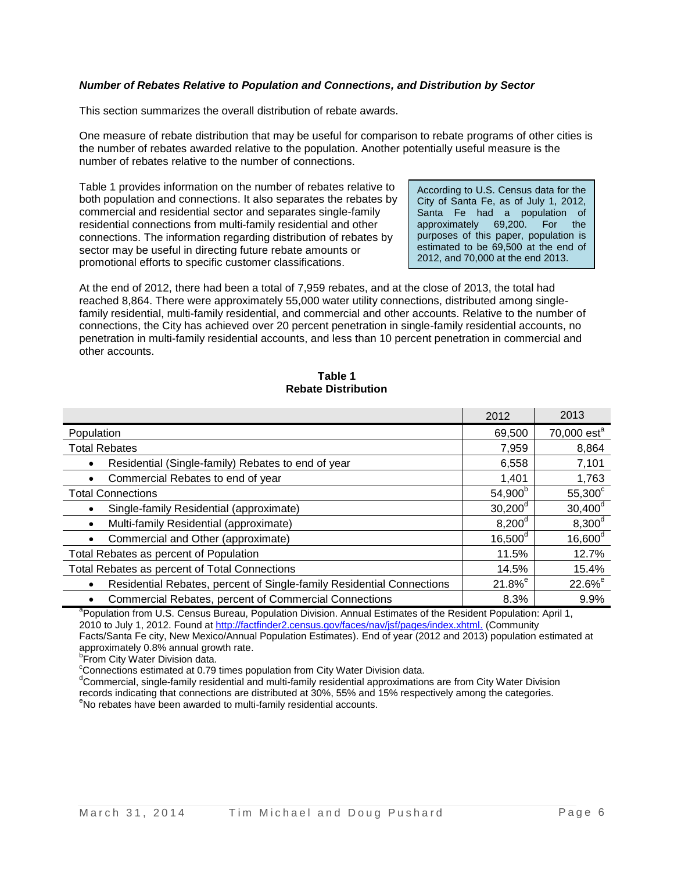### *Number of Rebates Relative to Population and Connections, and Distribution by Sector*

This section summarizes the overall distribution of rebate awards.

One measure of rebate distribution that may be useful for comparison to rebate programs of other cities is the number of rebates awarded relative to the population. Another potentially useful measure is the number of rebates relative to the number of connections.

Table 1 provides information on the number of rebates relative to both population and connections. It also separates the rebates by commercial and residential sector and separates single-family residential connections from multi-family residential and other connections. The information regarding distribution of rebates by sector may be useful in directing future rebate amounts or promotional efforts to specific customer classifications.

According to U.S. Census data for the City of Santa Fe, as of July 1, 2012, Santa Fe had a population of approximately 69,200. For the purposes of this paper, population is estimated to be 69,500 at the end of 2012, and 70,000 at the end 2013.

At the end of 2012, there had been a total of 7,959 rebates, and at the close of 2013, the total had reached 8,864. There were approximately 55,000 water utility connections, distributed among singlefamily residential, multi-family residential, and commercial and other accounts. Relative to the number of connections, the City has achieved over 20 percent penetration in single-family residential accounts, no penetration in multi-family residential accounts, and less than 10 percent penetration in commercial and other accounts.

#### **Table 1 Rebate Distribution**

|                                                                       | 2012                  | 2013                      |
|-----------------------------------------------------------------------|-----------------------|---------------------------|
| Population                                                            | 69,500                | $70,000$ est <sup>a</sup> |
| <b>Total Rebates</b>                                                  | 7,959                 | 8,864                     |
| Residential (Single-family) Rebates to end of year                    | 6,558                 | 7,101                     |
| Commercial Rebates to end of year                                     | 1,401                 | 1,763                     |
| <b>Total Connections</b>                                              | 54,900 <sup>b</sup>   | $55,300^{\circ}$          |
| Single-family Residential (approximate)                               | $30,200^{\rm d}$      | $30,400^d$                |
| Multi-family Residential (approximate)                                | $8,200^{\rm d}$       | $8,300^d$                 |
| Commercial and Other (approximate)                                    | $16,500^{\circ}$      | $16,600^d$                |
| Total Rebates as percent of Population                                | 11.5%                 | 12.7%                     |
| Total Rebates as percent of Total Connections                         | 14.5%                 | 15.4%                     |
| Residential Rebates, percent of Single-family Residential Connections | $21.8\%$ <sup>e</sup> | $22.6%$ <sup>e</sup>      |
| <b>Commercial Rebates, percent of Commercial Connections</b>          | 8.3%                  | 9.9%                      |

<sup>a</sup> Population from U.S. Census Bureau, Population Division. Annual Estimates of the Resident Population: April 1, 2010 to July 1, 2012. Found at [http://factfinder2.census.gov/faces/nav/jsf/pages/index.xhtml.](http://factfinder2.census.gov/faces/nav/jsf/pages/index.xhtml) (Community Facts/Santa Fe city, New Mexico/Annual Population Estimates). End of year (2012 and 2013) population estimated at approximately 0.8% annual growth rate.<br><sup>b</sup>From City Water Division data.

<sup>c</sup>Connections estimated at 0.79 times population from City Water Division data.

<sup>d</sup>Commercial, single-family residential and multi-family residential approximations are from City Water Division records indicating that connections are distributed at 30%, 55% and 15% respectively among the categories.

<sup>e</sup>No rebates have been awarded to multi-family residential accounts.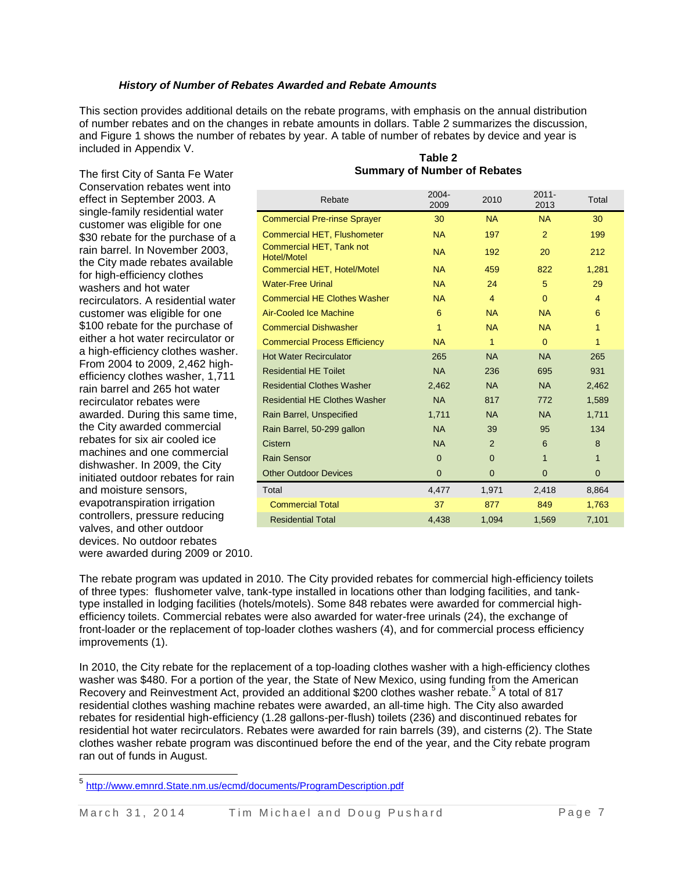#### *History of Number of Rebates Awarded and Rebate Amounts*

This section provides additional details on the rebate programs, with emphasis on the annual distribution of number rebates and on the changes in rebate amounts in dollars. Table 2 summarizes the discussion, and Figure 1 shows the number of rebates by year. A table of number of rebates by device and year is included in Appendix V.

The first City of Santa Fe Water Conservation rebates went into effect in September 2003. A single-family residential water customer was eligible for one \$30 rebate for the purchase of a rain barrel. In November 2003, the City made rebates available for high-efficiency clothes washers and hot water recirculators. A residential water customer was eligible for one \$100 rebate for the purchase of either a hot water recirculator or a high-efficiency clothes washer. From 2004 to 2009, 2,462 highefficiency clothes washer, 1,711 rain barrel and 265 hot water recirculator rebates were awarded. During this same time, the City awarded commercial rebates for six air cooled ice machines and one commercial dishwasher. In 2009, the City initiated outdoor rebates for rain and moisture sensors, evapotranspiration irrigation controllers, pressure reducing valves, and other outdoor devices. No outdoor rebates were awarded during 2009 or 2010.

l

| Rebate                                  | 2004-<br>2009  | 2010           | $2011 -$<br>2013 | Total          |
|-----------------------------------------|----------------|----------------|------------------|----------------|
| <b>Commercial Pre-rinse Sprayer</b>     | 30             | <b>NA</b>      | <b>NA</b>        | 30             |
| <b>Commercial HET, Flushometer</b>      | <b>NA</b>      | 197            | 2                | 199            |
| Commercial HET, Tank not<br>Hotel/Motel | <b>NA</b>      | 192            | 20               | 212            |
| <b>Commercial HET, Hotel/Motel</b>      | <b>NA</b>      | 459            | 822              | 1,281          |
| <b>Water-Free Urinal</b>                | <b>NA</b>      | 24             | 5                | 29             |
| <b>Commercial HE Clothes Washer</b>     | <b>NA</b>      | $\overline{4}$ | $\mathbf{0}$     | 4              |
| <b>Air-Cooled Ice Machine</b>           | 6              | <b>NA</b>      | <b>NA</b>        | 6              |
| <b>Commercial Dishwasher</b>            | 1              | <b>NA</b>      | <b>NA</b>        | 1              |
| <b>Commercial Process Efficiency</b>    | <b>NA</b>      | 1              | $\Omega$         | 1              |
| <b>Hot Water Recirculator</b>           | 265            | <b>NA</b>      | <b>NA</b>        | 265            |
| <b>Residential HE Toilet</b>            | <b>NA</b>      | 236            | 695              | 931            |
| <b>Residential Clothes Washer</b>       | 2,462          | <b>NA</b>      | <b>NA</b>        | 2,462          |
| <b>Residential HE Clothes Washer</b>    | <b>NA</b>      | 817            | 772              | 1,589          |
| Rain Barrel, Unspecified                | 1,711          | <b>NA</b>      | <b>NA</b>        | 1,711          |
| Rain Barrel, 50-299 gallon              | <b>NA</b>      | 39             | 95               | 134            |
| Cistern                                 | <b>NA</b>      | 2              | 6                | 8              |
| <b>Rain Sensor</b>                      | $\Omega$       | $\Omega$       | $\mathbf{1}$     | $\mathbf{1}$   |
| <b>Other Outdoor Devices</b>            | $\overline{0}$ | $\mathbf 0$    | $\overline{0}$   | $\overline{0}$ |
| Total                                   | 4,477          | 1,971          | 2,418            | 8,864          |
| <b>Commercial Total</b>                 | 37             | 877            | 849              | 1,763          |
| <b>Residential Total</b>                | 4.438          | 1.094          | 1.569            | 7.101          |

#### **Table 2 Summary of Number of Rebates**

The rebate program was updated in 2010. The City provided rebates for commercial high-efficiency toilets of three types: flushometer valve, tank-type installed in locations other than lodging facilities, and tanktype installed in lodging facilities (hotels/motels). Some 848 rebates were awarded for commercial highefficiency toilets. Commercial rebates were also awarded for water-free urinals (24), the exchange of front-loader or the replacement of top-loader clothes washers (4), and for commercial process efficiency improvements (1).

In 2010, the City rebate for the replacement of a top-loading clothes washer with a high-efficiency clothes washer was \$480. For a portion of the year, the State of New Mexico, using funding from the American Recovery and Reinvestment Act, provided an additional \$200 clothes washer rebate.<sup>5</sup> A total of 817 residential clothes washing machine rebates were awarded, an all-time high. The City also awarded rebates for residential high-efficiency (1.28 gallons-per-flush) toilets (236) and discontinued rebates for residential hot water recirculators. Rebates were awarded for rain barrels (39), and cisterns (2). The State clothes washer rebate program was discontinued before the end of the year, and the City rebate program ran out of funds in August.

<sup>&</sup>lt;sup>5</sup> [http://www.emnrd.State.nm.us/ecmd/documents/ProgramDescription.pdf](http://www.emnrd.state.nm.us/ecmd/documents/ProgramDescription.pdf)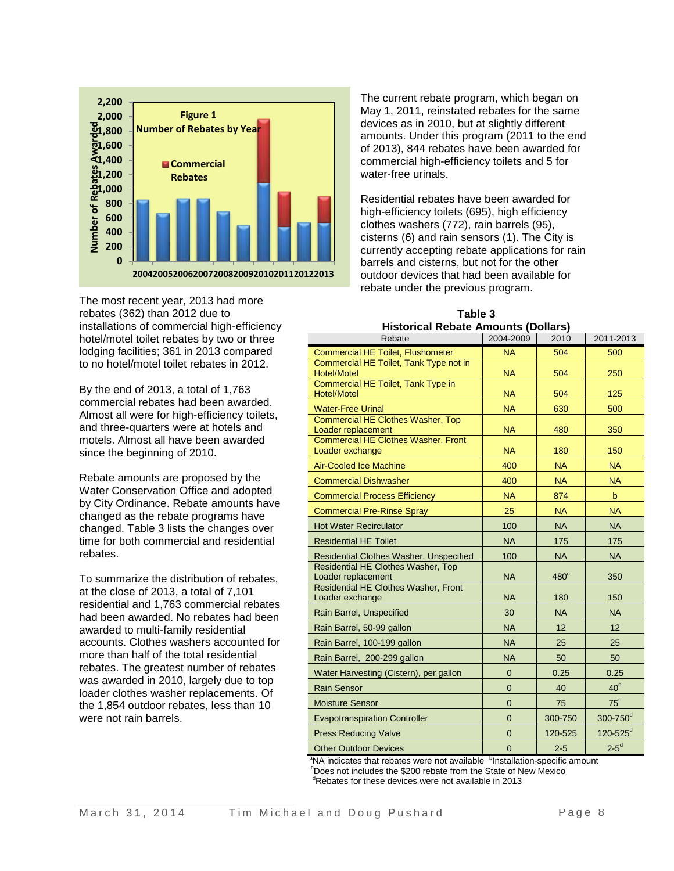

The most recent year, 2013 had more rebates (362) than 2012 due to installations of commercial high-efficiency hotel/motel toilet rebates by two or three lodging facilities; 361 in 2013 compared to no hotel/motel toilet rebates in 2012.

By the end of 2013, a total of 1,763 commercial rebates had been awarded. Almost all were for high-efficiency toilets, and three-quarters were at hotels and motels. Almost all have been awarded since the beginning of 2010.

Rebate amounts are proposed by the Water Conservation Office and adopted by City Ordinance. Rebate amounts have changed as the rebate programs have changed. Table 3 lists the changes over time for both commercial and residential rebates.

To summarize the distribution of rebates, at the close of 2013, a total of 7,101 residential and 1,763 commercial rebates had been awarded. No rebates had been awarded to multi-family residential accounts. Clothes washers accounted for more than half of the total residential rebates. The greatest number of rebates was awarded in 2010, largely due to top loader clothes washer replacements. Of the 1,854 outdoor rebates, less than 10 were not rain barrels.

The current rebate program, which began on May 1, 2011, reinstated rebates for the same devices as in 2010, but at slightly different amounts. Under this program (2011 to the end of 2013), 844 rebates have been awarded for commercial high-efficiency toilets and 5 for water-free urinals.

Residential rebates have been awarded for high-efficiency toilets (695), high efficiency clothes washers (772), rain barrels (95), cisterns (6) and rain sensors (1). The City is currently accepting rebate applications for rain barrels and cisterns, but not for the other outdoor devices that had been available for rebate under the previous program.

|                                     | Table 3    |  |  |  |  |
|-------------------------------------|------------|--|--|--|--|
| Historical Rebate Amounts (Dollars) |            |  |  |  |  |
| - -                                 | 1.22212221 |  |  |  |  |

| Rebate                                                        | 2004-2009      | 2010        | 2011-2013                |
|---------------------------------------------------------------|----------------|-------------|--------------------------|
| <b>Commercial HE Toilet, Flushometer</b>                      | <b>NA</b>      | 504         | 500                      |
| Commercial HE Toilet, Tank Type not in<br><b>Hotel/Motel</b>  | <b>NA</b>      | 504         | 250                      |
| Commercial HE Toilet, Tank Type in<br><b>Hotel/Motel</b>      | <b>NA</b>      | 504         | 125                      |
| <b>Water-Free Urinal</b>                                      | <b>NA</b>      | 630         | 500                      |
| Commercial HE Clothes Washer, Top<br>Loader replacement       | <b>NA</b>      | 480         | 350                      |
| <b>Commercial HE Clothes Washer, Front</b><br>Loader exchange | <b>NA</b>      | 180         | 150                      |
| <b>Air-Cooled Ice Machine</b>                                 | 400            | <b>NA</b>   | <b>NA</b>                |
| <b>Commercial Dishwasher</b>                                  | 400            | <b>NA</b>   | <b>NA</b>                |
| <b>Commercial Process Efficiency</b>                          | <b>NA</b>      | 874         | $\mathbf b$              |
| <b>Commercial Pre-Rinse Spray</b>                             | 25             | <b>NA</b>   | <b>NA</b>                |
| <b>Hot Water Recirculator</b>                                 | 100            | <b>NA</b>   | <b>NA</b>                |
| <b>Residential HE Toilet</b>                                  | <b>NA</b>      | 175         | 175                      |
| Residential Clothes Washer, Unspecified                       | 100            | <b>NA</b>   | <b>NA</b>                |
| Residential HE Clothes Washer, Top<br>Loader replacement      | <b>NA</b>      | $480^\circ$ | 350                      |
| Residential HE Clothes Washer, Front<br>Loader exchange       | <b>NA</b>      | 180         | 150                      |
| Rain Barrel, Unspecified                                      | 30             | <b>NA</b>   | <b>NA</b>                |
| Rain Barrel, 50-99 gallon                                     | <b>NA</b>      | 12          | 12                       |
| Rain Barrel, 100-199 gallon                                   | <b>NA</b>      | 25          | 25                       |
| Rain Barrel, 200-299 gallon                                   | <b>NA</b>      | 50          | 50                       |
| Water Harvesting (Cistern), per gallon                        | $\overline{0}$ | 0.25        | 0.25                     |
| <b>Rain Sensor</b>                                            | 0              | 40          | 40 <sup>d</sup>          |
| <b>Moisture Sensor</b>                                        | $\overline{0}$ | 75          | $75^d$                   |
| <b>Evapotranspiration Controller</b>                          | $\overline{0}$ | 300-750     | 300-750 <sup>d</sup>     |
| <b>Press Reducing Valve</b>                                   | $\overline{0}$ | 120-525     | $120 - 525$ <sup>d</sup> |
| <b>Other Outdoor Devices</b>                                  | $\mathbf 0$    | $2 - 5$     | $2-5^d$                  |

 $a<sup>b</sup>$  indicates that rebates were not available  $b<sup>b</sup>$  Installation-specific amount  $\degree$ Does not includes the \$200 rebate from the State of New Mexico

<sup>d</sup>Rebates for these devices were not available in 2013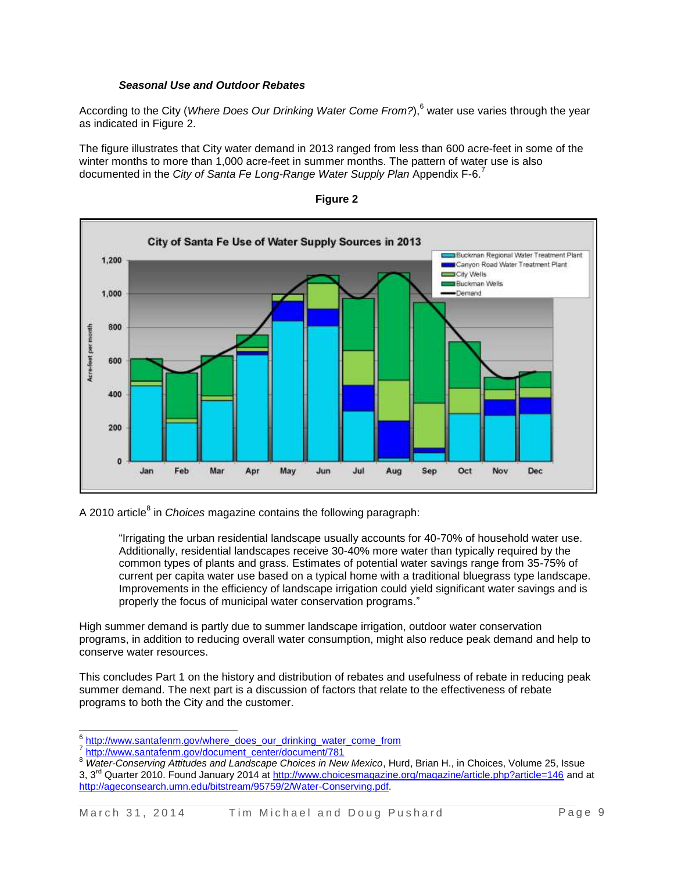#### *Seasonal Use and Outdoor Rebates*

According to the City (*Where Does Our Drinking Water Come From?*), <sup>6</sup> water use varies through the year as indicated in Figure 2.

The figure illustrates that City water demand in 2013 ranged from less than 600 acre-feet in some of the winter months to more than 1,000 acre-feet in summer months. The pattern of water use is also documented in the *City of Santa Fe Long-Range Water Supply Plan* Appendix F-6.<sup>7</sup>





A 2010 article<sup>8</sup> in *Choices* magazine contains the following paragraph:

"Irrigating the urban residential landscape usually accounts for 40-70% of household water use. Additionally, residential landscapes receive 30-40% more water than typically required by the common types of plants and grass. Estimates of potential water savings range from 35-75% of current per capita water use based on a typical home with a traditional bluegrass type landscape. Improvements in the efficiency of landscape irrigation could yield significant water savings and is properly the focus of municipal water conservation programs."

High summer demand is partly due to summer landscape irrigation, outdoor water conservation programs, in addition to reducing overall water consumption, might also reduce peak demand and help to conserve water resources.

This concludes Part 1 on the history and distribution of rebates and usefulness of rebate in reducing peak summer demand. The next part is a discussion of factors that relate to the effectiveness of rebate programs to both the City and the customer.

e<br><sup>6</sup> [http://www.santafenm.gov/where\\_does\\_our\\_drinking\\_water\\_come\\_from](http://www.santafenm.gov/where_does_our_drinking_water_come_from) 7

[http://www.santafenm.gov/document\\_center/document/781](http://www.santafenm.gov/document_center/document/781)

<sup>8</sup> *Water-Conserving Attitudes and Landscape Choices in New Mexico*, Hurd, Brian H., in Choices, Volume 25, Issue 3, 3<sup>rd</sup> Quarter 2010. Found January 2014 at<http://www.choicesmagazine.org/magazine/article.php?article=146> and at [http://ageconsearch.umn.edu/bitstream/95759/2/Water-Conserving.pdf.](http://ageconsearch.umn.edu/bitstream/95759/2/Water-Conserving.pdf)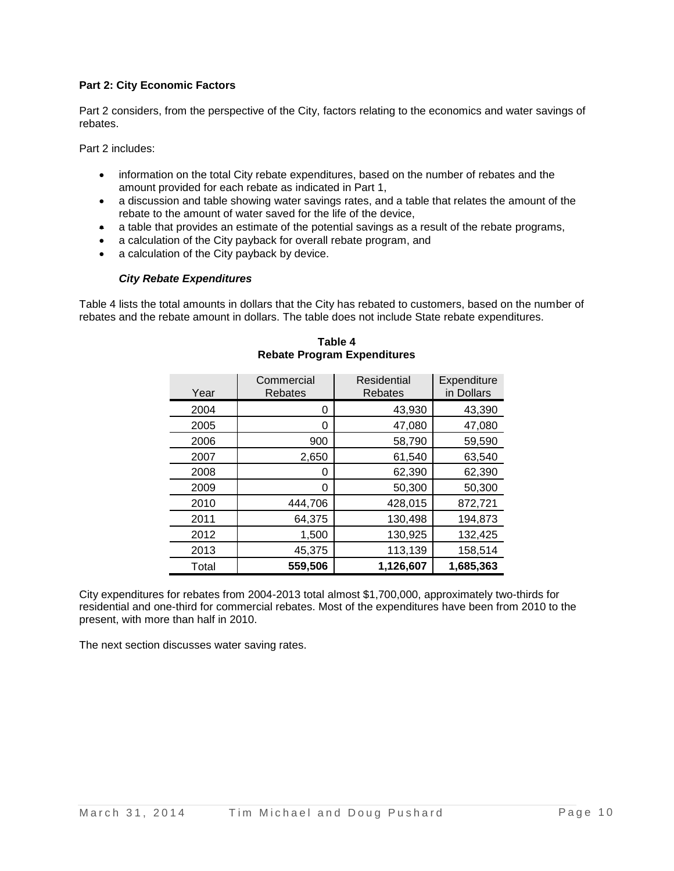## **Part 2: City Economic Factors**

Part 2 considers, from the perspective of the City, factors relating to the economics and water savings of rebates.

Part 2 includes:

- information on the total City rebate expenditures, based on the number of rebates and the amount provided for each rebate as indicated in Part 1,
- a discussion and table showing water savings rates, and a table that relates the amount of the rebate to the amount of water saved for the life of the device,
- a table that provides an estimate of the potential savings as a result of the rebate programs,
- a calculation of the City payback for overall rebate program, and
- a calculation of the City payback by device.

#### *City Rebate Expenditures*

Table 4 lists the total amounts in dollars that the City has rebated to customers, based on the number of rebates and the rebate amount in dollars. The table does not include State rebate expenditures.

| Year  | Commercial<br><b>Rebates</b> | Residential<br><b>Rebates</b> | Expenditure<br>in Dollars |
|-------|------------------------------|-------------------------------|---------------------------|
| 2004  | 0                            | 43,930                        | 43,390                    |
| 2005  | 0                            | 47,080                        | 47,080                    |
| 2006  | 900                          | 58,790                        | 59,590                    |
| 2007  | 2,650                        | 61,540                        | 63,540                    |
| 2008  | 0                            | 62,390                        | 62,390                    |
| 2009  | 0                            | 50,300                        | 50,300                    |
| 2010  | 444,706                      | 428,015                       | 872,721                   |
| 2011  | 64,375                       | 130,498                       | 194,873                   |
| 2012  | 1,500                        | 130,925                       | 132,425                   |
| 2013  | 45,375                       | 113,139                       | 158,514                   |
| Total | 559,506                      | 1,126,607                     | 1,685,363                 |

**Table 4 Rebate Program Expenditures**

City expenditures for rebates from 2004-2013 total almost \$1,700,000, approximately two-thirds for residential and one-third for commercial rebates. Most of the expenditures have been from 2010 to the present, with more than half in 2010.

The next section discusses water saving rates.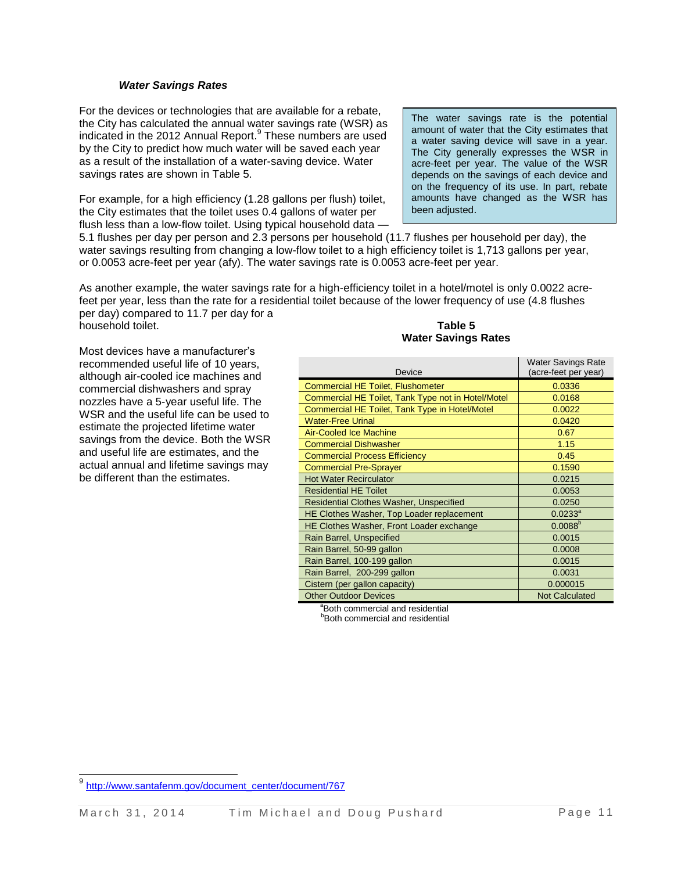#### *Water Savings Rates*

For the devices or technologies that are available for a rebate, the City has calculated the annual water savings rate (WSR) as indicated in the 2012 Annual Report. 9 These numbers are used by the City to predict how much water will be saved each year as a result of the installation of a water-saving device. Water savings rates are shown in Table 5.

For example, for a high efficiency (1.28 gallons per flush) toilet, the City estimates that the toilet uses 0.4 gallons of water per flush less than a low-flow toilet. Using typical household data -

The water savings rate is the potential amount of water that the City estimates that a water saving device will save in a year. The City generally expresses the WSR in acre-feet per year. The value of the WSR depends on the savings of each device and on the frequency of its use. In part, rebate amounts have changed as the WSR has been adjusted.

5.1 flushes per day per person and 2.3 persons per household (11.7 flushes per household per day), the water savings resulting from changing a low-flow toilet to a high efficiency toilet is 1,713 gallons per year, or 0.0053 acre-feet per year (afy). The water savings rate is 0.0053 acre-feet per year.

As another example, the water savings rate for a high-efficiency toilet in a hotel/motel is only 0.0022 acrefeet per year, less than the rate for a residential toilet because of the lower frequency of use (4.8 flushes per day) compared to 11.7 per day for a

household toilet.

Most devices have a manufacturer's recommended useful life of 10 years, although air-cooled ice machines and commercial dishwashers and spray nozzles have a 5-year useful life. The WSR and the useful life can be used to estimate the projected lifetime water savings from the device. Both the WSR and useful life are estimates, and the actual annual and lifetime savings may be different than the estimates.

#### **Table 5 Water Savings Rates**

| Device                                             | <b>Water Savings Rate</b><br>(acre-feet per year) |
|----------------------------------------------------|---------------------------------------------------|
| <b>Commercial HE Toilet, Flushometer</b>           | 0.0336                                            |
| Commercial HE Toilet, Tank Type not in Hotel/Motel | 0.0168                                            |
| Commercial HE Toilet, Tank Type in Hotel/Motel     | 0.0022                                            |
| <b>Water-Free Urinal</b>                           | 0.0420                                            |
| <b>Air-Cooled Ice Machine</b>                      | 0.67                                              |
| <b>Commercial Dishwasher</b>                       | 1.15                                              |
| <b>Commercial Process Efficiency</b>               | 0.45                                              |
| <b>Commercial Pre-Sprayer</b>                      | 0.1590                                            |
| <b>Hot Water Recirculator</b>                      | 0.0215                                            |
| <b>Residential HE Toilet</b>                       | 0.0053                                            |
| <b>Residential Clothes Washer, Unspecified</b>     | 0.0250                                            |
| HE Clothes Washer, Top Loader replacement          | $0.0233^{a}$                                      |
| HE Clothes Washer, Front Loader exchange           | $0.0088^{b}$                                      |
| Rain Barrel, Unspecified                           | 0.0015                                            |
| Rain Barrel, 50-99 gallon                          | 0.0008                                            |
| Rain Barrel, 100-199 gallon                        | 0.0015                                            |
| Rain Barrel, 200-299 gallon                        | 0.0031                                            |
| Cistern (per gallon capacity)                      | 0.000015                                          |
| <b>Other Outdoor Devices</b>                       | <b>Not Calculated</b>                             |

<sup>a</sup>Both commercial and residential

**Both commercial and residential** 

l

<sup>9&</sup>lt;br>[http://www.santafenm.gov/document\\_center/document/767](http://www.santafenm.gov/document_center/document/767)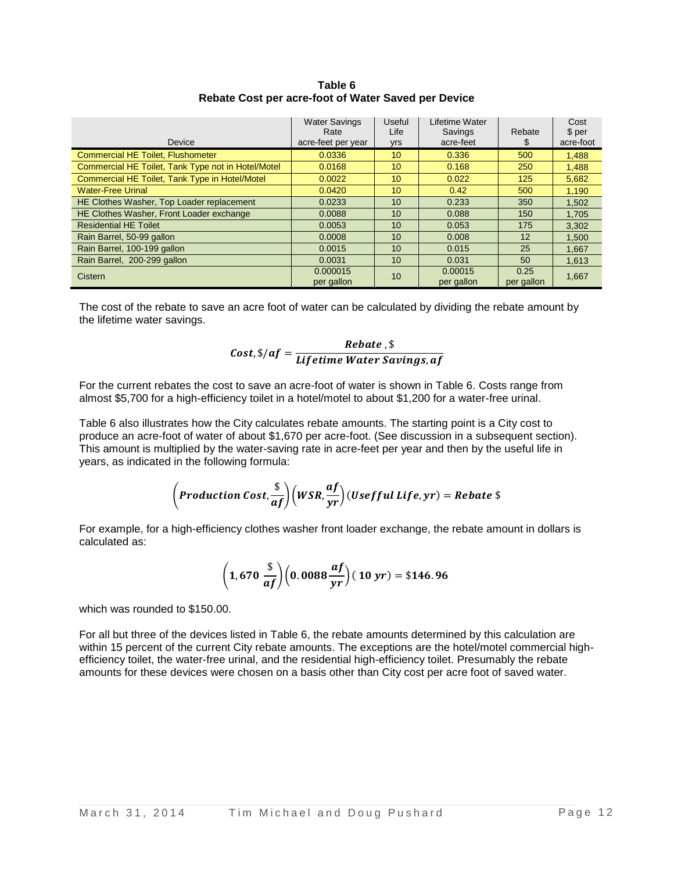| Device                                             | <b>Water Savings</b><br>Rate<br>acre-feet per year | Useful<br>Life<br>yrs | Lifetime Water<br>Savings<br>acre-feet | Rebate<br>P.       | Cost<br>\$ per<br>acre-foot |
|----------------------------------------------------|----------------------------------------------------|-----------------------|----------------------------------------|--------------------|-----------------------------|
| <b>Commercial HE Toilet, Flushometer</b>           | 0.0336                                             | 10                    | 0.336                                  | 500                | 1.488                       |
| Commercial HE Toilet, Tank Type not in Hotel/Motel | 0.0168                                             | 10                    | 0.168                                  | 250                | 1.488                       |
| Commercial HE Toilet, Tank Type in Hotel/Motel     | 0.0022                                             | 10                    | 0.022                                  | 125                | 5.682                       |
| <b>Water-Free Urinal</b>                           | 0.0420                                             | 10                    | 0.42                                   | 500                | 1.190                       |
| HE Clothes Washer, Top Loader replacement          | 0.0233                                             | 10                    | 0.233                                  | 350                | 1.502                       |
| HE Clothes Washer, Front Loader exchange           | 0.0088                                             | 10                    | 0.088                                  | 150                | 1,705                       |
| <b>Residential HE Toilet</b>                       | 0.0053                                             | 10                    | 0.053                                  | 175                | 3,302                       |
| Rain Barrel, 50-99 gallon                          | 0.0008                                             | 10                    | 0.008                                  | 12                 | 1,500                       |
| Rain Barrel, 100-199 gallon                        | 0.0015                                             | 10                    | 0.015                                  | 25                 | 1,667                       |
| Rain Barrel, 200-299 gallon                        | 0.0031                                             | 10                    | 0.031                                  | 50                 | 1,613                       |
| Cistern                                            | 0.000015<br>per gallon                             | 10                    | 0.00015<br>per gallon                  | 0.25<br>per gallon | 1,667                       |

**Table 6 Rebate Cost per acre-foot of Water Saved per Device**

The cost of the rebate to save an acre foot of water can be calculated by dividing the rebate amount by the lifetime water savings.

$$
Cost, \$/af = \frac{Rebate}{Lifetime Water Savings, af}
$$

For the current rebates the cost to save an acre-foot of water is shown in Table 6. Costs range from almost \$5,700 for a high-efficiency toilet in a hotel/motel to about \$1,200 for a water-free urinal.

Table 6 also illustrates how the City calculates rebate amounts. The starting point is a City cost to produce an acre-foot of water of about \$1,670 per acre-foot. (See discussion in a subsequent section). This amount is multiplied by the water-saving rate in acre-feet per year and then by the useful life in years, as indicated in the following formula:

$$
\left( Production\;Cost, \frac{\$}{af}\right)\left(WSR, \frac{af}{yr}\right)(Usefful\;Life, yr) = Rebate\;\$
$$

For example, for a high-efficiency clothes washer front loader exchange, the rebate amount in dollars is calculated as:

$$
\left(1,670\frac{\$}{af}\right)\left(0.0088\frac{af}{yr}\right)(10\,yr)=\$146.96
$$

which was rounded to \$150.00.

For all but three of the devices listed in Table 6, the rebate amounts determined by this calculation are within 15 percent of the current City rebate amounts. The exceptions are the hotel/motel commercial highefficiency toilet, the water-free urinal, and the residential high-efficiency toilet. Presumably the rebate amounts for these devices were chosen on a basis other than City cost per acre foot of saved water.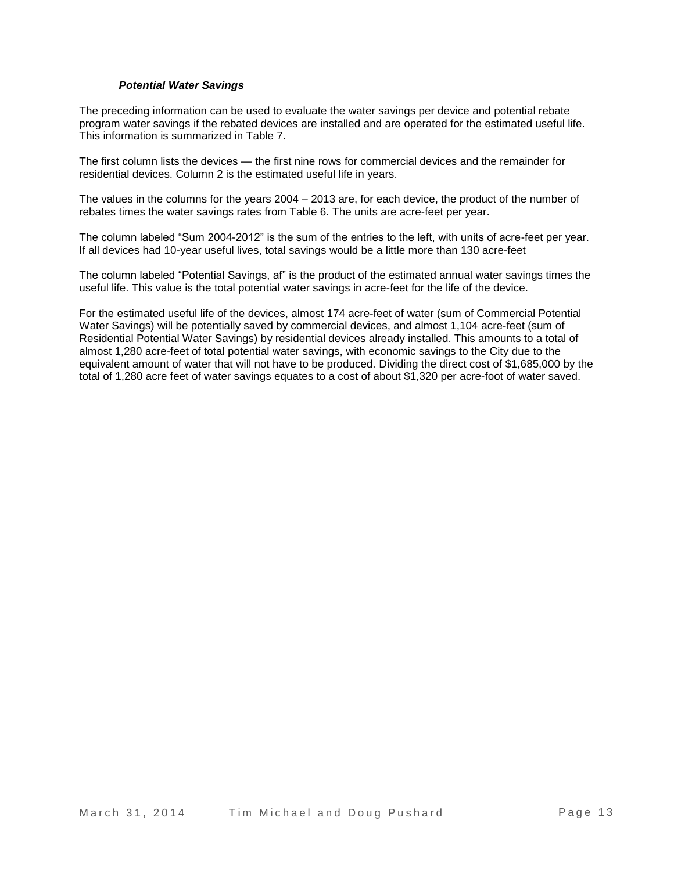## *Potential Water Savings*

The preceding information can be used to evaluate the water savings per device and potential rebate program water savings if the rebated devices are installed and are operated for the estimated useful life. This information is summarized in Table 7.

The first column lists the devices — the first nine rows for commercial devices and the remainder for residential devices. Column 2 is the estimated useful life in years.

The values in the columns for the years 2004 – 2013 are, for each device, the product of the number of rebates times the water savings rates from Table 6. The units are acre-feet per year.

The column labeled "Sum 2004-2012" is the sum of the entries to the left, with units of acre-feet per year. If all devices had 10-year useful lives, total savings would be a little more than 130 acre-feet

The column labeled "Potential Savings, af" is the product of the estimated annual water savings times the useful life. This value is the total potential water savings in acre-feet for the life of the device.

For the estimated useful life of the devices, almost 174 acre-feet of water (sum of Commercial Potential Water Savings) will be potentially saved by commercial devices, and almost 1,104 acre-feet (sum of Residential Potential Water Savings) by residential devices already installed. This amounts to a total of almost 1,280 acre-feet of total potential water savings, with economic savings to the City due to the equivalent amount of water that will not have to be produced. Dividing the direct cost of \$1,685,000 by the total of 1,280 acre feet of water savings equates to a cost of about \$1,320 per acre-foot of water saved.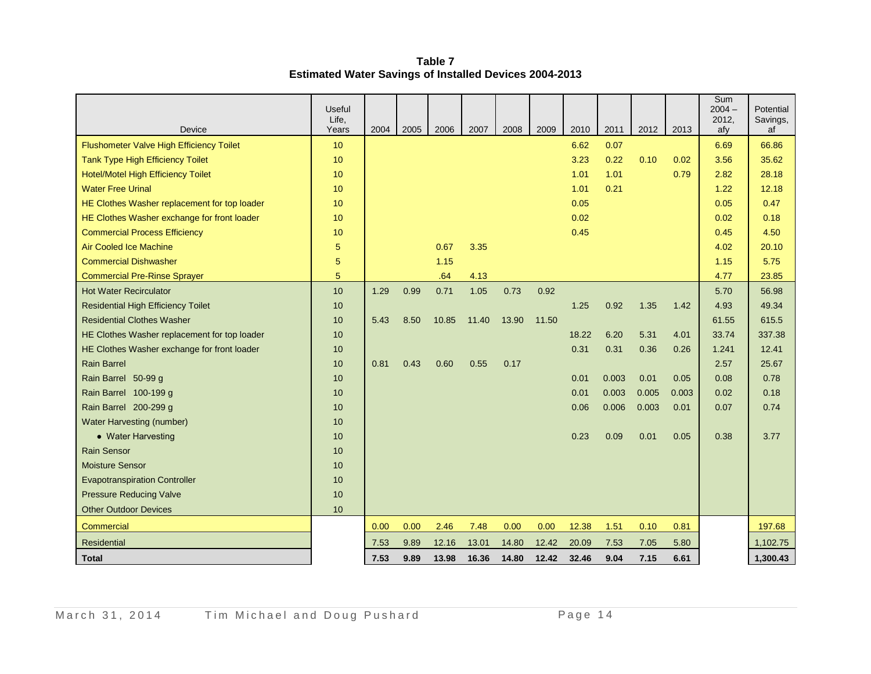**Table 7 Estimated Water Savings of Installed Devices 2004-2013**

|                                              | <b>Useful</b><br>Life, |      |      |       |       |       |       |       |       |       |       | Sum<br>$2004 -$<br>2012, | Potential<br>Savings, |
|----------------------------------------------|------------------------|------|------|-------|-------|-------|-------|-------|-------|-------|-------|--------------------------|-----------------------|
| Device                                       | Years                  | 2004 | 2005 | 2006  | 2007  | 2008  | 2009  | 2010  | 2011  | 2012  | 2013  | afy                      | af                    |
| Flushometer Valve High Efficiency Toilet     | 10                     |      |      |       |       |       |       | 6.62  | 0.07  |       |       | 6.69                     | 66.86                 |
| <b>Tank Type High Efficiency Toilet</b>      | 10                     |      |      |       |       |       |       | 3.23  | 0.22  | 0.10  | 0.02  | 3.56                     | 35.62                 |
| <b>Hotel/Motel High Efficiency Toilet</b>    | 10                     |      |      |       |       |       |       | 1.01  | 1.01  |       | 0.79  | 2.82                     | 28.18                 |
| <b>Water Free Urinal</b>                     | 10                     |      |      |       |       |       |       | 1.01  | 0.21  |       |       | 1.22                     | 12.18                 |
| HE Clothes Washer replacement for top loader | 10                     |      |      |       |       |       |       | 0.05  |       |       |       | 0.05                     | 0.47                  |
| HE Clothes Washer exchange for front loader  | 10                     |      |      |       |       |       |       | 0.02  |       |       |       | 0.02                     | 0.18                  |
| <b>Commercial Process Efficiency</b>         | 10                     |      |      |       |       |       |       | 0.45  |       |       |       | 0.45                     | 4.50                  |
| <b>Air Cooled Ice Machine</b>                | 5                      |      |      | 0.67  | 3.35  |       |       |       |       |       |       | 4.02                     | 20.10                 |
| <b>Commercial Dishwasher</b>                 | 5                      |      |      | 1.15  |       |       |       |       |       |       |       | 1.15                     | 5.75                  |
| <b>Commercial Pre-Rinse Sprayer</b>          | 5                      |      |      | .64   | 4.13  |       |       |       |       |       |       | 4.77                     | 23.85                 |
| <b>Hot Water Recirculator</b>                | 10                     | 1.29 | 0.99 | 0.71  | 1.05  | 0.73  | 0.92  |       |       |       |       | 5.70                     | 56.98                 |
| <b>Residential High Efficiency Toilet</b>    | 10 <sup>1</sup>        |      |      |       |       |       |       | 1.25  | 0.92  | 1.35  | 1.42  | 4.93                     | 49.34                 |
| <b>Residential Clothes Washer</b>            | 10                     | 5.43 | 8.50 | 10.85 | 11.40 | 13.90 | 11.50 |       |       |       |       | 61.55                    | 615.5                 |
| HE Clothes Washer replacement for top loader | 10                     |      |      |       |       |       |       | 18.22 | 6.20  | 5.31  | 4.01  | 33.74                    | 337.38                |
| HE Clothes Washer exchange for front loader  | 10                     |      |      |       |       |       |       | 0.31  | 0.31  | 0.36  | 0.26  | 1.241                    | 12.41                 |
| <b>Rain Barrel</b>                           | 10                     | 0.81 | 0.43 | 0.60  | 0.55  | 0.17  |       |       |       |       |       | 2.57                     | 25.67                 |
| Rain Barrel 50-99 g                          | 10                     |      |      |       |       |       |       | 0.01  | 0.003 | 0.01  | 0.05  | 0.08                     | 0.78                  |
| Rain Barrel 100-199 g                        | 10                     |      |      |       |       |       |       | 0.01  | 0.003 | 0.005 | 0.003 | 0.02                     | 0.18                  |
| Rain Barrel 200-299 g                        | 10                     |      |      |       |       |       |       | 0.06  | 0.006 | 0.003 | 0.01  | 0.07                     | 0.74                  |
| <b>Water Harvesting (number)</b>             | 10                     |      |      |       |       |       |       |       |       |       |       |                          |                       |
| • Water Harvesting                           | 10                     |      |      |       |       |       |       | 0.23  | 0.09  | 0.01  | 0.05  | 0.38                     | 3.77                  |
| <b>Rain Sensor</b>                           | 10                     |      |      |       |       |       |       |       |       |       |       |                          |                       |
| <b>Moisture Sensor</b>                       | 10                     |      |      |       |       |       |       |       |       |       |       |                          |                       |
| <b>Evapotranspiration Controller</b>         | 10                     |      |      |       |       |       |       |       |       |       |       |                          |                       |
| <b>Pressure Reducing Valve</b>               | 10                     |      |      |       |       |       |       |       |       |       |       |                          |                       |
| <b>Other Outdoor Devices</b>                 | 10                     |      |      |       |       |       |       |       |       |       |       |                          |                       |
| Commercial                                   |                        | 0.00 | 0.00 | 2.46  | 7.48  | 0.00  | 0.00  | 12.38 | 1.51  | 0.10  | 0.81  |                          | 197.68                |
| Residential                                  |                        | 7.53 | 9.89 | 12.16 | 13.01 | 14.80 | 12.42 | 20.09 | 7.53  | 7.05  | 5.80  |                          | 1,102.75              |
| <b>Total</b>                                 |                        | 7.53 | 9.89 | 13.98 | 16.36 | 14.80 | 12.42 | 32.46 | 9.04  | 7.15  | 6.61  |                          | 1,300.43              |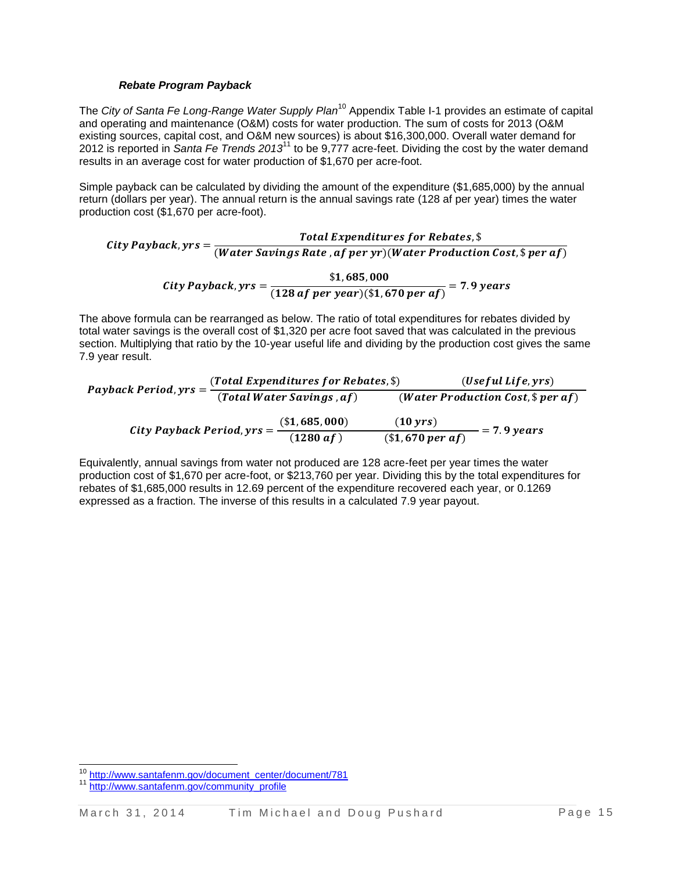#### *Rebate Program Payback*

The *City of Santa Fe Long-Range Water Supply Plan*<sup>10</sup> Appendix Table I-1 provides an estimate of capital and operating and maintenance (O&M) costs for water production. The sum of costs for 2013 (O&M existing sources, capital cost, and O&M new sources) is about \$16,300,000. Overall water demand for 2012 is reported in *Santa Fe Trends 2013* <sup>11</sup> to be 9,777 acre-feet. Dividing the cost by the water demand results in an average cost for water production of \$1,670 per acre-foot.

Simple payback can be calculated by dividing the amount of the expenditure (\$1,685,000) by the annual return (dollars per year). The annual return is the annual savings rate (128 af per year) times the water production cost (\$1,670 per acre-foot).

City Payback, yrs =  $\frac{T}{\sqrt{M}}$ (Water Savings Rate , af per yr) (Water Production Cost,  $\$$  per af) City Payback, yrs =  $\frac{\$}{\sqrt{120}}$  $\frac{1}{(128 \text{ af } per \text{ year})(\$1,670 \text{ per af})} =$ 

The above formula can be rearranged as below. The ratio of total expenditures for rebates divided by total water savings is the overall cost of \$1,320 per acre foot saved that was calculated in the previous section. Multiplying that ratio by the 10-year useful life and dividing by the production cost gives the same 7.9 year result.

| Payback Period, yrs =          | (Total Expenditures for Rebates, \$) |                                      | (Useful Life, yrs) |  |  |
|--------------------------------|--------------------------------------|--------------------------------------|--------------------|--|--|
|                                | (Total Water Savings, af)            | (Water Production Cost, $\$$ per af) |                    |  |  |
| City Payback Period, $yrs = -$ | (\$1,685,000)                        | $(10 \gamma rs)$                     | $= 7.9 \, years$   |  |  |
|                                | (1280 af)                            | $($1,670 \text{ per af})$            |                    |  |  |

Equivalently, annual savings from water not produced are 128 acre-feet per year times the water production cost of \$1,670 per acre-foot, or \$213,760 per year. Dividing this by the total expenditures for rebates of \$1,685,000 results in 12.69 percent of the expenditure recovered each year, or 0.1269 expressed as a fraction. The inverse of this results in a calculated 7.9 year payout.

 $\overline{a}$ <sup>10</sup> [http://www.santafenm.gov/document\\_center/document/781](http://www.santafenm.gov/document_center/document/781)

[http://www.santafenm.gov/community\\_profile](http://www.santafenm.gov/community_profile)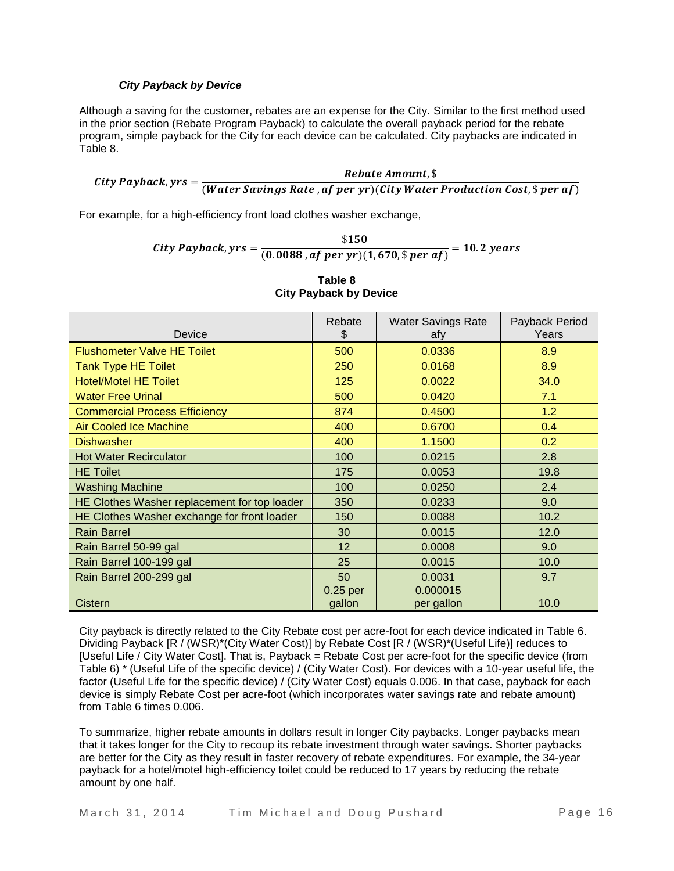## *City Payback by Device*

Although a saving for the customer, rebates are an expense for the City. Similar to the first method used in the prior section (Rebate Program Payback) to calculate the overall payback period for the rebate program, simple payback for the City for each device can be calculated. City paybacks are indicated in Table 8.

City Payback, yrs =  $\frac{1}{(Water\,Savings\,Rate\,,af\,per\,yr)(City\,Water\,Production\,Cost,$per\,af)}$ Rebate Amount, \$

For example, for a high-efficiency front load clothes washer exchange,

City Payback, yrs =  $\frac{\$}{\{0,0000\}^{n}$  $\frac{1}{(0.0088, af\ per\ yr)(1,670,\$ \ per\ af)} =$ 

| Device                                       | Rebate<br>\$ | <b>Water Savings Rate</b><br>afy | Payback Period<br>Years |
|----------------------------------------------|--------------|----------------------------------|-------------------------|
| <b>Flushometer Valve HE Toilet</b>           | 500          | 0.0336                           | 8.9                     |
| <b>Tank Type HE Toilet</b>                   | 250          | 0.0168                           | 8.9                     |
| <b>Hotel/Motel HE Toilet</b>                 | 125          | 0.0022                           | 34.0                    |
| <b>Water Free Urinal</b>                     | 500          | 0.0420                           | 7.1                     |
| <b>Commercial Process Efficiency</b>         | 874          | 0.4500                           | 1.2                     |
| <b>Air Cooled Ice Machine</b>                | 400          | 0.6700                           | 0.4                     |
| <b>Dishwasher</b>                            | 400          | 1.1500                           | 0.2                     |
| <b>Hot Water Recirculator</b>                | 100          | 0.0215                           | 2.8                     |
| <b>HE</b> Toilet                             | 175          | 0.0053                           | 19.8                    |
| <b>Washing Machine</b>                       | 100          | 0.0250                           | 2.4                     |
| HE Clothes Washer replacement for top loader | 350          | 0.0233                           | 9.0                     |
| HE Clothes Washer exchange for front loader  | 150          | 0.0088                           | 10.2                    |
| <b>Rain Barrel</b>                           | 30           | 0.0015                           | 12.0                    |
| Rain Barrel 50-99 gal                        | 12           | 0.0008                           | 9.0                     |
| Rain Barrel 100-199 gal                      | 25           | 0.0015                           | 10.0                    |
| Rain Barrel 200-299 gal                      | 50           | 0.0031                           | 9.7                     |
|                                              | $0.25$ per   | 0.000015                         |                         |
| Cistern                                      | gallon       | per gallon                       | 10.0                    |

| Table 8                       |  |  |  |  |
|-------------------------------|--|--|--|--|
| <b>City Payback by Device</b> |  |  |  |  |

City payback is directly related to the City Rebate cost per acre-foot for each device indicated in Table 6. Dividing Payback [R / (WSR)\*(City Water Cost)] by Rebate Cost [R / (WSR)\*(Useful Life)] reduces to [Useful Life / City Water Cost]. That is, Payback = Rebate Cost per acre-foot for the specific device (from Table 6) \* (Useful Life of the specific device) / (City Water Cost). For devices with a 10-year useful life, the factor (Useful Life for the specific device) / (City Water Cost) equals 0.006. In that case, payback for each device is simply Rebate Cost per acre-foot (which incorporates water savings rate and rebate amount) from Table 6 times 0.006.

To summarize, higher rebate amounts in dollars result in longer City paybacks. Longer paybacks mean that it takes longer for the City to recoup its rebate investment through water savings. Shorter paybacks are better for the City as they result in faster recovery of rebate expenditures. For example, the 34-year payback for a hotel/motel high-efficiency toilet could be reduced to 17 years by reducing the rebate amount by one half.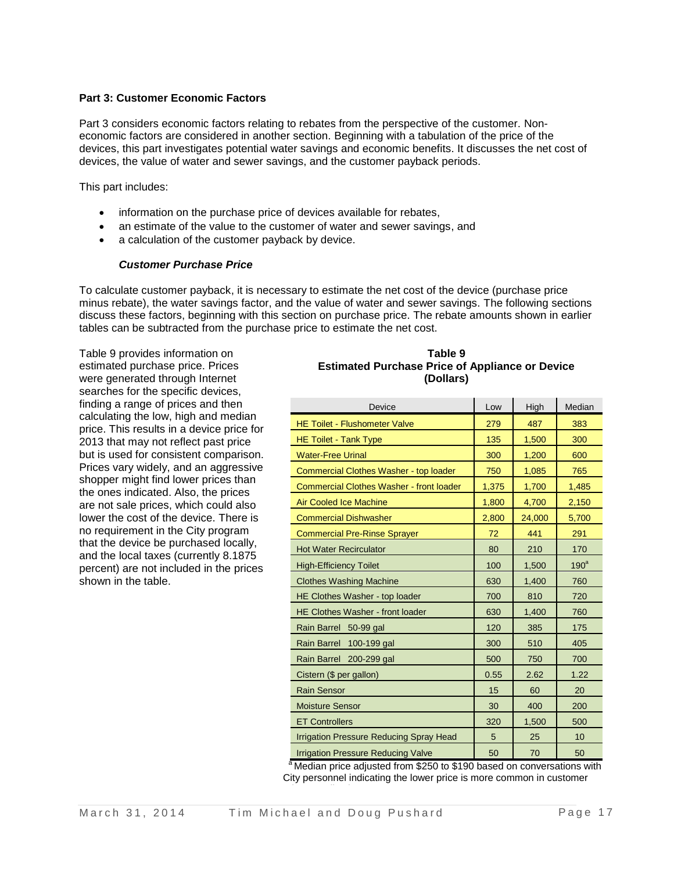#### **Part 3: Customer Economic Factors**

Part 3 considers economic factors relating to rebates from the perspective of the customer. Noneconomic factors are considered in another section. Beginning with a tabulation of the price of the devices, this part investigates potential water savings and economic benefits. It discusses the net cost of devices, the value of water and sewer savings, and the customer payback periods.

This part includes:

- information on the purchase price of devices available for rebates,
- an estimate of the value to the customer of water and sewer savings, and
- a calculation of the customer payback by device.

#### *Customer Purchase Price*

To calculate customer payback, it is necessary to estimate the net cost of the device (purchase price minus rebate), the water savings factor, and the value of water and sewer savings. The following sections discuss these factors, beginning with this section on purchase price. The rebate amounts shown in earlier tables can be subtracted from the purchase price to estimate the net cost.

Table 9 provides information on estimated purchase price. Prices were generated through Internet searches for the specific devices, finding a range of prices and then calculating the low, high and median price. This results in a device price for 2013 that may not reflect past price but is used for consistent comparison. Prices vary widely, and an aggressive shopper might find lower prices than the ones indicated. Also, the prices are not sale prices, which could also lower the cost of the device. There is no requirement in the City program that the device be purchased locally, and the local taxes (currently 8.1875 percent) are not included in the prices shown in the table.

#### **Table 9 Estimated Purchase Price of Appliance or Device (Dollars)**

| Device                                         | Low   | High   | Median           |
|------------------------------------------------|-------|--------|------------------|
| <b>HE Toilet - Flushometer Valve</b>           | 279   | 487    | 383              |
| <b>HE Toilet - Tank Type</b>                   | 135   | 1,500  | 300              |
| <b>Water-Free Urinal</b>                       | 300   | 1,200  | 600              |
| Commercial Clothes Washer - top loader         | 750   | 1,085  | 765              |
| Commercial Clothes Washer - front loader       | 1,375 | 1,700  | 1,485            |
| <b>Air Cooled Ice Machine</b>                  | 1,800 | 4,700  | 2,150            |
| <b>Commercial Dishwasher</b>                   | 2,800 | 24,000 | 5,700            |
| <b>Commercial Pre-Rinse Sprayer</b>            | 72    | 441    | 291              |
| <b>Hot Water Recirculator</b>                  | 80    | 210    | 170              |
| <b>High-Efficiency Toilet</b>                  | 100   | 1,500  | 190 <sup>a</sup> |
| <b>Clothes Washing Machine</b>                 | 630   | 1,400  | 760              |
| HE Clothes Washer - top loader                 | 700   | 810    | 720              |
| <b>HE Clothes Washer - front loader</b>        | 630   | 1,400  | 760              |
| Rain Barrel 50-99 gal                          | 120   | 385    | 175              |
| Rain Barrel 100-199 gal                        | 300   | 510    | 405              |
| Rain Barrel 200-299 gal                        | 500   | 750    | 700              |
| Cistern (\$ per gallon)                        | 0.55  | 2.62   | 1.22             |
| <b>Rain Sensor</b>                             | 15    | 60     | 20               |
| <b>Moisture Sensor</b>                         | 30    | 400    | 200              |
| <b>ET Controllers</b>                          | 320   | 1,500  | 500              |
| <b>Irrigation Pressure Reducing Spray Head</b> | 5     | 25     | 10               |
| <b>Irrigation Pressure Reducing Valve</b>      | 50    | 70     | 50               |

<sup>a</sup> Median price adjusted from \$250 to \$190 based on conversations with City personnel indicating the lower price is more common in customer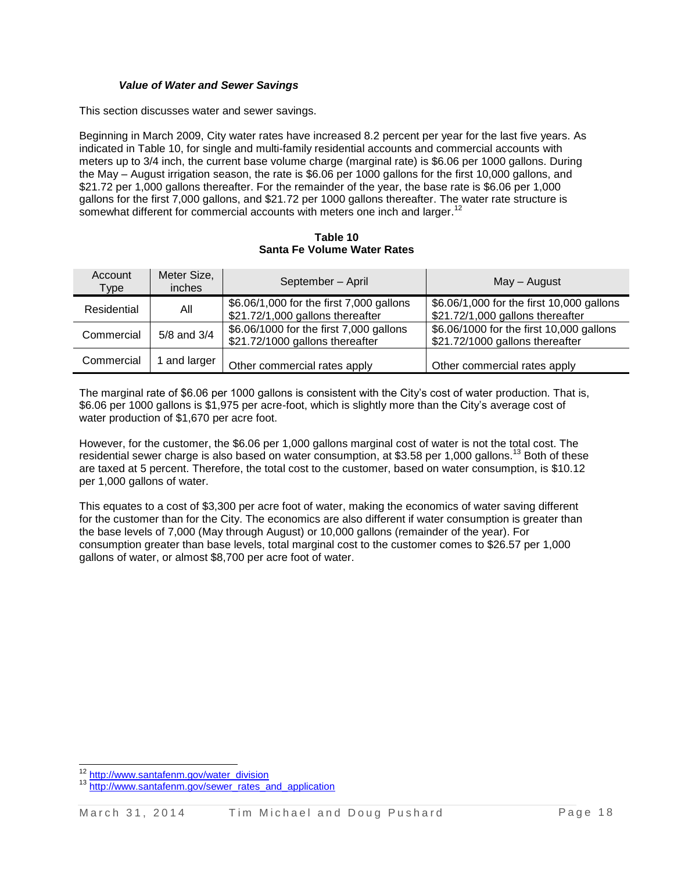#### *Value of Water and Sewer Savings*

This section discusses water and sewer savings.

Beginning in March 2009, City water rates have increased 8.2 percent per year for the last five years. As indicated in Table 10, for single and multi-family residential accounts and commercial accounts with meters up to 3/4 inch, the current base volume charge (marginal rate) is \$6.06 per 1000 gallons. During the May – August irrigation season, the rate is \$6.06 per 1000 gallons for the first 10,000 gallons, and \$21.72 per 1,000 gallons thereafter. For the remainder of the year, the base rate is \$6.06 per 1,000 gallons for the first 7,000 gallons, and \$21.72 per 1000 gallons thereafter. The water rate structure is somewhat different for commercial accounts with meters one inch and larger.<sup>12</sup>

**Table 10 Santa Fe Volume Water Rates**

| Account<br><b>Type</b> | Meter Size,<br><i>inches</i> | September - April                                                            | May - August                                                                  |  |  |
|------------------------|------------------------------|------------------------------------------------------------------------------|-------------------------------------------------------------------------------|--|--|
| Residential            | All                          | \$6.06/1,000 for the first 7,000 gallons<br>\$21.72/1,000 gallons thereafter | \$6.06/1,000 for the first 10,000 gallons<br>\$21.72/1,000 gallons thereafter |  |  |
| Commercial             | 5/8 and 3/4                  | \$6.06/1000 for the first 7,000 gallons<br>\$21.72/1000 gallons thereafter   | \$6.06/1000 for the first 10,000 gallons<br>\$21.72/1000 gallons thereafter   |  |  |
| Commercial             | and larger                   | Other commercial rates apply                                                 | Other commercial rates apply                                                  |  |  |

The marginal rate of \$6.06 per 1000 gallons is consistent with the City's cost of water production. That is, \$6.06 per 1000 gallons is \$1,975 per acre-foot, which is slightly more than the City's average cost of water production of \$1,670 per acre foot.

However, for the customer, the \$6.06 per 1,000 gallons marginal cost of water is not the total cost. The residential sewer charge is also based on water consumption, at \$3.58 per 1,000 gallons.<sup>13</sup> Both of these are taxed at 5 percent. Therefore, the total cost to the customer, based on water consumption, is \$10.12 per 1,000 gallons of water.

This equates to a cost of \$3,300 per acre foot of water, making the economics of water saving different for the customer than for the City. The economics are also different if water consumption is greater than the base levels of 7,000 (May through August) or 10,000 gallons (remainder of the year). For consumption greater than base levels, total marginal cost to the customer comes to \$26.57 per 1,000 gallons of water, or almost \$8,700 per acre foot of water.

 $\overline{a}$ 

<sup>&</sup>lt;sup>12</sup> [http://www.santafenm.gov/water\\_division](http://www.santafenm.gov/water_division)

[http://www.santafenm.gov/sewer\\_rates\\_and\\_application](http://www.santafenm.gov/sewer_rates_and_application)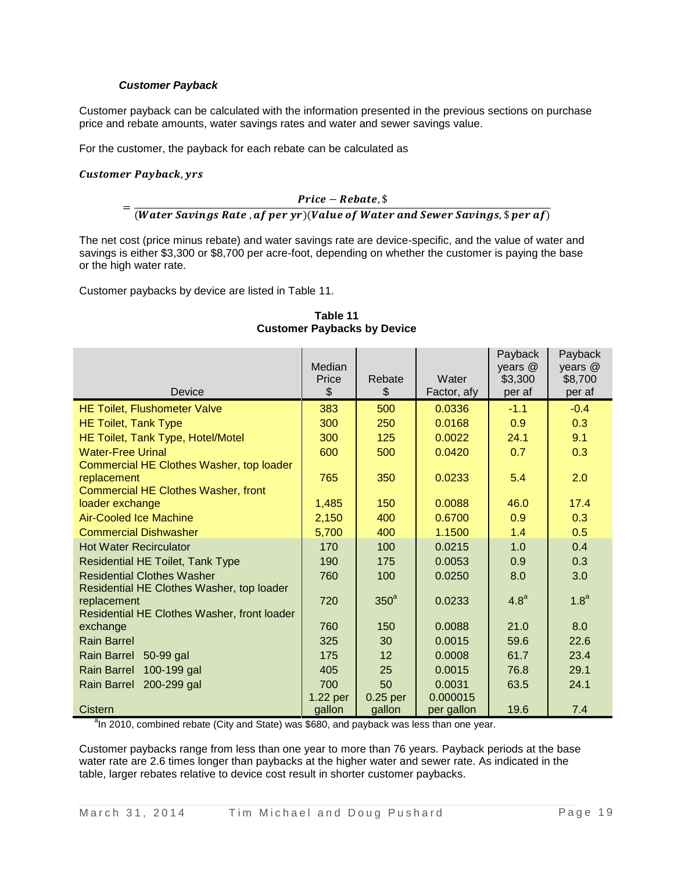#### *Customer Payback*

Customer payback can be calculated with the information presented in the previous sections on purchase price and rebate amounts, water savings rates and water and sewer savings value.

For the customer, the payback for each rebate can be calculated as

#### **Customer Payback, yrs**

## $Price - Replace,$ \$

 $=$ (Water Savings Rate, af per yr)(Value of Water and Sewer Savings,  $\frac{1}{2}$  per af)

The net cost (price minus rebate) and water savings rate are device-specific, and the value of water and savings is either \$3,300 or \$8,700 per acre-foot, depending on whether the customer is paying the base or the high water rate.

Customer paybacks by device are listed in Table 11.

| Device                                                                                                  | Median<br>Price<br>\$ | Rebate<br>\$     | Water<br>Factor, afy | Payback<br>years @<br>\$3,300<br>per af | Payback<br>years @<br>\$8,700<br>per af |
|---------------------------------------------------------------------------------------------------------|-----------------------|------------------|----------------------|-----------------------------------------|-----------------------------------------|
| <b>HE Toilet, Flushometer Valve</b>                                                                     | 383                   | 500              | 0.0336               | $-1.1$                                  | $-0.4$                                  |
| <b>HE Toilet, Tank Type</b>                                                                             | 300                   | 250              | 0.0168               | 0.9                                     | 0.3                                     |
| HE Toilet, Tank Type, Hotel/Motel                                                                       | 300                   | 125              | 0.0022               | 24.1                                    | 9.1                                     |
| <b>Water-Free Urinal</b>                                                                                | 600                   | 500              | 0.0420               | 0.7                                     | 0.3                                     |
| Commercial HE Clothes Washer, top loader<br>replacement<br><b>Commercial HE Clothes Washer, front</b>   | 765                   | 350              | 0.0233               | 5.4                                     | 2.0                                     |
| loader exchange                                                                                         | 1,485                 | 150              | 0.0088               | 46.0                                    | 17.4                                    |
| <b>Air-Cooled Ice Machine</b>                                                                           | 2,150                 | 400              | 0.6700               | 0.9                                     | 0.3                                     |
| <b>Commercial Dishwasher</b>                                                                            | 5,700                 | 400              | 1.1500               | 1.4                                     | 0.5                                     |
| <b>Hot Water Recirculator</b>                                                                           | 170                   | 100              | 0.0215               | 1.0                                     | 0.4                                     |
| Residential HE Toilet, Tank Type                                                                        | 190                   | 175              | 0.0053               | 0.9                                     | 0.3                                     |
| <b>Residential Clothes Washer</b>                                                                       | 760                   | 100              | 0.0250               | 8.0                                     | 3.0                                     |
| Residential HE Clothes Washer, top loader<br>replacement<br>Residential HE Clothes Washer, front loader | 720                   | 350 <sup>a</sup> | 0.0233               | 4.8 <sup>a</sup>                        | 1.8 <sup>a</sup>                        |
| exchange                                                                                                | 760                   | 150              | 0.0088               | 21.0                                    | 8.0                                     |
| <b>Rain Barrel</b>                                                                                      | 325                   | 30               | 0.0015               | 59.6                                    | 22.6                                    |
| <b>Rain Barrel</b><br>50-99 gal                                                                         | 175                   | 12               | 0.0008               | 61.7                                    | 23.4                                    |
| 100-199 gal<br><b>Rain Barrel</b>                                                                       | 405                   | 25               | 0.0015               | 76.8                                    | 29.1                                    |
| Rain Barrel<br>200-299 gal                                                                              | 700                   | 50               | 0.0031               | 63.5                                    | 24.1                                    |
|                                                                                                         | 1.22 per              | $0.25$ per       | 0.000015             |                                         |                                         |
| Cistern                                                                                                 | gallon                | gallon           | per gallon           | 19.6                                    | 7.4                                     |

#### **Table 11 Customer Paybacks by Device**

<sup>a</sup>ln 2010, combined rebate (City and State) was \$680, and payback was less than one year.

Customer paybacks range from less than one year to more than 76 years. Payback periods at the base water rate are 2.6 times longer than paybacks at the higher water and sewer rate. As indicated in the table, larger rebates relative to device cost result in shorter customer paybacks.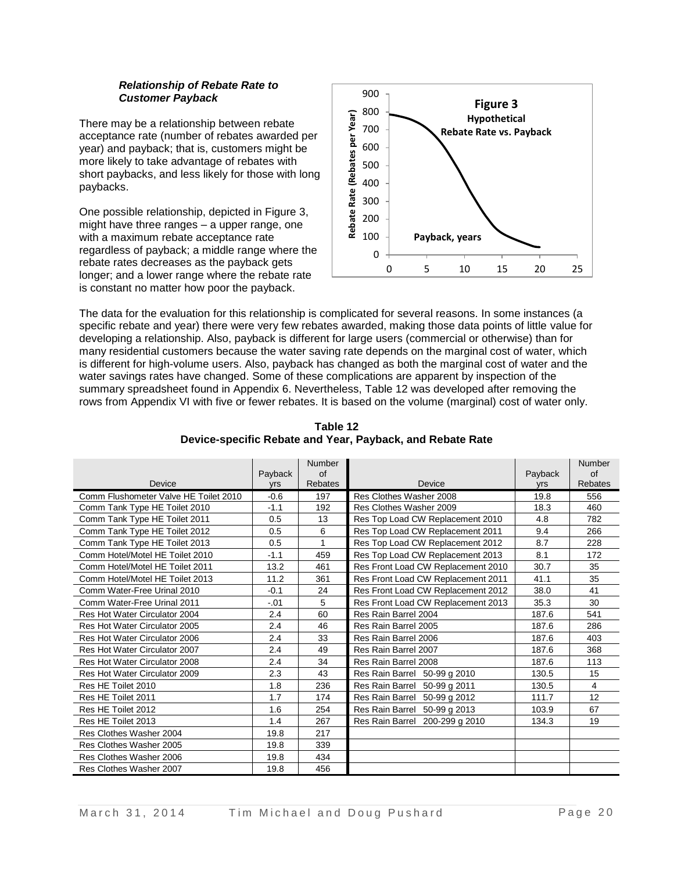#### *Relationship of Rebate Rate to Customer Payback*

There may be a relationship between rebate acceptance rate (number of rebates awarded per year) and payback; that is, customers might be more likely to take advantage of rebates with short paybacks, and less likely for those with long paybacks.

One possible relationship, depicted in Figure 3, might have three ranges – a upper range, one with a maximum rebate acceptance rate regardless of payback; a middle range where the rebate rates decreases as the payback gets longer; and a lower range where the rebate rate is constant no matter how poor the payback.



The data for the evaluation for this relationship is complicated for several reasons. In some instances (a specific rebate and year) there were very few rebates awarded, making those data points of little value for developing a relationship. Also, payback is different for large users (commercial or otherwise) than for many residential customers because the water saving rate depends on the marginal cost of water, which is different for high-volume users. Also, payback has changed as both the marginal cost of water and the water savings rates have changed. Some of these complications are apparent by inspection of the summary spreadsheet found in Appendix 6. Nevertheless, Table 12 was developed after removing the rows from Appendix VI with five or fewer rebates. It is based on the volume (marginal) cost of water only.

|                                       |            | <b>Number</b>  |                                    |            | Number         |
|---------------------------------------|------------|----------------|------------------------------------|------------|----------------|
|                                       | Payback    | of             |                                    | Payback    | of             |
| Device                                | <b>yrs</b> | <b>Rebates</b> | Device                             | <b>Vrs</b> | <b>Rebates</b> |
| Comm Flushometer Valve HE Toilet 2010 | $-0.6$     | 197            | Res Clothes Washer 2008            | 19.8       | 556            |
| Comm Tank Type HE Toilet 2010         | $-1.1$     | 192            | Res Clothes Washer 2009            | 18.3       | 460            |
| Comm Tank Type HE Toilet 2011         | 0.5        | 13             | Res Top Load CW Replacement 2010   | 4.8        | 782            |
| Comm Tank Type HE Toilet 2012         | 0.5        | 6              | Res Top Load CW Replacement 2011   | 9.4        | 266            |
| Comm Tank Type HE Toilet 2013         | 0.5        | 1              | Res Top Load CW Replacement 2012   | 8.7        | 228            |
| Comm Hotel/Motel HE Toilet 2010       | $-1.1$     | 459            | Res Top Load CW Replacement 2013   | 8.1        | 172            |
| Comm Hotel/Motel HE Toilet 2011       | 13.2       | 461            | Res Front Load CW Replacement 2010 | 30.7       | 35             |
| Comm Hotel/Motel HE Toilet 2013       | 11.2       | 361            | Res Front Load CW Replacement 2011 | 41.1       | 35             |
| Comm Water-Free Urinal 2010           | $-0.1$     | 24             | Res Front Load CW Replacement 2012 | 38.0       | 41             |
| Comm Water-Free Urinal 2011           | $-.01$     | 5              | Res Front Load CW Replacement 2013 | 35.3       | 30             |
| Res Hot Water Circulator 2004         | 2.4        | 60             | Res Rain Barrel 2004               | 187.6      | 541            |
| Res Hot Water Circulator 2005         | 2.4        | 46             | Res Rain Barrel 2005               | 187.6      | 286            |
| Res Hot Water Circulator 2006         | 2.4        | 33             | Res Rain Barrel 2006               | 187.6      | 403            |
| Res Hot Water Circulator 2007         | 2.4        | 49             | Res Rain Barrel 2007               | 187.6      | 368            |
| Res Hot Water Circulator 2008         | 2.4        | 34             | Res Rain Barrel 2008               | 187.6      | 113            |
| Res Hot Water Circulator 2009         | 2.3        | 43             | Res Rain Barrel 50-99 g 2010       | 130.5      | 15             |
| Res HE Toilet 2010                    | 1.8        | 236            | Res Rain Barrel 50-99 g 2011       | 130.5      | 4              |
| Res HE Toilet 2011                    | 1.7        | 174            | Res Rain Barrel 50-99 g 2012       | 111.7      | 12             |
| Res HE Toilet 2012                    | 1.6        | 254            | Res Rain Barrel 50-99 g 2013       | 103.9      | 67             |
| Res HE Toilet 2013                    | 1.4        | 267            | Res Rain Barrel 200-299 g 2010     | 134.3      | 19             |
| Res Clothes Washer 2004               | 19.8       | 217            |                                    |            |                |
| Res Clothes Washer 2005               | 19.8       | 339            |                                    |            |                |
| Res Clothes Washer 2006               | 19.8       | 434            |                                    |            |                |
| Res Clothes Washer 2007               | 19.8       | 456            |                                    |            |                |

**Table 12 Device-specific Rebate and Year, Payback, and Rebate Rate**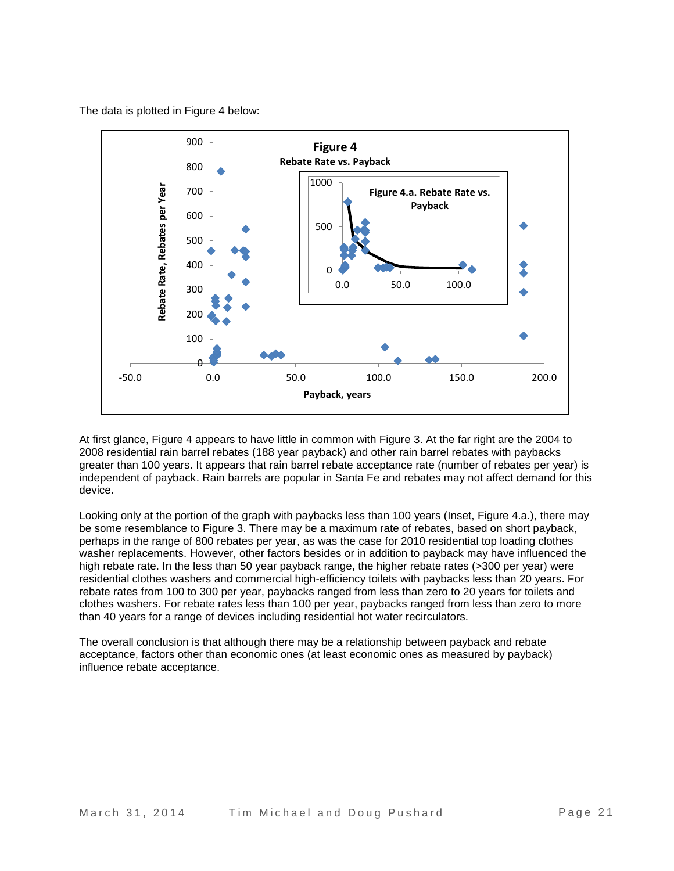The data is plotted in Figure 4 below:



At first glance, Figure 4 appears to have little in common with Figure 3. At the far right are the 2004 to 2008 residential rain barrel rebates (188 year payback) and other rain barrel rebates with paybacks greater than 100 years. It appears that rain barrel rebate acceptance rate (number of rebates per year) is independent of payback. Rain barrels are popular in Santa Fe and rebates may not affect demand for this device.

Looking only at the portion of the graph with paybacks less than 100 years (Inset, Figure 4.a.), there may be some resemblance to Figure 3. There may be a maximum rate of rebates, based on short payback, perhaps in the range of 800 rebates per year, as was the case for 2010 residential top loading clothes washer replacements. However, other factors besides or in addition to payback may have influenced the high rebate rate. In the less than 50 year payback range, the higher rebate rates (>300 per vear) were residential clothes washers and commercial high-efficiency toilets with paybacks less than 20 years. For rebate rates from 100 to 300 per year, paybacks ranged from less than zero to 20 years for toilets and clothes washers. For rebate rates less than 100 per year, paybacks ranged from less than zero to more than 40 years for a range of devices including residential hot water recirculators.

The overall conclusion is that although there may be a relationship between payback and rebate acceptance, factors other than economic ones (at least economic ones as measured by payback) influence rebate acceptance.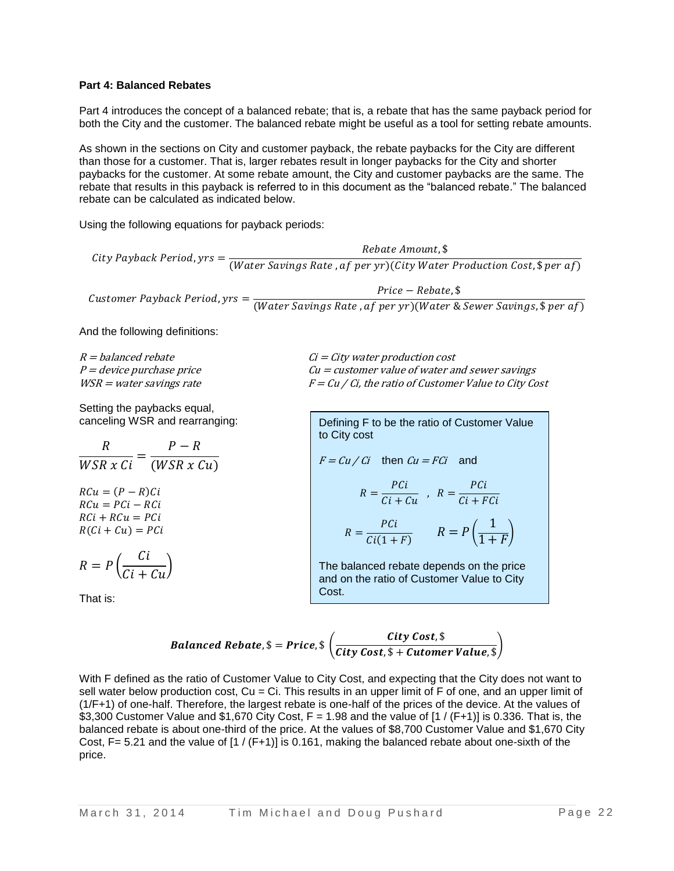## **Part 4: Balanced Rebates**

Part 4 introduces the concept of a balanced rebate; that is, a rebate that has the same payback period for both the City and the customer. The balanced rebate might be useful as a tool for setting rebate amounts.

As shown in the sections on City and customer payback, the rebate paybacks for the City are different than those for a customer. That is, larger rebates result in longer paybacks for the City and shorter paybacks for the customer. At some rebate amount, the City and customer paybacks are the same. The rebate that results in this payback is referred to in this document as the "balanced rebate." The balanced rebate can be calculated as indicated below.

Using the following equations for payback periods:

City Payback Period, yrs =  $\frac{1}{(Water\,Savings\,Rate\,,af\,per\,yr)(City\,Water\,Production\,Cost,$per\,af\,per\,of)}$ Rebate Amount, \$

Customer Payback Period,  $yrs =$  $Price - Replace,$ \$ (Water Savings Rate, af per yr) (Water & Sewer Savings,  $\frac{1}{2}$  per af)

And the following definitions:

Setting the paybacks equal, canceling WSR and rearranging:

 $\boldsymbol{R}$ W  $\overline{P}$  $(WSR x Cu)$  $RCu = (P - R)Ci$  $RCu = PCi - RCi$  $RCi + RCu = PCi$  $R(Ci + Cu) = PCi$  $R = P$  $\mathcal{C}_{0}^{2}$  $\frac{d}{c}$  +  $\frac{c}{u}$ )

That is:

 $R =$  balanced rebate  $C = City$  water production cost  $P =$  device purchase price  $Cu =$   $Cu =$  customer value of water and sewer savings  $WSR =$  water savings rate  $F = Cu / Ci$ , the ratio of Customer Value to City Cost

> Defining F to be the ratio of Customer Value to City cost

 $F = Cu / Ci$  then  $Cu = FCi$  and

$$
R = \frac{PCi}{Ci + Cu} , R = \frac{PCi}{Ci + FCi}
$$

$$
R = \frac{PCi}{Ci(1+F)} \qquad R = P\left(\frac{1}{1+F}\right)
$$

The balanced rebate depends on the price and on the ratio of Customer Value to City Cost.

$$
\textit{Balanced Rebate}, \$_ = \textit{Price}, \$_ \left(\frac{\textit{City Cost}, \$_{\text{water Value}}, \$_{\text{other Value}}, \$_{\text{other Value}}, \$_{\text{other Value}}, \$_{\text{other Value}}, \$_{\text{other Value}}, \$_{\text{other Value}}, \$_{\text{other Value}}, \$_{\text{other Value}}, \$_{\text{other Value}}, \$_{\text{other Value}}, \$_{\text{other Value}}, \$_{\text{other Value}}, \$_{\text{other Value}}, \$_{\text{other Value}}, \$_{\text{other Value}}, \$_{\text{other Value}}, \$_{\text{other Value}}, \$_{\text{other Value}}, \$_{\text{other Value}}, \$_{\text{other Value}}, \$_{\text{other Value}}, \$_{\text{other Value}}, \$_{\text{other Value}}, \$_{\text{other Value}}, \$_{\text{other Value}}, \$_{\text{other Value}}, \$_{\text{other Value}}, \$_{\text{other Value}}, \$_{\text{other Value}}, \$_{\text{other Value}}, \$_{\text{other Value}}, \$_{\text{other Value}}, \$_{\text{other Value}}, \$_{\text{other Value}}, \$_{\text{other Value}}, \$_{\text{other Value}}, \$_{\text{other Value}}, \$_{\text{other Value}}, \$_{\text{other Value}}, \$_{\text{other Value}}, \$_{\text{other Value}}, \$_{\text{other Value}}, \$_{\text{other Value}}, \$_{\text{other Value}}, \$_{\text{other Value}}, \$_{\text{other Value}}, \$_{\text{other Value}}, \$_{\text{other Value}}, \$_{\text{other Value}}, \$_{\text{other Value}}, \$_{\text{other Value}}, \$_{\text{other Value}}, \$_{\text{other Value}}, \$_{\text{other Value}}, \$_{\text{other Value}}, \$_{\text{other Value}}, \$_{\text{other Value}}, \$_{\text{other Value}}, \$_{\text{other Value}}, \$_{\text{other Value}}, \$_{\text{other Value}}, \$_{\text{other Value}}, \$_{\text{other Value}}, \$_{\text{other Value}}, \$_{\text{other Value}}, \$_{\text{other Value}}, \$_{\text{other Value}}, \$_{\text{other Value}}, \$_{\text{other Value}}, \$_{\text{other Value}}, \$_{\text{other Value}}, \$_{\text{other Value}}, \$_{\text{other Value}}, \$_{\text{other Value}}, \$_{\text{other Value}}, \$_{\text{other Value}}, \$_{\text{other Value}}, \$_{\text{other Value}}, \$_{\text{other Value}}, \$_{\text{other Value}}, \$_{\text{other Value}}, \$_{\text{other Value}}, \$_{\text{other Value}}, \$_{\text{There})}]}
$$

With F defined as the ratio of Customer Value to City Cost, and expecting that the City does not want to sell water below production cost,  $Cu = Ci$ . This results in an upper limit of F of one, and an upper limit of (1/F+1) of one-half. Therefore, the largest rebate is one-half of the prices of the device. At the values of \$3,300 Customer Value and \$1,670 City Cost,  $F = 1.98$  and the value of  $[1 / (F+1)]$  is 0.336. That is, the balanced rebate is about one-third of the price. At the values of \$8,700 Customer Value and \$1,670 City Cost,  $F = 5.21$  and the value of  $\left[1 / \left(F + 1\right)\right]$  is 0.161, making the balanced rebate about one-sixth of the price.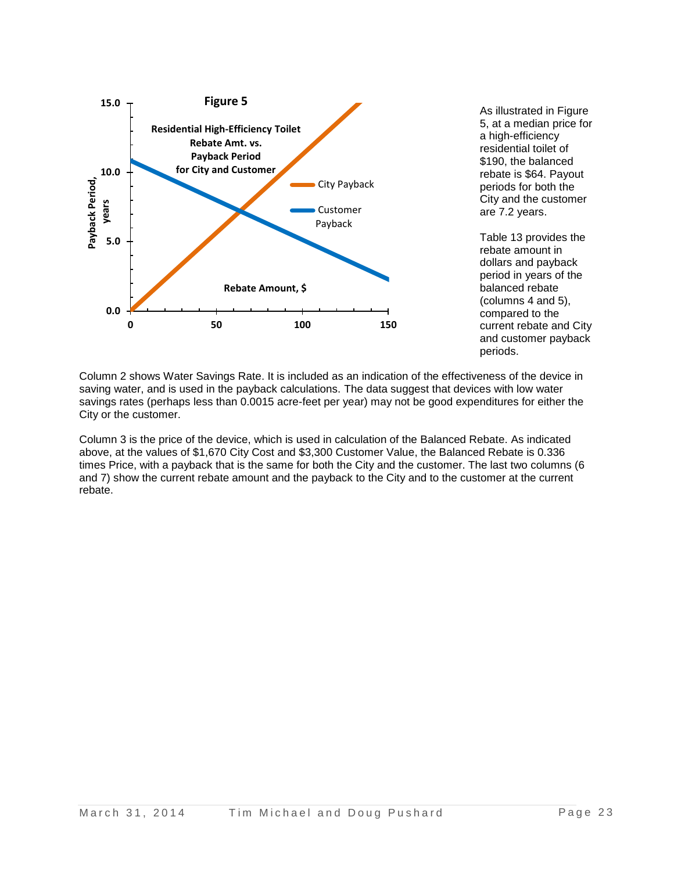

As illustrated in Figure 5, at a median price for a high-efficiency residential toilet of \$190, the balanced rebate is \$64. Payout periods for both the City and the customer are 7.2 years.

Table 13 provides the rebate amount in dollars and payback period in years of the balanced rebate (columns 4 and 5), compared to the current rebate and City and customer payback periods.

Column 2 shows Water Savings Rate. It is included as an indication of the effectiveness of the device in saving water, and is used in the payback calculations. The data suggest that devices with low water savings rates (perhaps less than 0.0015 acre-feet per year) may not be good expenditures for either the City or the customer.

Column 3 is the price of the device, which is used in calculation of the Balanced Rebate. As indicated above, at the values of \$1,670 City Cost and \$3,300 Customer Value, the Balanced Rebate is 0.336 times Price, with a payback that is the same for both the City and the customer. The last two columns (6 and 7) show the current rebate amount and the payback to the City and to the customer at the current rebate.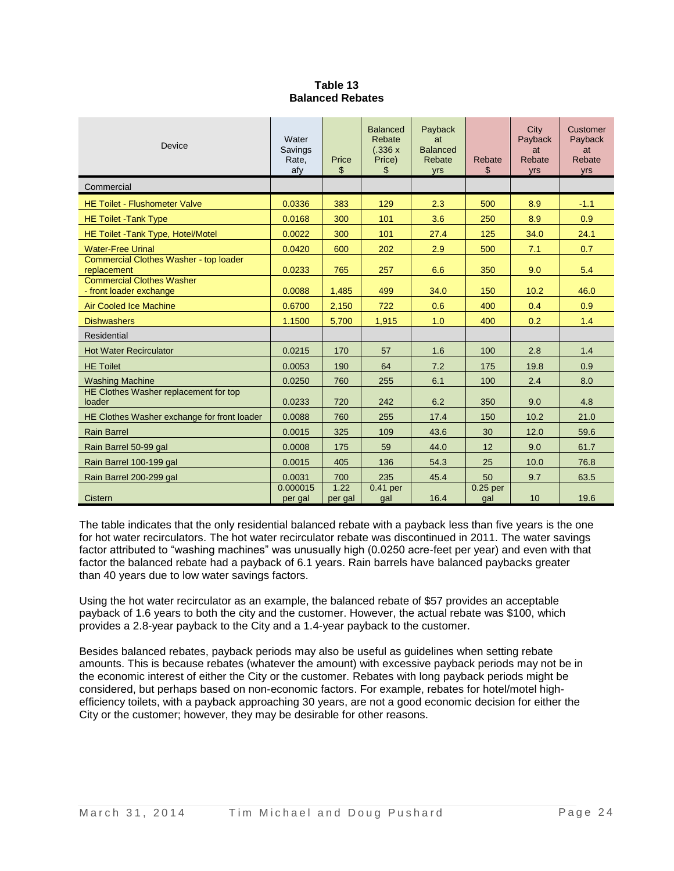| Table 13                |
|-------------------------|
| <b>Balanced Rebates</b> |

| Device                                                      | Water<br>Savings<br>Rate,<br>afy | Price<br>\$     | <b>Balanced</b><br>Rebate<br>(.336 x)<br>Price)<br>\$ | Payback<br>at<br><b>Balanced</b><br>Rebate<br>yrs | Rebate<br>\$      | City<br>Payback<br>at<br>Rebate<br>yrs | Customer<br>Payback<br>at<br>Rebate<br>yrs |
|-------------------------------------------------------------|----------------------------------|-----------------|-------------------------------------------------------|---------------------------------------------------|-------------------|----------------------------------------|--------------------------------------------|
| Commercial                                                  |                                  |                 |                                                       |                                                   |                   |                                        |                                            |
| <b>HE Toilet - Flushometer Valve</b>                        | 0.0336                           | 383             | 129                                                   | 2.3                                               | 500               | 8.9                                    | $-1.1$                                     |
| <b>HE Toilet - Tank Type</b>                                | 0.0168                           | 300             | 101                                                   | 3.6                                               | 250               | 8.9                                    | 0.9                                        |
| HE Toilet - Tank Type, Hotel/Motel                          | 0.0022                           | 300             | 101                                                   | 27.4                                              | 125               | 34.0                                   | 24.1                                       |
| <b>Water-Free Urinal</b>                                    | 0.0420                           | 600             | 202                                                   | 2.9                                               | 500               | 7.1                                    | 0.7                                        |
| Commercial Clothes Washer - top loader<br>replacement       | 0.0233                           | 765             | 257                                                   | 6.6                                               | 350               | 9.0                                    | 5.4                                        |
| <b>Commercial Clothes Washer</b><br>- front loader exchange | 0.0088                           | 1,485           | 499                                                   | 34.0                                              | 150               | 10.2                                   | 46.0                                       |
| <b>Air Cooled Ice Machine</b>                               | 0.6700                           | 2,150           | 722                                                   | 0.6                                               | 400               | 0.4                                    | 0.9                                        |
| <b>Dishwashers</b>                                          | 1.1500                           | 5,700           | 1,915                                                 | 1.0                                               | 400               | 0.2                                    | 1.4                                        |
| Residential                                                 |                                  |                 |                                                       |                                                   |                   |                                        |                                            |
| <b>Hot Water Recirculator</b>                               | 0.0215                           | 170             | 57                                                    | 1.6                                               | 100               | 2.8                                    | 1.4                                        |
| <b>HE Toilet</b>                                            | 0.0053                           | 190             | 64                                                    | 7.2                                               | 175               | 19.8                                   | 0.9                                        |
| <b>Washing Machine</b>                                      | 0.0250                           | 760             | 255                                                   | 6.1                                               | 100               | 2.4                                    | 8.0                                        |
| HE Clothes Washer replacement for top<br>loader             | 0.0233                           | 720             | 242                                                   | 6.2                                               | 350               | 9.0                                    | 4.8                                        |
| HE Clothes Washer exchange for front loader                 | 0.0088                           | 760             | 255                                                   | 17.4                                              | 150               | 10.2                                   | 21.0                                       |
| <b>Rain Barrel</b>                                          | 0.0015                           | 325             | 109                                                   | 43.6                                              | 30                | 12.0                                   | 59.6                                       |
| Rain Barrel 50-99 gal                                       | 0.0008                           | 175             | 59                                                    | 44.0                                              | 12                | 9.0                                    | 61.7                                       |
| Rain Barrel 100-199 gal                                     | 0.0015                           | 405             | 136                                                   | 54.3                                              | 25                | 10.0                                   | 76.8                                       |
| Rain Barrel 200-299 gal                                     | 0.0031                           | 700             | 235                                                   | 45.4                                              | 50                | 9.7                                    | 63.5                                       |
| <b>Cistern</b>                                              | 0.000015<br>per gal              | 1.22<br>per gal | $0.41$ per<br>gal                                     | 16.4                                              | $0.25$ per<br>gal | 10                                     | 19.6                                       |

The table indicates that the only residential balanced rebate with a payback less than five years is the one for hot water recirculators. The hot water recirculator rebate was discontinued in 2011. The water savings factor attributed to "washing machines" was unusually high (0.0250 acre-feet per year) and even with that factor the balanced rebate had a payback of 6.1 years. Rain barrels have balanced paybacks greater than 40 years due to low water savings factors.

Using the hot water recirculator as an example, the balanced rebate of \$57 provides an acceptable payback of 1.6 years to both the city and the customer. However, the actual rebate was \$100, which provides a 2.8-year payback to the City and a 1.4-year payback to the customer.

Besides balanced rebates, payback periods may also be useful as guidelines when setting rebate amounts. This is because rebates (whatever the amount) with excessive payback periods may not be in the economic interest of either the City or the customer. Rebates with long payback periods might be considered, but perhaps based on non-economic factors. For example, rebates for hotel/motel highefficiency toilets, with a payback approaching 30 years, are not a good economic decision for either the City or the customer; however, they may be desirable for other reasons.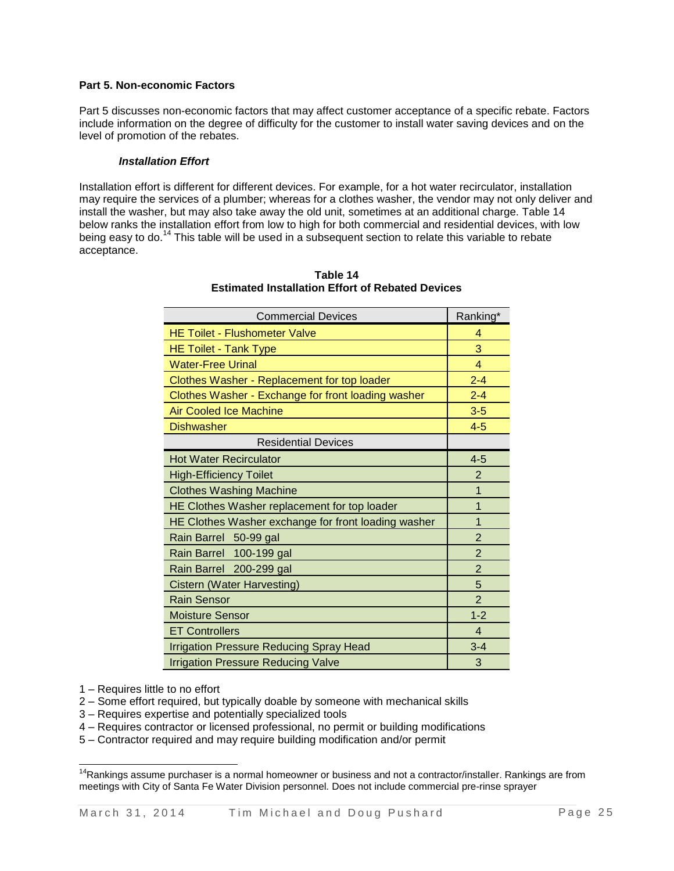## **Part 5. Non-economic Factors**

Part 5 discusses non-economic factors that may affect customer acceptance of a specific rebate. Factors include information on the degree of difficulty for the customer to install water saving devices and on the level of promotion of the rebates.

#### *Installation Effort*

Installation effort is different for different devices. For example, for a hot water recirculator, installation may require the services of a plumber; whereas for a clothes washer, the vendor may not only deliver and install the washer, but may also take away the old unit, sometimes at an additional charge. Table 14 below ranks the installation effort from low to high for both commercial and residential devices, with low being easy to do.<sup>14</sup> This table will be used in a subsequent section to relate this variable to rebate acceptance.

| Commercial Devices                                  | Ranking        |
|-----------------------------------------------------|----------------|
| <b>HE Toilet - Flushometer Valve</b>                | 4              |
| <b>HE Toilet - Tank Type</b>                        | 3              |
| <b>Water-Free Urinal</b>                            | 4              |
| Clothes Washer - Replacement for top loader         | $2 - 4$        |
| Clothes Washer - Exchange for front loading washer  | $2 - 4$        |
| <b>Air Cooled Ice Machine</b>                       | $3-5$          |
| <b>Dishwasher</b>                                   | $4-5$          |
| <b>Residential Devices</b>                          |                |
| <b>Hot Water Recirculator</b>                       | $4 - 5$        |
| <b>High-Efficiency Toilet</b>                       | $\overline{2}$ |
| <b>Clothes Washing Machine</b>                      | 1              |
| HE Clothes Washer replacement for top loader        | 1              |
| HE Clothes Washer exchange for front loading washer | 1              |
| Rain Barrel 50-99 gal                               | $\overline{2}$ |
| Rain Barrel 100-199 gal                             | $\overline{2}$ |
| Rain Barrel 200-299 gal                             | $\overline{2}$ |
| <b>Cistern (Water Harvesting)</b>                   | 5              |
| <b>Rain Sensor</b>                                  | $\overline{2}$ |
| <b>Moisture Sensor</b>                              | $1 - 2$        |
| <b>ET Controllers</b>                               | $\overline{4}$ |
| <b>Irrigation Pressure Reducing Spray Head</b>      | $3 - 4$        |
| <b>Irrigation Pressure Reducing Valve</b>           | 3              |

**Table 14 Estimated Installation Effort of Rebated Devices**

Commercial Devices Ranking\*

1 – Requires little to no effort

 $\overline{a}$ 

2 – Some effort required, but typically doable by someone with mechanical skills

- 3 Requires expertise and potentially specialized tools
- 4 Requires contractor or licensed professional, no permit or building modifications
- 5 Contractor required and may require building modification and/or permit

 $14}$ Rankings assume purchaser is a normal homeowner or business and not a contractor/installer. Rankings are from meetings with City of Santa Fe Water Division personnel. Does not include commercial pre-rinse sprayer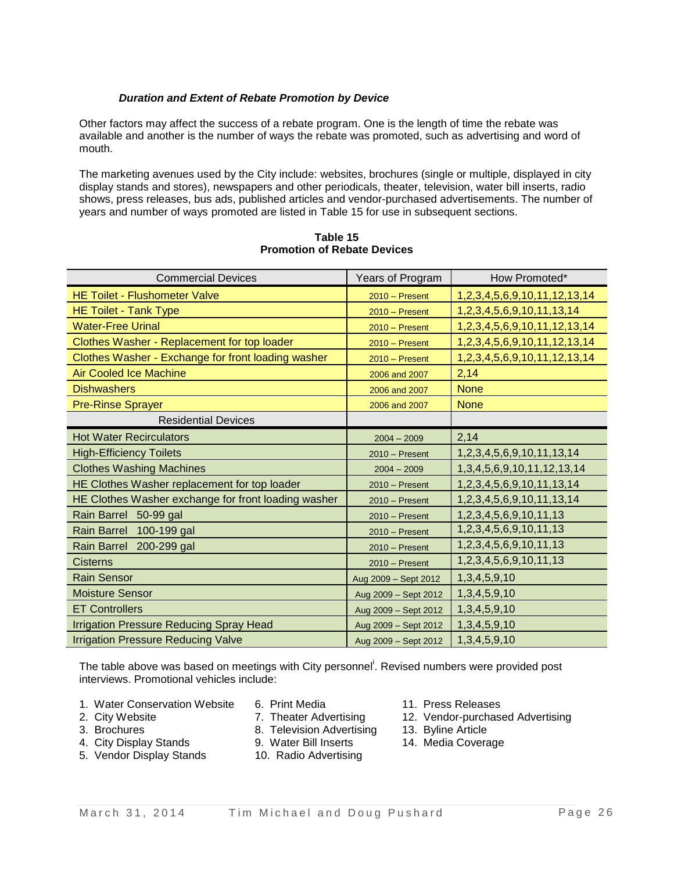### *Duration and Extent of Rebate Promotion by Device*

Other factors may affect the success of a rebate program. One is the length of time the rebate was available and another is the number of ways the rebate was promoted, such as advertising and word of mouth.

The marketing avenues used by the City include: websites, brochures (single or multiple, displayed in city display stands and stores), newspapers and other periodicals, theater, television, water bill inserts, radio shows, press releases, bus ads, published articles and vendor-purchased advertisements. The number of years and number of ways promoted are listed in Table 15 for use in subsequent sections.

| <b>Commercial Devices</b>                           | Years of Program     | How Promoted*                           |
|-----------------------------------------------------|----------------------|-----------------------------------------|
| <b>HE Toilet - Flushometer Valve</b>                | $2010 -$ Present     | 1, 2, 3, 4, 5, 6, 9, 10, 11, 12, 13, 14 |
| <b>HE Toilet - Tank Type</b>                        | $2010 -$ Present     | 1,2,3,4,5,6,9,10,11,13,14               |
| <b>Water-Free Urinal</b>                            | $2010 -$ Present     | 1, 2, 3, 4, 5, 6, 9, 10, 11, 12, 13, 14 |
| Clothes Washer - Replacement for top loader         | $2010 -$ Present     | 1, 2, 3, 4, 5, 6, 9, 10, 11, 12, 13, 14 |
| Clothes Washer - Exchange for front loading washer  | $2010 -$ Present     | 1, 2, 3, 4, 5, 6, 9, 10, 11, 12, 13, 14 |
| <b>Air Cooled Ice Machine</b>                       | 2006 and 2007        | 2,14                                    |
| <b>Dishwashers</b>                                  | 2006 and 2007        | <b>None</b>                             |
| <b>Pre-Rinse Sprayer</b>                            | 2006 and 2007        | <b>None</b>                             |
| <b>Residential Devices</b>                          |                      |                                         |
| <b>Hot Water Recirculators</b>                      | $2004 - 2009$        | 2,14                                    |
| <b>High-Efficiency Toilets</b>                      | $2010 -$ Present     | 1,2,3,4,5,6,9,10,11,13,14               |
| <b>Clothes Washing Machines</b>                     | $2004 - 2009$        | 1, 3, 4, 5, 6, 9, 10, 11, 12, 13, 14    |
| HE Clothes Washer replacement for top loader        | $2010 -$ Present     | 1,2,3,4,5,6,9,10,11,13,14               |
| HE Clothes Washer exchange for front loading washer | $2010 -$ Present     | 1,2,3,4,5,6,9,10,11,13,14               |
| Rain Barrel 50-99 gal                               | $2010 -$ Present     | 1,2,3,4,5,6,9,10,11,13                  |
| Rain Barrel 100-199 gal                             | $2010 -$ Present     | 1,2,3,4,5,6,9,10,11,13                  |
| Rain Barrel 200-299 gal                             | $2010 -$ Present     | 1,2,3,4,5,6,9,10,11,13                  |
| <b>Cisterns</b>                                     | $2010 -$ Present     | 1,2,3,4,5,6,9,10,11,13                  |
| <b>Rain Sensor</b>                                  | Aug 2009 - Sept 2012 | 1, 3, 4, 5, 9, 10                       |
| <b>Moisture Sensor</b>                              | Aug 2009 - Sept 2012 | 1, 3, 4, 5, 9, 10                       |
| <b>ET Controllers</b>                               | Aug 2009 - Sept 2012 | 1, 3, 4, 5, 9, 10                       |
| <b>Irrigation Pressure Reducing Spray Head</b>      | Aug 2009 - Sept 2012 | 1, 3, 4, 5, 9, 10                       |
| <b>Irrigation Pressure Reducing Valve</b>           | Aug 2009 - Sept 2012 | 1, 3, 4, 5, 9, 10                       |

**Table 15 Promotion of Rebate Devices**

The table above was based on meetings with City personnel<sup>i</sup>. Revised numbers were provided post interviews. Promotional vehicles include:

- 1. Water Conservation Website 6. Print Media 11. Press Releases
- 
- 
- 4. City Display Stands 9. Water Bill Inserts 14. Media Coverage
- 5. Vendor Display Stands 10. Radio Advertising
- 
- 
- 3. Brochures 8. Television Advertising 13. Byline Article
	-
	-
- 
- 2. City Website **7. Theater Advertising 12. Vendor-purchased Advertising** 
	-
	-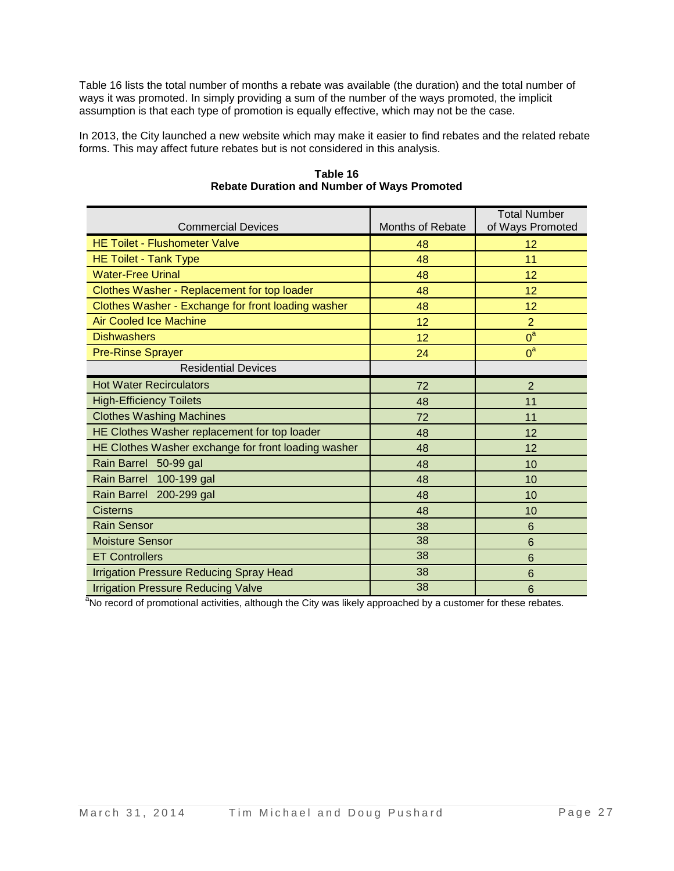Table 16 lists the total number of months a rebate was available (the duration) and the total number of ways it was promoted. In simply providing a sum of the number of the ways promoted, the implicit assumption is that each type of promotion is equally effective, which may not be the case.

In 2013, the City launched a new website which may make it easier to find rebates and the related rebate forms. This may affect future rebates but is not considered in this analysis.

| <b>Commercial Devices</b>                           | Months of Rebate | <b>Total Number</b><br>of Ways Promoted |
|-----------------------------------------------------|------------------|-----------------------------------------|
| <b>HE Toilet - Flushometer Valve</b>                | 48               | 12                                      |
| <b>HE Toilet - Tank Type</b>                        | 48               | 11                                      |
| <b>Water-Free Urinal</b>                            | 48               | 12                                      |
| Clothes Washer - Replacement for top loader         | 48               | 12                                      |
| Clothes Washer - Exchange for front loading washer  | 48               | 12                                      |
| <b>Air Cooled Ice Machine</b>                       | 12               | $\overline{2}$                          |
| <b>Dishwashers</b>                                  | 12               | $0^a$                                   |
| <b>Pre-Rinse Sprayer</b>                            | 24               | $0^a$                                   |
| <b>Residential Devices</b>                          |                  |                                         |
| <b>Hot Water Recirculators</b>                      | 72               | $\overline{2}$                          |
| <b>High-Efficiency Toilets</b>                      | 48               | 11                                      |
| <b>Clothes Washing Machines</b>                     | 72               | 11                                      |
| HE Clothes Washer replacement for top loader        | 48               | 12                                      |
| HE Clothes Washer exchange for front loading washer | 48               | 12                                      |
| Rain Barrel 50-99 gal                               | 48               | 10                                      |
| 100-199 gal<br><b>Rain Barrel</b>                   | 48               | 10                                      |
| Rain Barrel 200-299 gal                             | 48               | 10                                      |
| <b>Cisterns</b>                                     | 48               | 10                                      |
| <b>Rain Sensor</b>                                  | 38               | $6\phantom{1}6$                         |
| <b>Moisture Sensor</b>                              | 38               | 6                                       |
| <b>ET Controllers</b>                               | 38               | 6                                       |
| <b>Irrigation Pressure Reducing Spray Head</b>      | 38               | $6\phantom{1}6$                         |
| <b>Irrigation Pressure Reducing Valve</b>           | 38               | $6\phantom{1}6$                         |

**Table 16 Rebate Duration and Number of Ways Promoted**

<sup>a</sup>No record of promotional activities, although the City was likely approached by a customer for these rebates.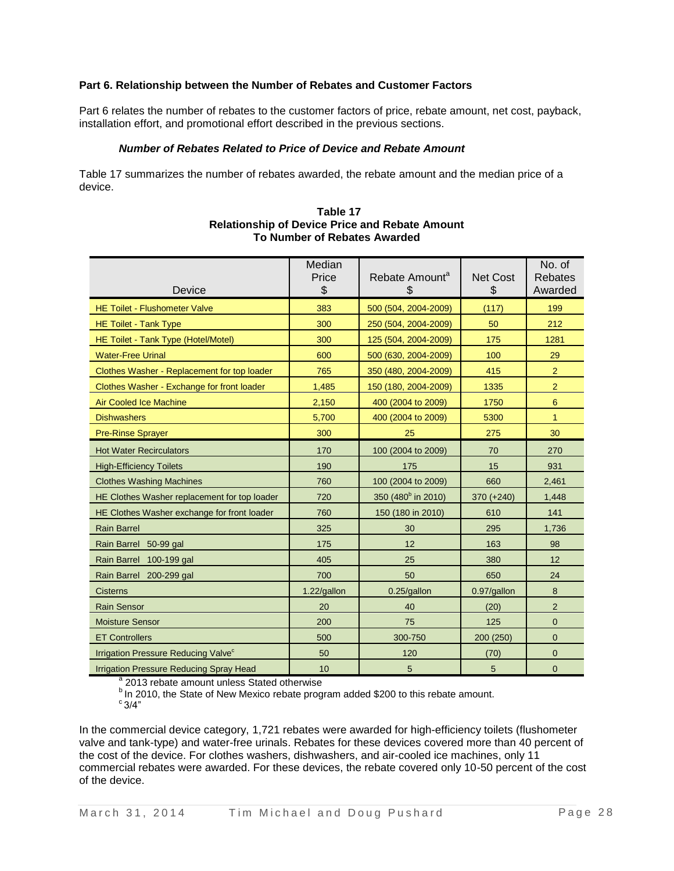### **Part 6. Relationship between the Number of Rebates and Customer Factors**

Part 6 relates the number of rebates to the customer factors of price, rebate amount, net cost, payback, installation effort, and promotional effort described in the previous sections.

#### *Number of Rebates Related to Price of Device and Rebate Amount*

Table 17 summarizes the number of rebates awarded, the rebate amount and the median price of a device.

| Device                                                | Median<br>Price<br>\$ | Rebate Amount <sup>a</sup><br>\$ | <b>Net Cost</b><br>\$ | No. of<br>Rebates<br>Awarded |
|-------------------------------------------------------|-----------------------|----------------------------------|-----------------------|------------------------------|
| <b>HE Toilet - Flushometer Valve</b>                  | 383                   | 500 (504, 2004-2009)             | (117)                 | 199                          |
| <b>HE Toilet - Tank Type</b>                          | 300                   | 250 (504, 2004-2009)             | 50                    | 212                          |
| HE Toilet - Tank Type (Hotel/Motel)                   | 300                   | 125 (504, 2004-2009)             | 175                   | 1281                         |
| <b>Water-Free Urinal</b>                              | 600                   | 500 (630, 2004-2009)             | 100                   | 29                           |
| Clothes Washer - Replacement for top loader           | 765                   | 350 (480, 2004-2009)             | 415                   | $\overline{2}$               |
| Clothes Washer - Exchange for front loader            | 1,485                 | 150 (180, 2004-2009)             | 1335                  | $\overline{2}$               |
| <b>Air Cooled Ice Machine</b>                         | 2,150                 | 400 (2004 to 2009)               | 1750                  | 6                            |
| <b>Dishwashers</b>                                    | 5,700                 | 400 (2004 to 2009)               | 5300                  | $\mathbf{1}$                 |
| <b>Pre-Rinse Sprayer</b>                              | 300                   | 25                               | 275                   | 30                           |
| <b>Hot Water Recirculators</b>                        | 170                   | 100 (2004 to 2009)               | 70                    | 270                          |
| <b>High-Efficiency Toilets</b>                        | 190                   | 175                              | 15                    | 931                          |
| <b>Clothes Washing Machines</b>                       | 760                   | 100 (2004 to 2009)               | 660                   | 2,461                        |
| HE Clothes Washer replacement for top loader          | 720                   | 350 (480 <sup>b</sup> in 2010)   | $370 (+240)$          | 1,448                        |
| HE Clothes Washer exchange for front loader           | 760                   | 150 (180 in 2010)                | 610                   | 141                          |
| <b>Rain Barrel</b>                                    | 325                   | 30                               | 295                   | 1,736                        |
| Rain Barrel 50-99 gal                                 | 175                   | 12                               | 163                   | 98                           |
| Rain Barrel 100-199 gal                               | 405                   | 25                               | 380                   | 12                           |
| Rain Barrel 200-299 gal                               | 700                   | 50                               | 650                   | 24                           |
| <b>Cisterns</b>                                       | 1.22/gallon           | 0.25/gallon                      | 0.97/gallon           | 8                            |
| <b>Rain Sensor</b>                                    | 20                    | 40                               | (20)                  | $\overline{2}$               |
| <b>Moisture Sensor</b>                                | 200                   | 75                               | 125                   | $\overline{0}$               |
| <b>ET Controllers</b>                                 | 500                   | 300-750                          | 200 (250)             | $\mathbf 0$                  |
| <b>Irrigation Pressure Reducing Valve<sup>c</sup></b> | 50                    | 120                              | (70)                  | $\mathbf 0$                  |
| <b>Irrigation Pressure Reducing Spray Head</b>        | 10                    | 5                                | 5                     | $\mathbf{0}$                 |

#### **Table 17 Relationship of Device Price and Rebate Amount To Number of Rebates Awarded**

<sup>a</sup> 2013 rebate amount unless Stated otherwise

bIn 2010, the State of New Mexico rebate program added \$200 to this rebate amount.  $c_{3/4"}$ 

In the commercial device category, 1,721 rebates were awarded for high-efficiency toilets (flushometer valve and tank-type) and water-free urinals. Rebates for these devices covered more than 40 percent of the cost of the device. For clothes washers, dishwashers, and air-cooled ice machines, only 11 commercial rebates were awarded. For these devices, the rebate covered only 10-50 percent of the cost of the device.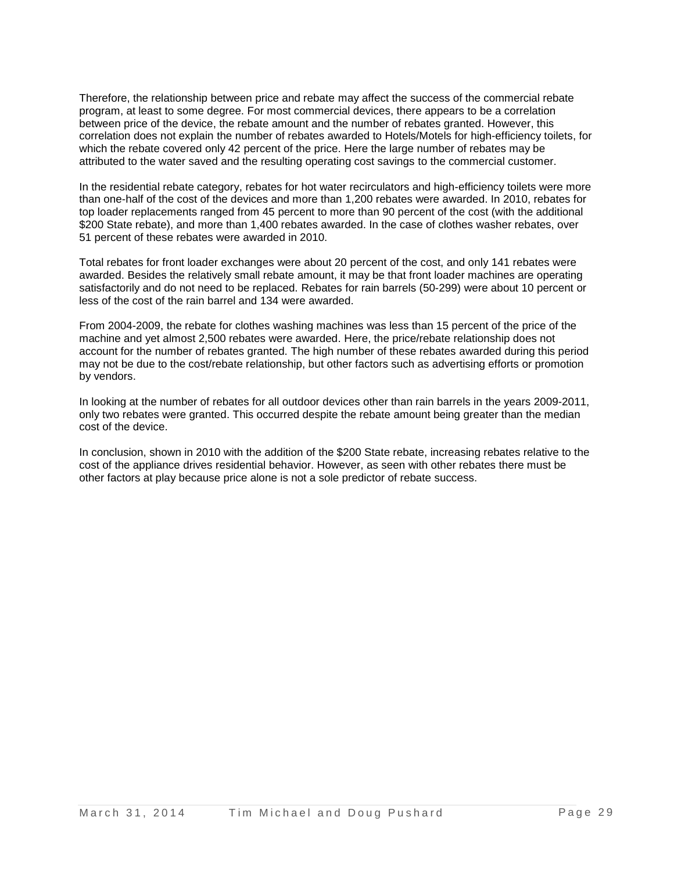Therefore, the relationship between price and rebate may affect the success of the commercial rebate program, at least to some degree. For most commercial devices, there appears to be a correlation between price of the device, the rebate amount and the number of rebates granted. However, this correlation does not explain the number of rebates awarded to Hotels/Motels for high-efficiency toilets, for which the rebate covered only 42 percent of the price. Here the large number of rebates may be attributed to the water saved and the resulting operating cost savings to the commercial customer.

In the residential rebate category, rebates for hot water recirculators and high-efficiency toilets were more than one-half of the cost of the devices and more than 1,200 rebates were awarded. In 2010, rebates for top loader replacements ranged from 45 percent to more than 90 percent of the cost (with the additional \$200 State rebate), and more than 1,400 rebates awarded. In the case of clothes washer rebates, over 51 percent of these rebates were awarded in 2010.

Total rebates for front loader exchanges were about 20 percent of the cost, and only 141 rebates were awarded. Besides the relatively small rebate amount, it may be that front loader machines are operating satisfactorily and do not need to be replaced. Rebates for rain barrels (50-299) were about 10 percent or less of the cost of the rain barrel and 134 were awarded.

From 2004-2009, the rebate for clothes washing machines was less than 15 percent of the price of the machine and yet almost 2,500 rebates were awarded. Here, the price/rebate relationship does not account for the number of rebates granted. The high number of these rebates awarded during this period may not be due to the cost/rebate relationship, but other factors such as advertising efforts or promotion by vendors.

In looking at the number of rebates for all outdoor devices other than rain barrels in the years 2009-2011, only two rebates were granted. This occurred despite the rebate amount being greater than the median cost of the device.

In conclusion, shown in 2010 with the addition of the \$200 State rebate, increasing rebates relative to the cost of the appliance drives residential behavior. However, as seen with other rebates there must be other factors at play because price alone is not a sole predictor of rebate success.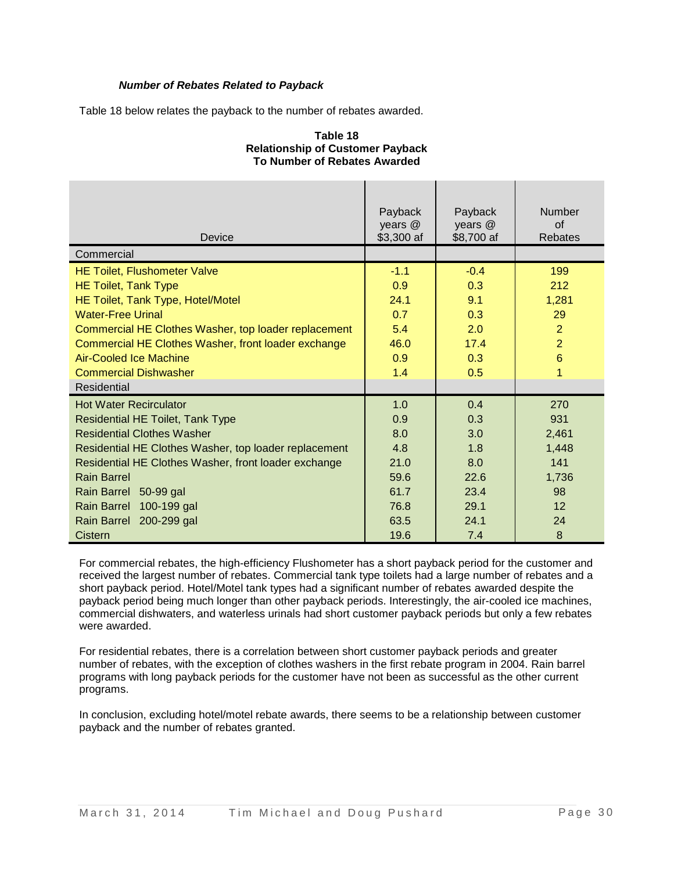## *Number of Rebates Related to Payback*

Table 18 below relates the payback to the number of rebates awarded.

#### **Table 18 Relationship of Customer Payback To Number of Rebates Awarded**

| Device                                                | Payback<br>years @<br>\$3,300 af | Payback<br>years @<br>\$8,700 af | <b>Number</b><br>$\Omega$<br>Rebates |
|-------------------------------------------------------|----------------------------------|----------------------------------|--------------------------------------|
| Commercial                                            |                                  |                                  |                                      |
| <b>HE Toilet, Flushometer Valve</b>                   | $-1.1$                           | $-0.4$                           | 199                                  |
| <b>HE Toilet, Tank Type</b>                           | 0.9                              | 0.3                              | 212                                  |
| HE Toilet, Tank Type, Hotel/Motel                     | 24.1                             | 9.1                              | 1,281                                |
| <b>Water-Free Urinal</b>                              | 0.7                              | 0.3                              | 29                                   |
| Commercial HE Clothes Washer, top loader replacement  | 5.4                              | 2.0                              | $\overline{2}$                       |
| Commercial HE Clothes Washer, front loader exchange   | 46.0                             | 17.4                             | $\overline{2}$                       |
| <b>Air-Cooled Ice Machine</b>                         | 0.9                              | 0.3                              | $6\phantom{1}$                       |
| <b>Commercial Dishwasher</b>                          | 1.4                              | 0.5                              | 1                                    |
| Residential                                           |                                  |                                  |                                      |
| <b>Hot Water Recirculator</b>                         | 1.0                              | 0.4                              | 270                                  |
| <b>Residential HE Toilet, Tank Type</b>               | 0.9                              | 0.3                              | 931                                  |
| <b>Residential Clothes Washer</b>                     | 8.0                              | 3.0                              | 2,461                                |
| Residential HE Clothes Washer, top loader replacement | 4.8                              | 1.8                              | 1,448                                |
| Residential HE Clothes Washer, front loader exchange  | 21.0                             | 8.0                              | 141                                  |
| <b>Rain Barrel</b>                                    | 59.6                             | 22.6                             | 1,736                                |
| Rain Barrel 50-99 gal                                 | 61.7                             | 23.4                             | 98                                   |
| 100-199 gal<br><b>Rain Barrel</b>                     | 76.8                             | 29.1                             | 12                                   |
| Rain Barrel 200-299 gal                               | 63.5                             | 24.1                             | 24                                   |
| Cistern                                               | 19.6                             | 7.4                              | 8                                    |

For commercial rebates, the high-efficiency Flushometer has a short payback period for the customer and received the largest number of rebates. Commercial tank type toilets had a large number of rebates and a short payback period. Hotel/Motel tank types had a significant number of rebates awarded despite the payback period being much longer than other payback periods. Interestingly, the air-cooled ice machines, commercial dishwaters, and waterless urinals had short customer payback periods but only a few rebates were awarded.

For residential rebates, there is a correlation between short customer payback periods and greater number of rebates, with the exception of clothes washers in the first rebate program in 2004. Rain barrel programs with long payback periods for the customer have not been as successful as the other current programs.

In conclusion, excluding hotel/motel rebate awards, there seems to be a relationship between customer payback and the number of rebates granted.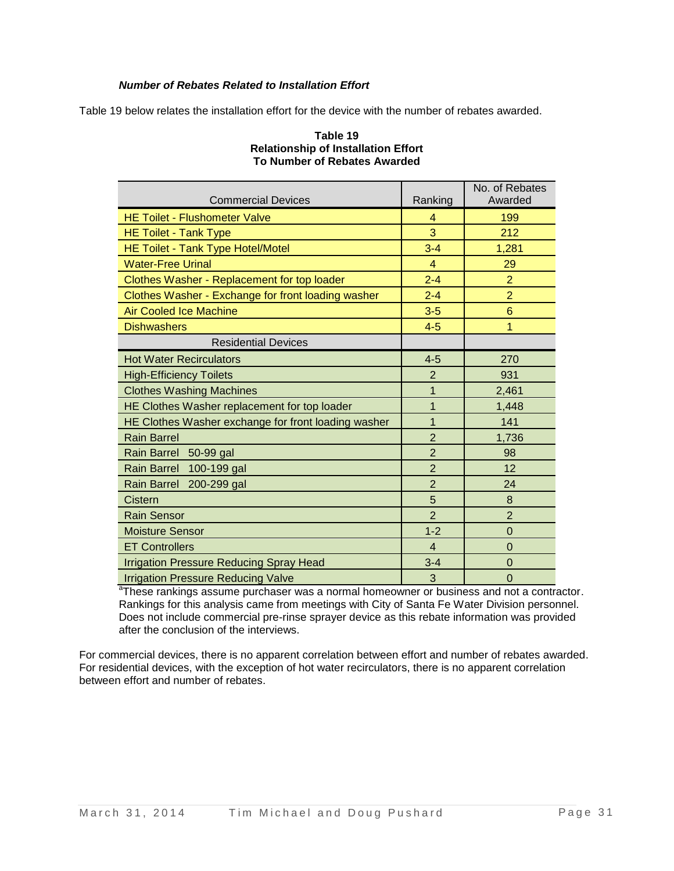## *Number of Rebates Related to Installation Effort*

Table 19 below relates the installation effort for the device with the number of rebates awarded.

|                                                     |                | No. of Rebates |
|-----------------------------------------------------|----------------|----------------|
| <b>Commercial Devices</b>                           | Ranking        | Awarded        |
| <b>HE Toilet - Flushometer Valve</b>                | 4              | 199            |
| <b>HE Toilet - Tank Type</b>                        | 3              | 212            |
| HE Toilet - Tank Type Hotel/Motel                   | $3 - 4$        | 1,281          |
| <b>Water-Free Urinal</b>                            | 4              | 29             |
| Clothes Washer - Replacement for top loader         | $2 - 4$        | $\overline{2}$ |
| Clothes Washer - Exchange for front loading washer  | $2 - 4$        | $\overline{2}$ |
| <b>Air Cooled Ice Machine</b>                       | $3-5$          | 6              |
| <b>Dishwashers</b>                                  | $4-5$          | 1              |
| <b>Residential Devices</b>                          |                |                |
| <b>Hot Water Recirculators</b>                      | $4 - 5$        | 270            |
| <b>High-Efficiency Toilets</b>                      | $\overline{2}$ | 931            |
| <b>Clothes Washing Machines</b>                     | 1              | 2,461          |
| HE Clothes Washer replacement for top loader        | 1              | 1,448          |
| HE Clothes Washer exchange for front loading washer | $\overline{1}$ | 141            |
| <b>Rain Barrel</b>                                  | $\overline{2}$ | 1,736          |
| Rain Barrel 50-99 gal                               | $\overline{2}$ | 98             |
| Rain Barrel 100-199 gal                             | $\overline{2}$ | 12             |
| Rain Barrel 200-299 gal                             | $\overline{2}$ | 24             |
| Cistern                                             | 5              | 8              |
| <b>Rain Sensor</b>                                  | $\overline{2}$ | $\overline{2}$ |
| <b>Moisture Sensor</b>                              | $1 - 2$        | $\mathbf 0$    |
| <b>ET Controllers</b>                               | $\overline{4}$ | $\Omega$       |
| <b>Irrigation Pressure Reducing Spray Head</b>      | $3 - 4$        | $\Omega$       |
| <b>Irrigation Pressure Reducing Valve</b>           | 3              | $\overline{0}$ |

#### **Table 19 Relationship of Installation Effort To Number of Rebates Awarded**

<sup>a</sup>These rankings assume purchaser was a normal homeowner or business and not a contractor. Rankings for this analysis came from meetings with City of Santa Fe Water Division personnel. Does not include commercial pre-rinse sprayer device as this rebate information was provided after the conclusion of the interviews.

For commercial devices, there is no apparent correlation between effort and number of rebates awarded. For residential devices, with the exception of hot water recirculators, there is no apparent correlation between effort and number of rebates.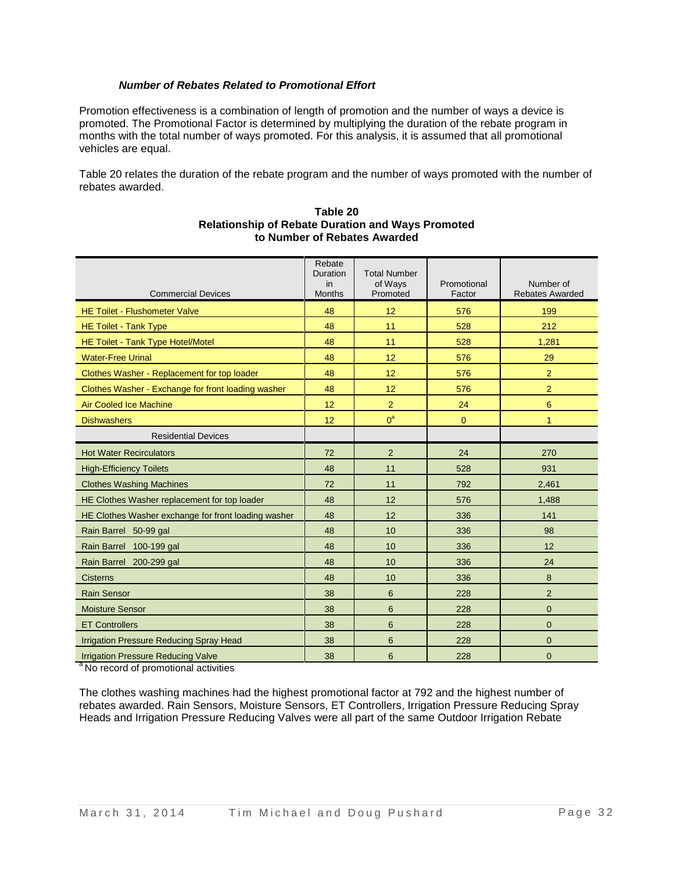## *Number of Rebates Related to Promotional Effort*

Promotion effectiveness is a combination of length of promotion and the number of ways a device is promoted. The Promotional Factor is determined by multiplying the duration of the rebate program in months with the total number of ways promoted. For this analysis, it is assumed that all promotional vehicles are equal.

Table 20 relates the duration of the rebate program and the number of ways promoted with the number of rebates awarded.

| <b>Commercial Devices</b>                           | Rebate<br><b>Duration</b><br>in<br><b>Months</b> | <b>Total Number</b><br>of Ways<br>Promoted | Promotional<br>Factor | Number of<br><b>Rebates Awarded</b> |
|-----------------------------------------------------|--------------------------------------------------|--------------------------------------------|-----------------------|-------------------------------------|
| <b>HE Toilet - Flushometer Valve</b>                | 48                                               | 12                                         | 576                   | 199                                 |
| <b>HE Toilet - Tank Type</b>                        | 48                                               | 11                                         | 528                   | 212                                 |
| HE Toilet - Tank Type Hotel/Motel                   | 48                                               | 11                                         | 528                   | 1,281                               |
| <b>Water-Free Urinal</b>                            | 48                                               | 12                                         | 576                   | 29                                  |
| Clothes Washer - Replacement for top loader         | 48                                               | 12                                         | 576                   | $\overline{2}$                      |
| Clothes Washer - Exchange for front loading washer  | 48                                               | 12                                         | 576                   | $\overline{2}$                      |
| <b>Air Cooled Ice Machine</b>                       | 12                                               | $\overline{2}$                             | 24                    | 6                                   |
| <b>Dishwashers</b>                                  | 12                                               | $0^a$                                      | $\mathbf{0}$          | 1                                   |
| <b>Residential Devices</b>                          |                                                  |                                            |                       |                                     |
| <b>Hot Water Recirculators</b>                      | 72                                               | $\overline{2}$                             | 24                    | 270                                 |
| <b>High-Efficiency Toilets</b>                      | 48                                               | 11                                         | 528                   | 931                                 |
| <b>Clothes Washing Machines</b>                     | 72                                               | 11                                         | 792                   | 2,461                               |
| HE Clothes Washer replacement for top loader        | 48                                               | 12                                         | 576                   | 1,488                               |
| HE Clothes Washer exchange for front loading washer | 48                                               | 12                                         | 336                   | 141                                 |
| Rain Barrel 50-99 gal                               | 48                                               | 10                                         | 336                   | 98                                  |
| Rain Barrel 100-199 gal                             | 48                                               | 10                                         | 336                   | 12                                  |
| Rain Barrel 200-299 gal                             | 48                                               | 10                                         | 336                   | 24                                  |
| <b>Cisterns</b>                                     | 48                                               | 10                                         | 336                   | 8                                   |
| <b>Rain Sensor</b>                                  | 38                                               | 6                                          | 228                   | $\overline{2}$                      |
| <b>Moisture Sensor</b>                              | 38                                               | 6                                          | 228                   | $\mathbf 0$                         |
| <b>ET Controllers</b>                               | 38                                               | 6                                          | 228                   | $\overline{0}$                      |
| <b>Irrigation Pressure Reducing Spray Head</b>      | 38                                               | 6                                          | 228                   | $\overline{0}$                      |
| <b>Irrigation Pressure Reducing Valve</b>           | 38                                               | 6                                          | 228                   | $\overline{0}$                      |

#### **Table 20 Relationship of Rebate Duration and Ways Promoted to Number of Rebates Awarded**

<sup>a</sup> No record of promotional activities

The clothes washing machines had the highest promotional factor at 792 and the highest number of rebates awarded. Rain Sensors, Moisture Sensors, ET Controllers, Irrigation Pressure Reducing Spray Heads and Irrigation Pressure Reducing Valves were all part of the same Outdoor Irrigation Rebate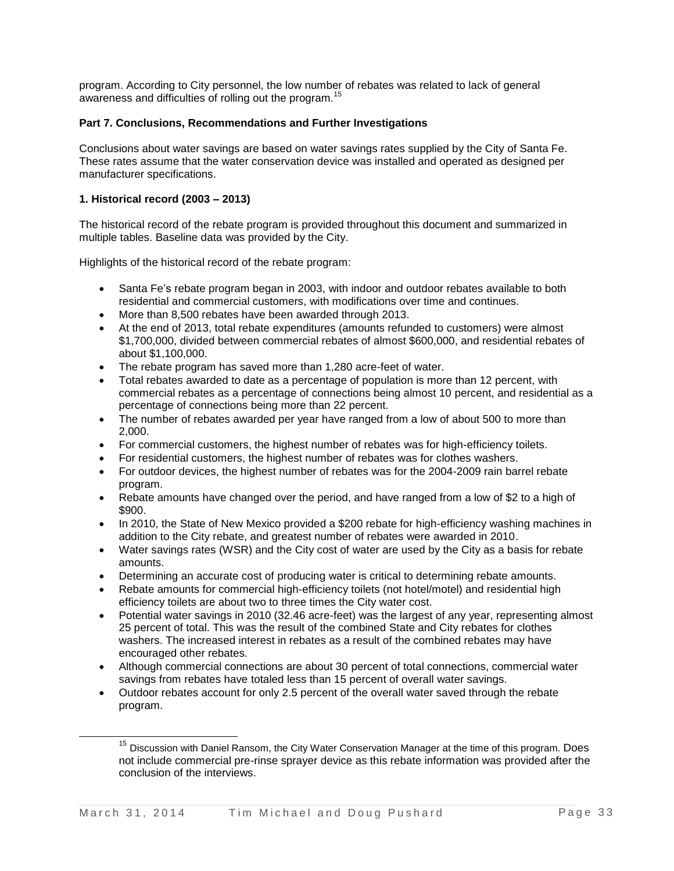program. According to City personnel, the low number of rebates was related to lack of general awareness and difficulties of rolling out the program.<sup>15</sup>

#### **Part 7. Conclusions, Recommendations and Further Investigations**

Conclusions about water savings are based on water savings rates supplied by the City of Santa Fe. These rates assume that the water conservation device was installed and operated as designed per manufacturer specifications.

#### **1. Historical record (2003 – 2013)**

l

The historical record of the rebate program is provided throughout this document and summarized in multiple tables. Baseline data was provided by the City.

Highlights of the historical record of the rebate program:

- Santa Fe's rebate program began in 2003, with indoor and outdoor rebates available to both residential and commercial customers, with modifications over time and continues.
- More than 8,500 rebates have been awarded through 2013.
- At the end of 2013, total rebate expenditures (amounts refunded to customers) were almost \$1,700,000, divided between commercial rebates of almost \$600,000, and residential rebates of about \$1,100,000.
- The rebate program has saved more than 1,280 acre-feet of water.
- Total rebates awarded to date as a percentage of population is more than 12 percent, with commercial rebates as a percentage of connections being almost 10 percent, and residential as a percentage of connections being more than 22 percent.
- The number of rebates awarded per year have ranged from a low of about 500 to more than 2,000.
- For commercial customers, the highest number of rebates was for high-efficiency toilets.
- For residential customers, the highest number of rebates was for clothes washers.
- For outdoor devices, the highest number of rebates was for the 2004-2009 rain barrel rebate program.
- Rebate amounts have changed over the period, and have ranged from a low of \$2 to a high of \$900.
- In 2010, the State of New Mexico provided a \$200 rebate for high-efficiency washing machines in addition to the City rebate, and greatest number of rebates were awarded in 2010.
- Water savings rates (WSR) and the City cost of water are used by the City as a basis for rebate amounts.
- Determining an accurate cost of producing water is critical to determining rebate amounts.
- Rebate amounts for commercial high-efficiency toilets (not hotel/motel) and residential high efficiency toilets are about two to three times the City water cost.
- Potential water savings in 2010 (32.46 acre-feet) was the largest of any year, representing almost 25 percent of total. This was the result of the combined State and City rebates for clothes washers. The increased interest in rebates as a result of the combined rebates may have encouraged other rebates.
- Although commercial connections are about 30 percent of total connections, commercial water savings from rebates have totaled less than 15 percent of overall water savings.
- Outdoor rebates account for only 2.5 percent of the overall water saved through the rebate program.

<sup>&</sup>lt;sup>15</sup> Discussion with Daniel Ransom, the City Water Conservation Manager at the time of this program. Does not include commercial pre-rinse sprayer device as this rebate information was provided after the conclusion of the interviews.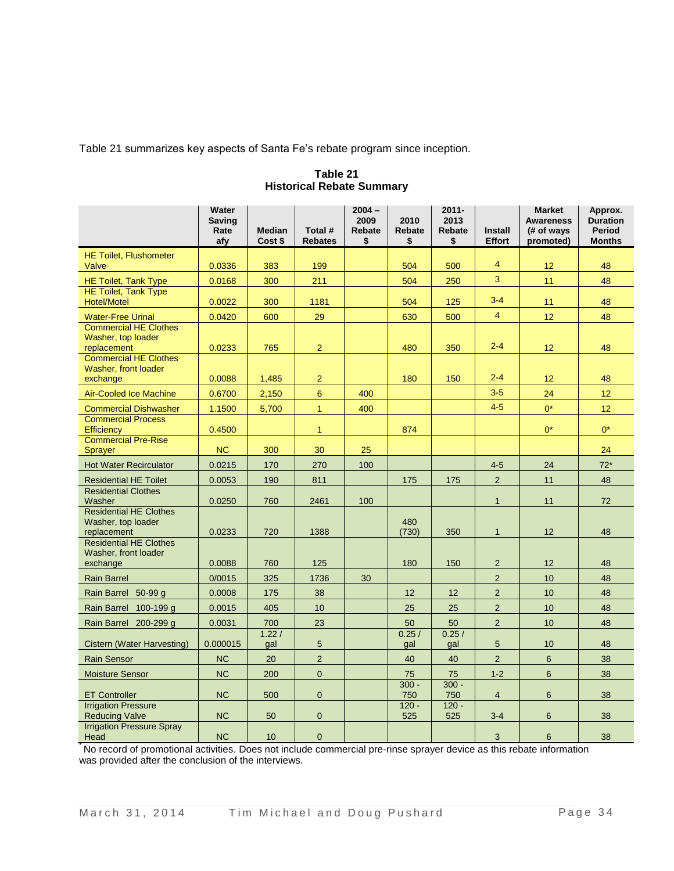Table 21 summarizes key aspects of Santa Fe's rebate program since inception.

|                                                                         | Water<br><b>Saving</b><br>Rate<br>afy | <b>Median</b><br>Cost \$ | Total #<br><b>Rebates</b> | $2004 -$<br>2009<br><b>Rebate</b><br>\$ | 2010<br>Rebate<br>\$ | $2011 -$<br>2013<br>Rebate<br>\$ | <b>Install</b><br><b>Effort</b> | <b>Market</b><br><b>Awareness</b><br>(# of ways<br>promoted) | Approx.<br><b>Duration</b><br><b>Period</b><br><b>Months</b> |
|-------------------------------------------------------------------------|---------------------------------------|--------------------------|---------------------------|-----------------------------------------|----------------------|----------------------------------|---------------------------------|--------------------------------------------------------------|--------------------------------------------------------------|
| <b>HE Toilet, Flushometer</b><br>Valve                                  | 0.0336                                | 383                      | 199                       |                                         | 504                  | 500                              | $\overline{4}$                  | 12                                                           | 48                                                           |
| <b>HE Toilet, Tank Type</b>                                             | 0.0168                                | 300                      | 211                       |                                         | 504                  | 250                              | 3                               | 11                                                           | 48                                                           |
| <b>HE Toilet, Tank Type</b><br><b>Hotel/Motel</b>                       | 0.0022                                | 300                      | 1181                      |                                         | 504                  | 125                              | $3 - 4$                         | 11                                                           | 48                                                           |
| <b>Water-Free Urinal</b>                                                | 0.0420                                | 600                      | 29                        |                                         | 630                  | 500                              | $\overline{4}$                  | 12                                                           | 48                                                           |
| <b>Commercial HE Clothes</b><br>Washer, top loader<br>replacement       | 0.0233                                | 765                      | $\overline{\mathbf{c}}$   |                                         | 480                  | 350                              | $2 - 4$                         | 12                                                           | 48                                                           |
| <b>Commercial HE Clothes</b><br><b>Washer, front loader</b><br>exchange | 0.0088                                | 1,485                    | $\mathbf 2$               |                                         | 180                  | 150                              | $2 - 4$                         | 12 <sup>°</sup>                                              | 48                                                           |
| <b>Air-Cooled Ice Machine</b>                                           | 0.6700                                | 2,150                    | $6\phantom{a}$            | 400                                     |                      |                                  | $3-5$                           | 24                                                           | 12                                                           |
| <b>Commercial Dishwasher</b>                                            | 1.1500                                | 5,700                    | $\mathbf{1}$              | 400                                     |                      |                                  | $4-5$                           | $0^*$                                                        | 12 <sub>2</sub>                                              |
| <b>Commercial Process</b><br>Efficiency                                 | 0.4500                                |                          | $\mathbf{1}$              |                                         | 874                  |                                  |                                 | $0^*$                                                        | $0^*$                                                        |
| <b>Commercial Pre-Rise</b><br><b>Sprayer</b>                            | <b>NC</b>                             | 300                      | 30                        | 25                                      |                      |                                  |                                 |                                                              | 24                                                           |
| <b>Hot Water Recirculator</b>                                           | 0.0215                                | 170                      | 270                       | 100                                     |                      |                                  | $4-5$                           | 24                                                           | $72*$                                                        |
| <b>Residential HE Toilet</b>                                            | 0.0053                                | 190                      | 811                       |                                         | 175                  | 175                              | $\overline{2}$                  | 11                                                           | 48                                                           |
| <b>Residential Clothes</b><br>Washer                                    | 0.0250                                | 760                      | 2461                      | 100                                     |                      |                                  | $\mathbf{1}$                    | 11                                                           | 72                                                           |
| <b>Residential HE Clothes</b><br>Washer, top loader<br>replacement      | 0.0233                                | 720                      | 1388                      |                                         | 480<br>(730)         | 350                              | $\mathbf{1}$                    | 12                                                           | 48                                                           |
| <b>Residential HE Clothes</b><br>Washer, front loader<br>exchange       | 0.0088                                | 760                      | 125                       |                                         | 180                  | 150                              | $\overline{2}$                  | 12                                                           | 48                                                           |
| <b>Rain Barrel</b>                                                      | 0/0015                                | 325                      | 1736                      | 30                                      |                      |                                  | $\overline{2}$                  | 10                                                           | 48                                                           |
| Rain Barrel 50-99 g                                                     | 0.0008                                | 175                      | 38                        |                                         | 12                   | 12                               | $\overline{c}$                  | 10                                                           | 48                                                           |
| Rain Barrel 100-199 g                                                   | 0.0015                                | 405                      | 10                        |                                         | 25                   | 25                               | $\overline{c}$                  | 10                                                           | 48                                                           |
| Rain Barrel 200-299 g                                                   | 0.0031                                | 700                      | 23                        |                                         | 50                   | 50                               | $\overline{2}$                  | 10                                                           | 48                                                           |
| Cistern (Water Harvesting)                                              | 0.000015                              | 1.22/<br>gal             | $\sqrt{5}$                |                                         | 0.25/<br>gal         | 0.25/<br>gal                     | $5\phantom{.0}$                 | 10                                                           | 48                                                           |
| <b>Rain Sensor</b>                                                      | <b>NC</b>                             | 20                       | $\overline{2}$            |                                         | 40                   | 40                               | $\overline{2}$                  | $6\phantom{1}$                                               | 38                                                           |
| <b>Moisture Sensor</b>                                                  | <b>NC</b>                             | 200                      | $\mathbf 0$               |                                         | 75                   | 75                               | $1 - 2$                         | 6                                                            | 38                                                           |
| <b>ET Controller</b>                                                    | <b>NC</b>                             | 500                      | $\mathbf 0$               |                                         | $300 -$<br>750       | $300 -$<br>750                   | $\overline{4}$                  | 6                                                            | 38                                                           |
| <b>Irrigation Pressure</b><br><b>Reducing Valve</b>                     | <b>NC</b>                             | 50                       | $\mathbf{0}$              |                                         | $120 -$<br>525       | $120 -$<br>525                   | $3-4$                           | 6                                                            | 38                                                           |
| <b>Irrigation Pressure Spray</b><br>Head                                | <b>NC</b>                             | 10                       | $\overline{0}$            |                                         |                      |                                  | 3                               | 6                                                            | 38                                                           |

**Table 21 Historical Rebate Summary**

\* No record of promotional activities. Does not include commercial pre-rinse sprayer device as this rebate information was provided after the conclusion of the interviews.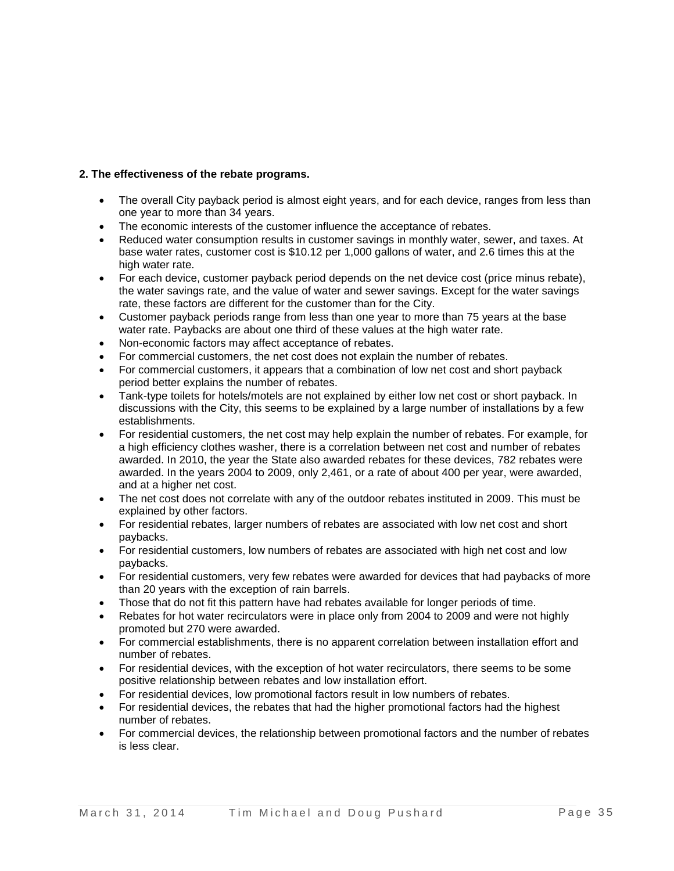## **2. The effectiveness of the rebate programs.**

- The overall City payback period is almost eight years, and for each device, ranges from less than one year to more than 34 years.
- The economic interests of the customer influence the acceptance of rebates.
- Reduced water consumption results in customer savings in monthly water, sewer, and taxes. At base water rates, customer cost is \$10.12 per 1,000 gallons of water, and 2.6 times this at the high water rate.
- For each device, customer payback period depends on the net device cost (price minus rebate), the water savings rate, and the value of water and sewer savings. Except for the water savings rate, these factors are different for the customer than for the City.
- Customer payback periods range from less than one year to more than 75 years at the base water rate. Paybacks are about one third of these values at the high water rate.
- Non-economic factors may affect acceptance of rebates.
- For commercial customers, the net cost does not explain the number of rebates.
- For commercial customers, it appears that a combination of low net cost and short payback period better explains the number of rebates.
- Tank-type toilets for hotels/motels are not explained by either low net cost or short payback. In discussions with the City, this seems to be explained by a large number of installations by a few establishments.
- For residential customers, the net cost may help explain the number of rebates. For example, for a high efficiency clothes washer, there is a correlation between net cost and number of rebates awarded. In 2010, the year the State also awarded rebates for these devices, 782 rebates were awarded. In the years 2004 to 2009, only 2,461, or a rate of about 400 per year, were awarded, and at a higher net cost.
- The net cost does not correlate with any of the outdoor rebates instituted in 2009. This must be explained by other factors.
- For residential rebates, larger numbers of rebates are associated with low net cost and short paybacks.
- For residential customers, low numbers of rebates are associated with high net cost and low paybacks.
- For residential customers, very few rebates were awarded for devices that had paybacks of more than 20 years with the exception of rain barrels.
- Those that do not fit this pattern have had rebates available for longer periods of time.
- Rebates for hot water recirculators were in place only from 2004 to 2009 and were not highly promoted but 270 were awarded.
- For commercial establishments, there is no apparent correlation between installation effort and number of rebates.
- For residential devices, with the exception of hot water recirculators, there seems to be some positive relationship between rebates and low installation effort.
- For residential devices, low promotional factors result in low numbers of rebates.
- For residential devices, the rebates that had the higher promotional factors had the highest number of rebates.
- For commercial devices, the relationship between promotional factors and the number of rebates is less clear.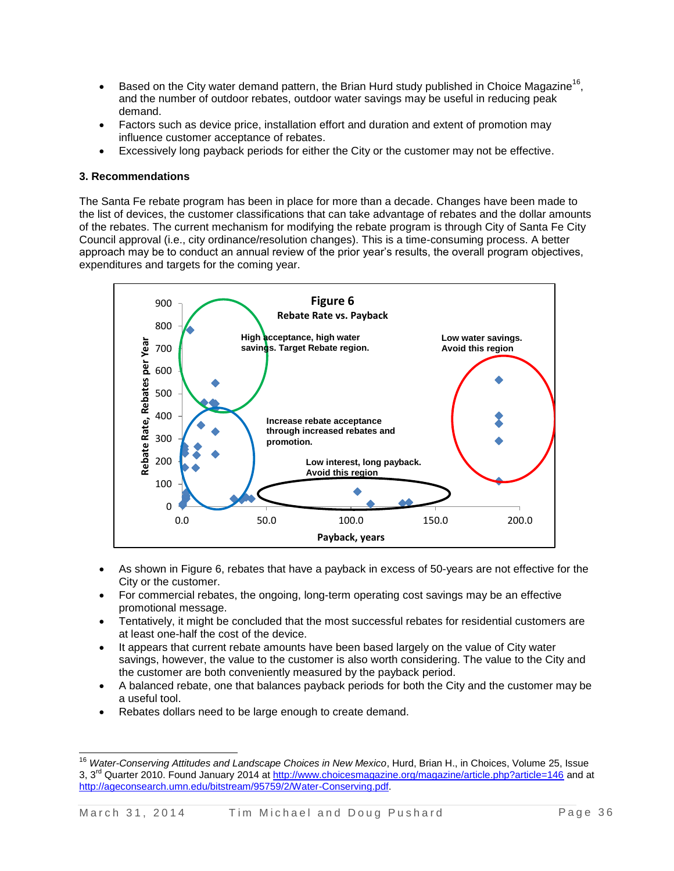- Based on the City water demand pattern, the Brian Hurd study published in Choice Magazine<sup>16</sup>, and the number of outdoor rebates, outdoor water savings may be useful in reducing peak demand.
- Factors such as device price, installation effort and duration and extent of promotion may influence customer acceptance of rebates.
- Excessively long payback periods for either the City or the customer may not be effective.

## **3. Recommendations**

 $\overline{a}$ 

The Santa Fe rebate program has been in place for more than a decade. Changes have been made to the list of devices, the customer classifications that can take advantage of rebates and the dollar amounts of the rebates. The current mechanism for modifying the rebate program is through City of Santa Fe City Council approval (i.e., city ordinance/resolution changes). This is a time-consuming process. A better approach may be to conduct an annual review of the prior year's results, the overall program objectives, expenditures and targets for the coming year.



- As shown in Figure 6, rebates that have a payback in excess of 50-years are not effective for the City or the customer.
- For commercial rebates, the ongoing, long-term operating cost savings may be an effective promotional message.
- Tentatively, it might be concluded that the most successful rebates for residential customers are at least one-half the cost of the device.
- It appears that current rebate amounts have been based largely on the value of City water savings, however, the value to the customer is also worth considering. The value to the City and the customer are both conveniently measured by the payback period.
- A balanced rebate, one that balances payback periods for both the City and the customer may be a useful tool.
- Rebates dollars need to be large enough to create demand.

<sup>16</sup> *Water-Conserving Attitudes and Landscape Choices in New Mexico*, Hurd, Brian H., in Choices, Volume 25, Issue 3, 3<sup>rd</sup> Quarter 2010. Found January 2014 at<http://www.choicesmagazine.org/magazine/article.php?article=146> and at [http://ageconsearch.umn.edu/bitstream/95759/2/Water-Conserving.pdf.](http://ageconsearch.umn.edu/bitstream/95759/2/Water-Conserving.pdf)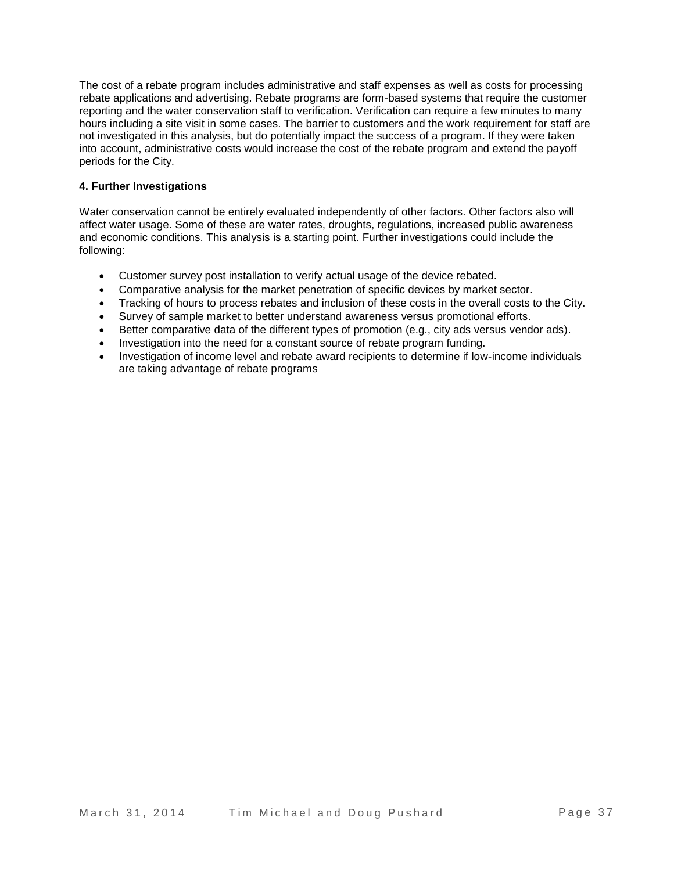The cost of a rebate program includes administrative and staff expenses as well as costs for processing rebate applications and advertising. Rebate programs are form-based systems that require the customer reporting and the water conservation staff to verification. Verification can require a few minutes to many hours including a site visit in some cases. The barrier to customers and the work requirement for staff are not investigated in this analysis, but do potentially impact the success of a program. If they were taken into account, administrative costs would increase the cost of the rebate program and extend the payoff periods for the City.

## **4. Further Investigations**

Water conservation cannot be entirely evaluated independently of other factors. Other factors also will affect water usage. Some of these are water rates, droughts, regulations, increased public awareness and economic conditions. This analysis is a starting point. Further investigations could include the following:

- Customer survey post installation to verify actual usage of the device rebated.
- Comparative analysis for the market penetration of specific devices by market sector.
- Tracking of hours to process rebates and inclusion of these costs in the overall costs to the City.
- Survey of sample market to better understand awareness versus promotional efforts.
- Better comparative data of the different types of promotion (e.g., city ads versus vendor ads).
- Investigation into the need for a constant source of rebate program funding.
- Investigation of income level and rebate award recipients to determine if low-income individuals are taking advantage of rebate programs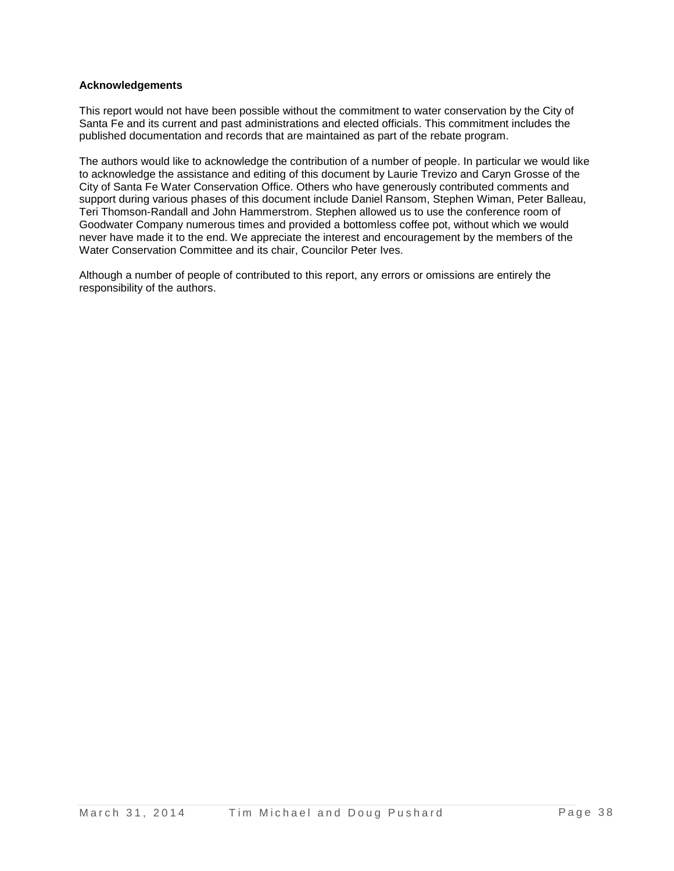#### **Acknowledgements**

This report would not have been possible without the commitment to water conservation by the City of Santa Fe and its current and past administrations and elected officials. This commitment includes the published documentation and records that are maintained as part of the rebate program.

The authors would like to acknowledge the contribution of a number of people. In particular we would like to acknowledge the assistance and editing of this document by Laurie Trevizo and Caryn Grosse of the City of Santa Fe Water Conservation Office. Others who have generously contributed comments and support during various phases of this document include Daniel Ransom, Stephen Wiman, Peter Balleau, Teri Thomson-Randall and John Hammerstrom. Stephen allowed us to use the conference room of Goodwater Company numerous times and provided a bottomless coffee pot, without which we would never have made it to the end. We appreciate the interest and encouragement by the members of the Water Conservation Committee and its chair, Councilor Peter Ives.

Although a number of people of contributed to this report, any errors or omissions are entirely the responsibility of the authors.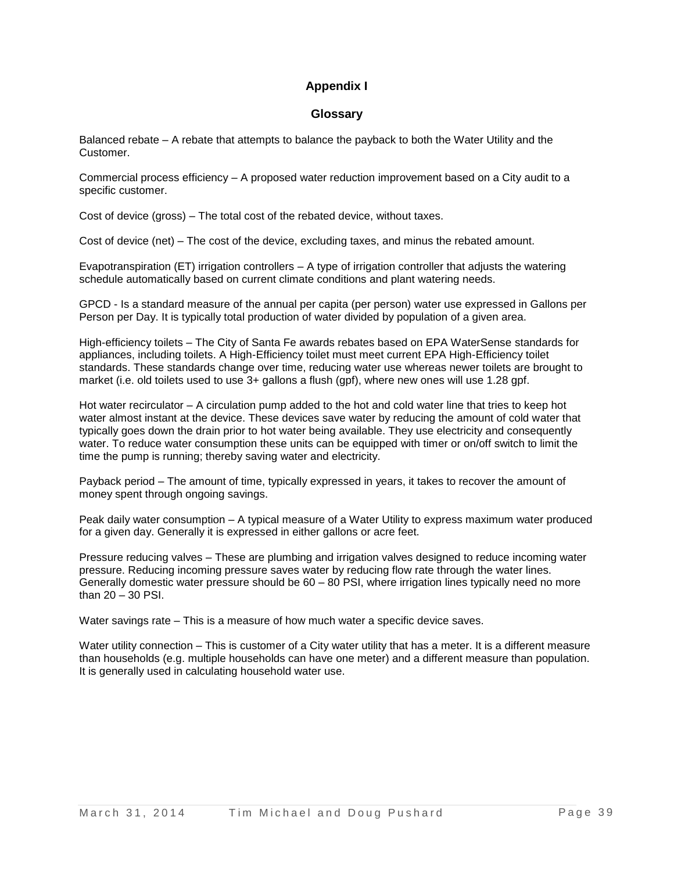## **Appendix I**

## **Glossary**

Balanced rebate – A rebate that attempts to balance the payback to both the Water Utility and the Customer.

Commercial process efficiency – A proposed water reduction improvement based on a City audit to a specific customer.

Cost of device (gross) – The total cost of the rebated device, without taxes.

Cost of device (net) – The cost of the device, excluding taxes, and minus the rebated amount.

Evapotranspiration (ET) irrigation controllers – A type of irrigation controller that adjusts the watering schedule automatically based on current climate conditions and plant watering needs.

GPCD - Is a standard measure of the annual per capita (per person) water use expressed in Gallons per Person per Day. It is typically total production of water divided by population of a given area.

High-efficiency toilets – The City of Santa Fe awards rebates based on EPA WaterSense standards for appliances, including toilets. A High-Efficiency toilet must meet current EPA High-Efficiency toilet standards. These standards change over time, reducing water use whereas newer toilets are brought to market (i.e. old toilets used to use 3+ gallons a flush (gpf), where new ones will use 1.28 gpf.

Hot water recirculator – A circulation pump added to the hot and cold water line that tries to keep hot water almost instant at the device. These devices save water by reducing the amount of cold water that typically goes down the drain prior to hot water being available. They use electricity and consequently water. To reduce water consumption these units can be equipped with timer or on/off switch to limit the time the pump is running; thereby saving water and electricity.

Payback period – The amount of time, typically expressed in years, it takes to recover the amount of money spent through ongoing savings.

Peak daily water consumption – A typical measure of a Water Utility to express maximum water produced for a given day. Generally it is expressed in either gallons or acre feet.

Pressure reducing valves – These are plumbing and irrigation valves designed to reduce incoming water pressure. Reducing incoming pressure saves water by reducing flow rate through the water lines. Generally domestic water pressure should be 60 – 80 PSI, where irrigation lines typically need no more than 20 – 30 PSI.

Water savings rate – This is a measure of how much water a specific device saves.

Water utility connection – This is customer of a City water utility that has a meter. It is a different measure than households (e.g. multiple households can have one meter) and a different measure than population. It is generally used in calculating household water use.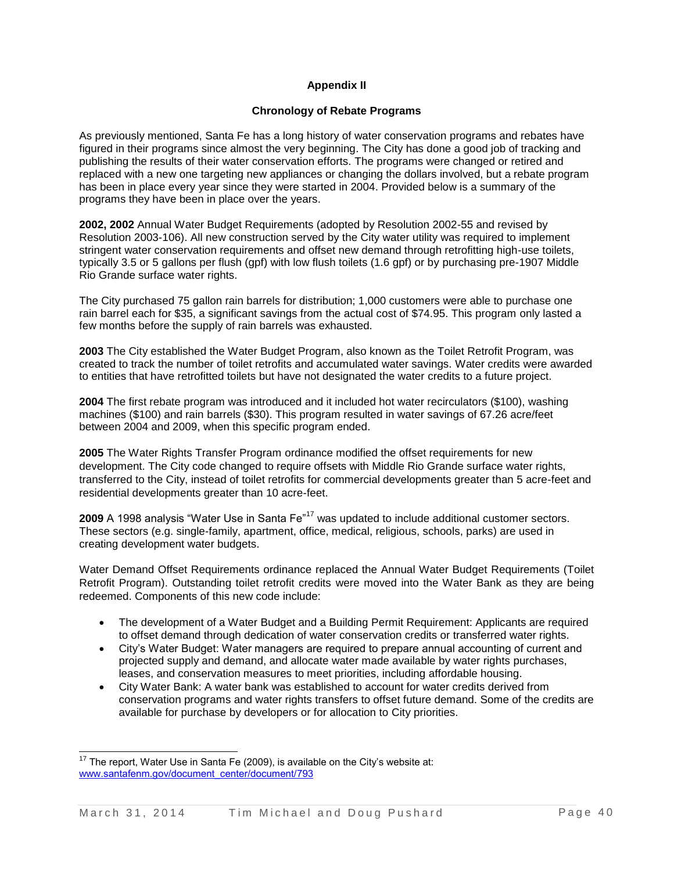## **Appendix II**

#### **Chronology of Rebate Programs**

As previously mentioned, Santa Fe has a long history of water conservation programs and rebates have figured in their programs since almost the very beginning. The City has done a good job of tracking and publishing the results of their water conservation efforts. The programs were changed or retired and replaced with a new one targeting new appliances or changing the dollars involved, but a rebate program has been in place every year since they were started in 2004. Provided below is a summary of the programs they have been in place over the years.

**2002, 2002** Annual Water Budget Requirements (adopted by Resolution 2002-55 and revised by Resolution 2003-106). All new construction served by the City water utility was required to implement stringent water conservation requirements and offset new demand through retrofitting high-use toilets, typically 3.5 or 5 gallons per flush (gpf) with low flush toilets (1.6 gpf) or by purchasing pre-1907 Middle Rio Grande surface water rights.

The City purchased 75 gallon rain barrels for distribution; 1,000 customers were able to purchase one rain barrel each for \$35, a significant savings from the actual cost of \$74.95. This program only lasted a few months before the supply of rain barrels was exhausted.

**2003** The City established the Water Budget Program, also known as the Toilet Retrofit Program, was created to track the number of toilet retrofits and accumulated water savings. Water credits were awarded to entities that have retrofitted toilets but have not designated the water credits to a future project.

**2004** The first rebate program was introduced and it included hot water recirculators (\$100), washing machines (\$100) and rain barrels (\$30). This program resulted in water savings of 67.26 acre/feet between 2004 and 2009, when this specific program ended.

**2005** The Water Rights Transfer Program ordinance modified the offset requirements for new development. The City code changed to require offsets with Middle Rio Grande surface water rights, transferred to the City, instead of toilet retrofits for commercial developments greater than 5 acre-feet and residential developments greater than 10 acre-feet.

2009 A 1998 analysis "Water Use in Santa Fe"<sup>17</sup> was updated to include additional customer sectors. These sectors (e.g. single-family, apartment, office, medical, religious, schools, parks) are used in creating development water budgets.

Water Demand Offset Requirements ordinance replaced the Annual Water Budget Requirements (Toilet Retrofit Program). Outstanding toilet retrofit credits were moved into the Water Bank as they are being redeemed. Components of this new code include:

- The development of a Water Budget and a Building Permit Requirement: Applicants are required to offset demand through dedication of water conservation credits or transferred water rights.
- City's Water Budget: Water managers are required to prepare annual accounting of current and projected supply and demand, and allocate water made available by water rights purchases, leases, and conservation measures to meet priorities, including affordable housing.
- City Water Bank: A water bank was established to account for water credits derived from conservation programs and water rights transfers to offset future demand. Some of the credits are available for purchase by developers or for allocation to City priorities.

l  $17$  The report, Water Use in Santa Fe (2009), is available on the City's website at: [www.santafenm.gov/document center/document/793](http://www.santafenm.gov/document_center/document/793‎)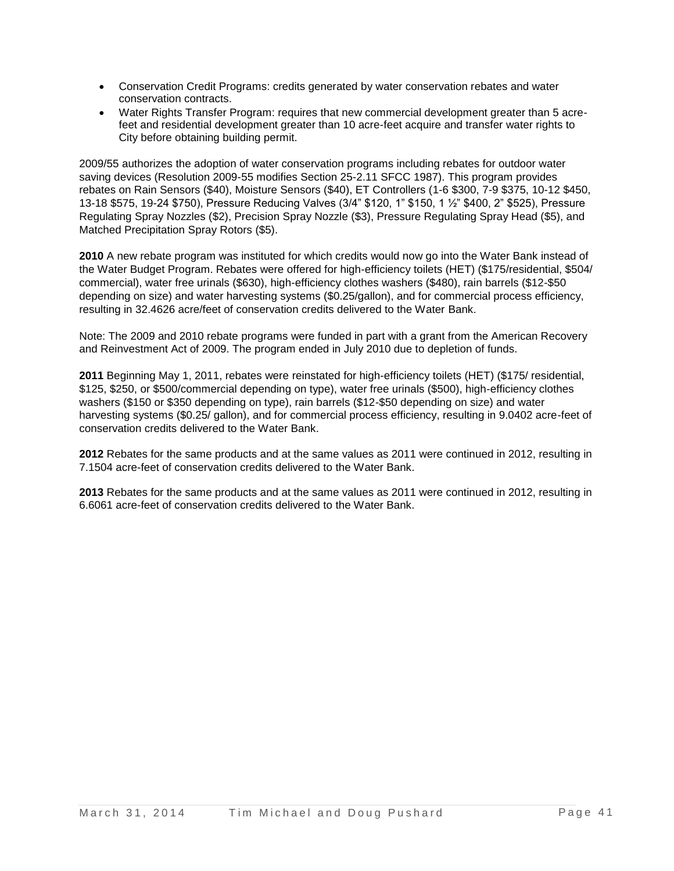- Conservation Credit Programs: credits generated by water conservation rebates and water conservation contracts.
- Water Rights Transfer Program: requires that new commercial development greater than 5 acrefeet and residential development greater than 10 acre-feet acquire and transfer water rights to City before obtaining building permit.

2009/55 authorizes the adoption of water conservation programs including rebates for outdoor water saving devices (Resolution 2009-55 modifies Section 25-2.11 SFCC 1987). This program provides rebates on Rain Sensors (\$40), Moisture Sensors (\$40), ET Controllers (1-6 \$300, 7-9 \$375, 10-12 \$450, 13-18 \$575, 19-24 \$750), Pressure Reducing Valves (3/4" \$120, 1" \$150, 1 ½" \$400, 2" \$525), Pressure Regulating Spray Nozzles (\$2), Precision Spray Nozzle (\$3), Pressure Regulating Spray Head (\$5), and Matched Precipitation Spray Rotors (\$5).

**2010** A new rebate program was instituted for which credits would now go into the Water Bank instead of the Water Budget Program. Rebates were offered for high-efficiency toilets (HET) (\$175/residential, \$504/ commercial), water free urinals (\$630), high-efficiency clothes washers (\$480), rain barrels (\$12-\$50 depending on size) and water harvesting systems (\$0.25/gallon), and for commercial process efficiency, resulting in 32.4626 acre/feet of conservation credits delivered to the Water Bank.

Note: The 2009 and 2010 rebate programs were funded in part with a grant from the American Recovery and Reinvestment Act of 2009. The program ended in July 2010 due to depletion of funds.

**2011** Beginning May 1, 2011, rebates were reinstated for high-efficiency toilets (HET) (\$175/ residential, \$125, \$250, or \$500/commercial depending on type), water free urinals (\$500), high-efficiency clothes washers (\$150 or \$350 depending on type), rain barrels (\$12-\$50 depending on size) and water harvesting systems (\$0.25/ gallon), and for commercial process efficiency, resulting in 9.0402 acre-feet of conservation credits delivered to the Water Bank.

**2012** Rebates for the same products and at the same values as 2011 were continued in 2012, resulting in 7.1504 acre-feet of conservation credits delivered to the Water Bank.

**2013** Rebates for the same products and at the same values as 2011 were continued in 2012, resulting in 6.6061 acre-feet of conservation credits delivered to the Water Bank.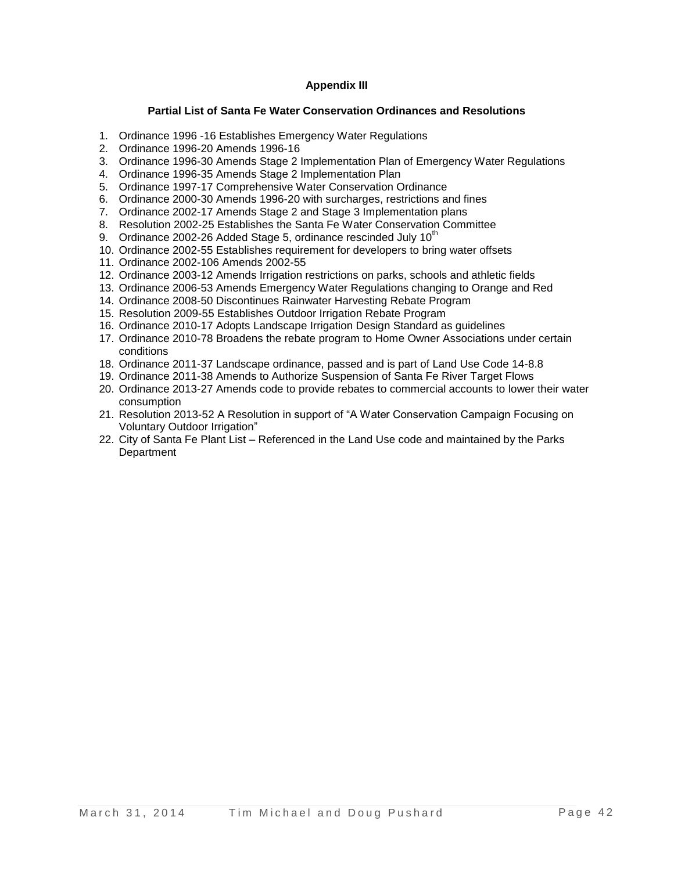## **Appendix III**

#### **Partial List of Santa Fe Water Conservation Ordinances and Resolutions**

- 1. Ordinance 1996 -16 Establishes Emergency Water Regulations
- 2. Ordinance 1996-20 Amends 1996-16
- 3. Ordinance 1996-30 Amends Stage 2 Implementation Plan of Emergency Water Regulations
- 4. Ordinance 1996-35 Amends Stage 2 Implementation Plan
- 5. Ordinance 1997-17 Comprehensive Water Conservation Ordinance
- 6. Ordinance 2000-30 Amends 1996-20 with surcharges, restrictions and fines
- 7. Ordinance 2002-17 Amends Stage 2 and Stage 3 Implementation plans
- 8. Resolution 2002-25 Establishes the Santa Fe Water Conservation Committee
- 9. Ordinance 2002-26 Added Stage 5, ordinance rescinded July  $10^{th}$
- 10. Ordinance 2002-55 Establishes requirement for developers to bring water offsets
- 11. Ordinance 2002-106 Amends 2002-55
- 12. Ordinance 2003-12 Amends Irrigation restrictions on parks, schools and athletic fields
- 13. Ordinance 2006-53 Amends Emergency Water Regulations changing to Orange and Red
- 14. Ordinance 2008-50 Discontinues Rainwater Harvesting Rebate Program
- 15. Resolution 2009-55 Establishes Outdoor Irrigation Rebate Program
- 16. Ordinance 2010-17 Adopts Landscape Irrigation Design Standard as guidelines
- 17. Ordinance 2010-78 Broadens the rebate program to Home Owner Associations under certain conditions
- 18. Ordinance 2011-37 Landscape ordinance, passed and is part of Land Use Code 14-8.8
- 19. Ordinance 2011-38 Amends to Authorize Suspension of Santa Fe River Target Flows
- 20. Ordinance 2013-27 Amends code to provide rebates to commercial accounts to lower their water consumption
- 21. Resolution 2013-52 A Resolution in support of "A Water Conservation Campaign Focusing on Voluntary Outdoor Irrigation"
- 22. City of Santa Fe Plant List Referenced in the Land Use code and maintained by the Parks **Department**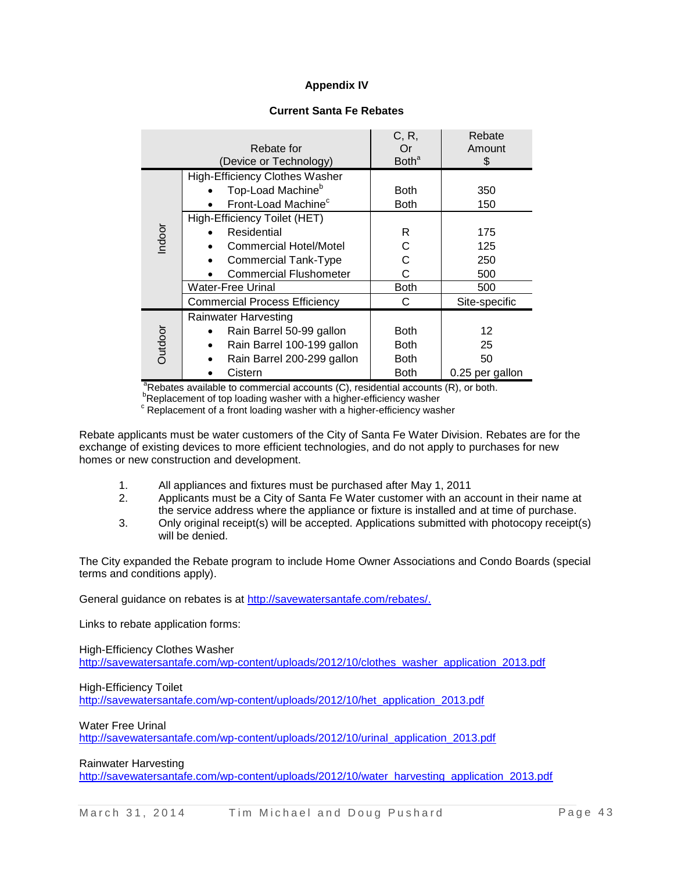## **Appendix IV**

#### **Current Santa Fe Rebates**

|                | Rebate for<br>(Device or Technology)                                                                                                         | C, R,<br>Or<br><b>Both</b> <sup>a</sup>           | Rebate<br>Amount<br>S             |
|----------------|----------------------------------------------------------------------------------------------------------------------------------------------|---------------------------------------------------|-----------------------------------|
|                | <b>High-Efficiency Clothes Washer</b><br>Top-Load Machine <sup>b</sup><br>Front-Load Machine <sup>c</sup>                                    | <b>Both</b><br><b>Both</b>                        | 350<br>150                        |
| Indoor         | High-Efficiency Toilet (HET)<br>Residential<br><b>Commercial Hotel/Motel</b><br><b>Commercial Tank-Type</b><br><b>Commercial Flushometer</b> | R<br>C<br>C<br>C                                  | 175<br>125<br>250<br>500          |
|                | Water-Free Urinal<br><b>Commercial Process Efficiency</b>                                                                                    | <b>Both</b><br>C                                  | 500<br>Site-specific              |
| <b>Dutdoor</b> | <b>Rainwater Harvesting</b><br>Rain Barrel 50-99 gallon<br>Rain Barrel 100-199 gallon<br>Rain Barrel 200-299 gallon<br>Cistern               | <b>Both</b><br><b>Both</b><br><b>Both</b><br>Both | 12<br>25<br>50<br>0.25 per gallon |

 $a^2$ Rebates available to commercial accounts (C), residential accounts (R), or both. **PReplacement of top loading washer with a higher-efficiency washer** 

<sup>c</sup> Replacement of a front loading washer with a higher-efficiency washer

Rebate applicants must be water customers of the City of Santa Fe Water Division. Rebates are for the exchange of existing devices to more efficient technologies, and do not apply to purchases for new homes or new construction and development.

- 1. All appliances and fixtures must be purchased after May 1, 2011
- 2. Applicants must be a City of Santa Fe Water customer with an account in their name at the service address where the appliance or fixture is installed and at time of purchase.
- 3. Only original receipt(s) will be accepted. Applications submitted with photocopy receipt(s) will be denied.

The City expanded the Rebate program to include Home Owner Associations and Condo Boards (special terms and conditions apply).

General guidance on rebates is at [http://savewatersantafe.com/rebates/.](http://savewatersantafe.com/rebates/)

Links to rebate application forms:

High-Efficiency Clothes Washer [http://savewatersantafe.com/wp-content/uploads/2012/10/clothes\\_washer\\_application\\_2013.pdf](http://savewatersantafe.com/wp-content/uploads/2012/10/clothes_washer_application_2013.pdf)

High-Efficiency Toilet

[http://savewatersantafe.com/wp-content/uploads/2012/10/het\\_application\\_2013.pdf](http://savewatersantafe.com/wp-content/uploads/2012/10/het_application_2013.pdf)

Water Free Urinal

[http://savewatersantafe.com/wp-content/uploads/2012/10/urinal\\_application\\_2013.pdf](http://savewatersantafe.com/wp-content/uploads/2012/10/urinal_application_2013.pdf)

Rainwater Harvesting

[http://savewatersantafe.com/wp-content/uploads/2012/10/water\\_harvesting\\_application\\_2013.pdf](http://savewatersantafe.com/wp-content/uploads/2012/10/water_harvesting_application_2013.pdf)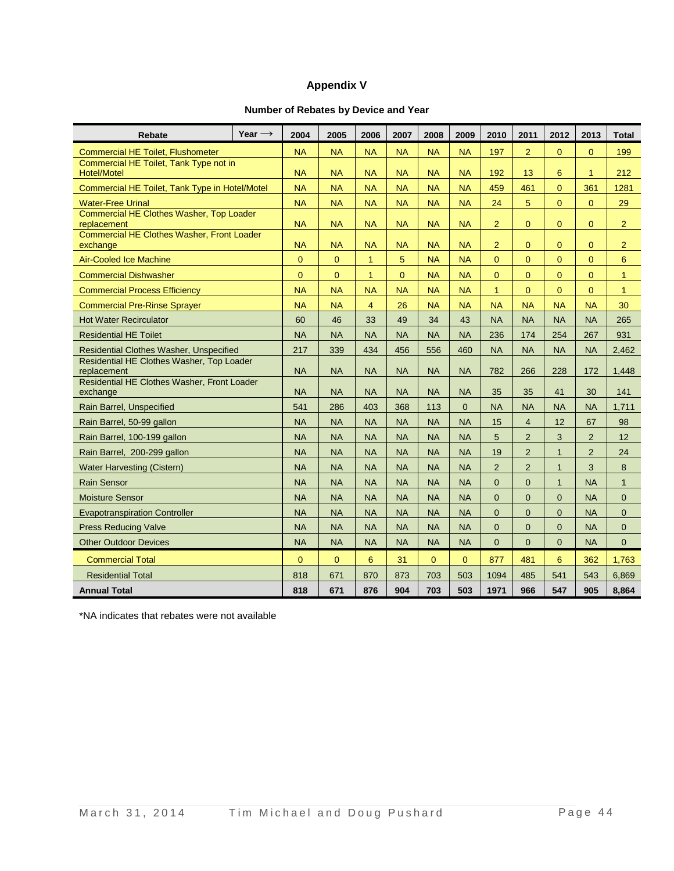## **Appendix V**

## **Number of Rebates by Device and Year**

| Rebate                                                       | Year $\rightarrow$ | 2004                   | 2005           | 2006           | 2007      | 2008         | 2009      | 2010           | 2011           | 2012           | 2013           | <b>Total</b>   |
|--------------------------------------------------------------|--------------------|------------------------|----------------|----------------|-----------|--------------|-----------|----------------|----------------|----------------|----------------|----------------|
| <b>Commercial HE Toilet, Flushometer</b>                     | <b>NA</b>          | <b>NA</b>              | <b>NA</b>      | <b>NA</b>      | <b>NA</b> | <b>NA</b>    | 197       | $\overline{2}$ | $\overline{0}$ | $\overline{0}$ | 199            |                |
| Commercial HE Toilet, Tank Type not in<br><b>Hotel/Motel</b> |                    |                        | <b>NA</b>      | <b>NA</b>      | <b>NA</b> | <b>NA</b>    | <b>NA</b> | 192            | 13             | 6              | $\mathbf{1}$   | 212            |
| Commercial HE Toilet, Tank Type in Hotel/Motel               |                    | <b>NA</b><br><b>NA</b> | <b>NA</b>      | <b>NA</b>      | <b>NA</b> | <b>NA</b>    | <b>NA</b> | 459            | 461            | $\overline{0}$ | 361            | 1281           |
| <b>Water-Free Urinal</b>                                     |                    | <b>NA</b>              | <b>NA</b>      | <b>NA</b>      | <b>NA</b> | <b>NA</b>    | <b>NA</b> | 24             | 5              | $\Omega$       | $\Omega$       | 29             |
| Commercial HE Clothes Washer, Top Loader                     |                    |                        |                |                |           |              |           |                |                |                |                |                |
| replacement<br>Commercial HE Clothes Washer, Front Loader    |                    | <b>NA</b>              | <b>NA</b>      | <b>NA</b>      | <b>NA</b> | <b>NA</b>    | <b>NA</b> | $\overline{2}$ | $\mathbf{0}$   | $\overline{0}$ | $\overline{0}$ | $\overline{2}$ |
| exchange                                                     |                    | <b>NA</b>              | <b>NA</b>      | <b>NA</b>      | <b>NA</b> | <b>NA</b>    | <b>NA</b> | $\overline{2}$ | $\mathbf{0}$   | $\overline{0}$ | $\overline{0}$ | $\overline{2}$ |
| <b>Air-Cooled Ice Machine</b>                                |                    | $\overline{0}$         | $\overline{0}$ | $\overline{1}$ | 5         | <b>NA</b>    | <b>NA</b> | $\overline{0}$ | $\overline{0}$ | $\overline{0}$ | $\overline{0}$ | 6              |
| <b>Commercial Dishwasher</b>                                 |                    | $\mathbf{0}$           | $\mathbf{0}$   | $\mathbf{1}$   | $\Omega$  | <b>NA</b>    | <b>NA</b> | $\Omega$       | $\mathbf{0}$   | $\mathbf{0}$   | $\overline{0}$ | $\mathbf{1}$   |
| <b>Commercial Process Efficiency</b>                         |                    | <b>NA</b>              | <b>NA</b>      | <b>NA</b>      | <b>NA</b> | <b>NA</b>    | <b>NA</b> | $\mathbf{1}$   | $\overline{0}$ | $\mathbf 0$    | $\mathbf 0$    | $\mathbf{1}$   |
| <b>Commercial Pre-Rinse Sprayer</b>                          |                    | <b>NA</b>              | <b>NA</b>      | $\overline{4}$ | 26        | <b>NA</b>    | <b>NA</b> | <b>NA</b>      | <b>NA</b>      | <b>NA</b>      | <b>NA</b>      | 30             |
| <b>Hot Water Recirculator</b>                                |                    | 60                     | 46             | 33             | 49        | 34           | 43        | <b>NA</b>      | <b>NA</b>      | <b>NA</b>      | <b>NA</b>      | 265            |
| <b>Residential HE Toilet</b>                                 | <b>NA</b>          | <b>NA</b>              | <b>NA</b>      | <b>NA</b>      | <b>NA</b> | <b>NA</b>    | 236       | 174            | 254            | 267            | 931            |                |
| <b>Residential Clothes Washer, Unspecified</b>               | 217                | 339                    | 434            | 456            | 556       | 460          | <b>NA</b> | <b>NA</b>      | <b>NA</b>      | <b>NA</b>      | 2,462          |                |
| Residential HE Clothes Washer, Top Loader<br>replacement     |                    |                        | <b>NA</b>      | <b>NA</b>      | <b>NA</b> | <b>NA</b>    | <b>NA</b> | 782            | 266            | 228            | 172            | 1.448          |
| Residential HE Clothes Washer, Front Loader<br>exchange      |                    |                        | <b>NA</b>      | <b>NA</b>      | <b>NA</b> | <b>NA</b>    | <b>NA</b> | 35             | 35             | 41             | 30             | 141            |
| Rain Barrel, Unspecified                                     |                    | 541                    | 286            | 403            | 368       | 113          | $\Omega$  | <b>NA</b>      | <b>NA</b>      | <b>NA</b>      | <b>NA</b>      | 1,711          |
| Rain Barrel, 50-99 gallon                                    |                    | <b>NA</b>              | <b>NA</b>      | <b>NA</b>      | <b>NA</b> | <b>NA</b>    | <b>NA</b> | 15             | $\overline{4}$ | 12             | 67             | 98             |
| Rain Barrel, 100-199 gallon                                  |                    | <b>NA</b>              | <b>NA</b>      | <b>NA</b>      | <b>NA</b> | <b>NA</b>    | <b>NA</b> | 5              | $\overline{2}$ | 3              | $\overline{2}$ | 12             |
| Rain Barrel, 200-299 gallon                                  |                    | <b>NA</b>              | <b>NA</b>      | <b>NA</b>      | <b>NA</b> | <b>NA</b>    | <b>NA</b> | 19             | $\overline{2}$ | $\mathbf{1}$   | $\overline{2}$ | 24             |
| <b>Water Harvesting (Cistern)</b>                            |                    | <b>NA</b>              | <b>NA</b>      | <b>NA</b>      | <b>NA</b> | <b>NA</b>    | <b>NA</b> | $\overline{2}$ | $\overline{2}$ | $\mathbf{1}$   | 3              | 8              |
| <b>Rain Sensor</b>                                           |                    |                        | <b>NA</b>      | <b>NA</b>      | <b>NA</b> | <b>NA</b>    | <b>NA</b> | $\overline{0}$ | $\overline{0}$ | $\mathbf{1}$   | <b>NA</b>      | $\mathbf{1}$   |
| <b>Moisture Sensor</b>                                       |                    |                        | <b>NA</b>      | <b>NA</b>      | <b>NA</b> | <b>NA</b>    | <b>NA</b> | $\overline{0}$ | $\overline{0}$ | $\overline{0}$ | <b>NA</b>      | $\mathbf{0}$   |
| <b>Evapotranspiration Controller</b>                         |                    |                        | <b>NA</b>      | <b>NA</b>      | <b>NA</b> | <b>NA</b>    | <b>NA</b> | $\overline{0}$ | $\mathbf{0}$   | $\Omega$       | <b>NA</b>      | $\mathbf{0}$   |
| <b>Press Reducing Valve</b>                                  |                    |                        | <b>NA</b>      | <b>NA</b>      | <b>NA</b> | <b>NA</b>    | <b>NA</b> | $\Omega$       | $\mathbf{0}$   | $\overline{0}$ | <b>NA</b>      | $\mathbf{0}$   |
| <b>Other Outdoor Devices</b>                                 |                    |                        | <b>NA</b>      | <b>NA</b>      | <b>NA</b> | <b>NA</b>    | <b>NA</b> | $\Omega$       | $\overline{0}$ | $\overline{0}$ | <b>NA</b>      | $\overline{0}$ |
| <b>Commercial Total</b>                                      |                    | $\overline{0}$         | $\overline{0}$ | 6              | 31        | $\mathbf{0}$ | $\Omega$  | 877            | 481            | 6              | 362            | 1,763          |
| <b>Residential Total</b>                                     |                    | 818                    | 671            | 870            | 873       | 703          | 503       | 1094           | 485            | 541            | 543            | 6,869          |
| <b>Annual Total</b>                                          |                    | 818                    | 671            | 876            | 904       | 703          | 503       | 1971           | 966            | 547            | 905            | 8,864          |

\*NA indicates that rebates were not available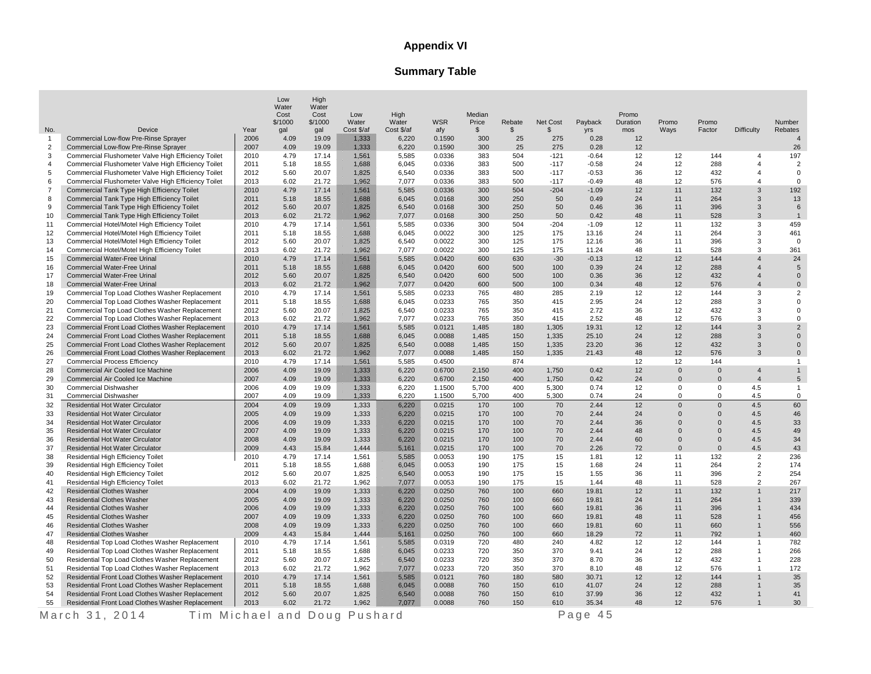## **Appendix VI**

# **Summary Table**

|                       |                                                                        |              | Low<br>Water<br>Cost | High<br>Water<br>Cost | Low                 | High                |                   | Median                |              |                |                       | Promo           |                      |                      |                   |                   |
|-----------------------|------------------------------------------------------------------------|--------------|----------------------|-----------------------|---------------------|---------------------|-------------------|-----------------------|--------------|----------------|-----------------------|-----------------|----------------------|----------------------|-------------------|-------------------|
|                       | Device                                                                 | Year         | \$/1000<br>qal       | \$/1000<br>qal        | Water<br>Cost \$/af | Water<br>Cost \$/af | <b>WSR</b><br>afy | Price<br>$\mathbb{S}$ | Rebate<br>\$ | Net Cost<br>\$ | Payback<br><b>yrs</b> | Duration<br>mos | Promo<br>Ways        | Promo<br>Factor      | <b>Difficulty</b> | Number<br>Rebates |
| No.<br>$\overline{1}$ | Commercial Low-flow Pre-Rinse Sprayer                                  | 2006         | 4.09                 | 19.09                 | 1333                | 6,220               | 0.1590            | 300                   | 25           | 275            | 0.28                  | 12              |                      |                      |                   | $\overline{4}$    |
| $\overline{2}$        | Commercial Low-flow Pre-Rinse Sprayer                                  | 2007         | 4.09                 | 19.09                 | 1,333               | 6,220               | 0.1590            | 300                   | 25           | 275            | 0.28                  | 12              |                      |                      |                   | 26                |
| 3                     | Commercial Flushometer Valve High Efficiency Toilet                    | 2010         | 4.79                 | 17.14                 | 1,561               | 5,585               | 0.0336            | 383                   | 504          | $-121$         | $-0.64$               | 12              | 12                   | 144                  | $\overline{4}$    | 197               |
| 4                     | Commercial Flushometer Valve High Efficiency Toilet                    | 2011         | 5.18                 | 18.55                 | 1,688               | 6,045               | 0.0336            | 383                   | 500          | $-117$         | $-0.58$               | 24              | 12                   | 288                  | $\overline{4}$    | $\overline{2}$    |
| 5                     | Commercial Flushometer Valve High Efficiency Toilet                    | 2012         | 5.60                 | 20.07                 | 1.825               | 6,540               | 0.0336            | 383                   | 500          | $-117$         | $-0.53$               | 36              | 12                   | 432                  | $\overline{4}$    | $\Omega$          |
| 6                     | Commercial Flushometer Valve High Efficiency Toilet                    | 2013         | 6.02                 | 21.72                 | 1,962               | 7,077               | 0.0336            | 383                   | 500          | $-117$         | $-0.49$               | 48              | 12                   | 576                  | $\overline{4}$    | $\mathbf 0$       |
| $\overline{7}$        | Commercial Tank Type High Efficiency Toilet                            | 2010         | 4.79                 | 17.14                 | 1,561               | 5,585               | 0.0336            | 300                   | 504          | $-204$         | $-1.09$               | 12              | 11                   | 132                  | 3                 | 192               |
| 8                     | Commercial Tank Type High Efficiency Toilet                            | 2011         | 5.18                 | 18.55                 | 1,688               | 6,045               | 0.0168            | 300                   | 250          | 50             | 0.49                  | 24              | 11                   | 264                  | 3                 | 13                |
| 9                     | Commercial Tank Type High Efficiency Toilet                            | 2012         | 5.60                 | 20.07                 | 1,825               | 6,540               | 0.0168            | 300                   | 250          | 50             | 0.46                  | 36              | 11                   | 396                  | 3                 | 6                 |
| 10                    | Commercial Tank Type High Efficiency Toilet                            | 2013         | 6.02                 | 21.72                 | 1,962               | 7,077               | 0.0168            | 300                   | 250          | 50             | 0.42                  | 48              | 11                   | 528                  | 3                 | $\overline{1}$    |
| 11                    | Commercial Hotel/Motel High Efficiency Toilet                          | 2010         | 4.79                 | 17.14                 | 1,561               | 5,585               | 0.0336            | 300                   | 504          | $-204$         | $-1.09$               | 12              | 11                   | 132                  | 3                 | 459               |
| 12                    | Commercial Hotel/Motel High Efficiency Toilet                          | 2011         | 5.18                 | 18.55                 | 1,688               | 6,045               | 0.0022            | 300                   | 125          | 175            | 13.16                 | 24              | 11                   | 264                  | 3                 | 461               |
| 13                    | Commercial Hotel/Motel High Efficiency Toilet                          | 2012         | 5.60                 | 20.07                 | 1.825               | 6,540               | 0.0022            | 300                   | 125          | 175            | 12.16                 | 36              | 11                   | 396                  | 3                 | $\mathbf 0$       |
| 14                    | Commercial Hotel/Motel High Efficiency Toilet                          | 2013         | 6.02                 | 21.72                 | 1962                | 7,077               | 0.0022            | 300                   | 125          | 175            | 11.24                 | 48              | 11                   | 528                  | 3                 | 361               |
| 15                    | Commercial Water-Free Urinal                                           | 2010         | 4.79                 | 17.14                 | 1,561               | 5,585               | 0.0420            | 600                   | 630          | $-30$          | $-0.13$               | 12              | 12                   | 144                  | $\overline{4}$    | 24                |
| 16                    | <b>Commercial Water-Free Urinal</b>                                    | 2011         | 5.18                 | 18.55                 | 1.688               | 6,045               | 0.0420            | 600                   | 500          | 100            | 0.39                  | 24              | 12                   | 288                  | $\overline{4}$    | 5                 |
| 17                    | <b>Commercial Water-Free Urinal</b>                                    | 2012         | 5.60                 | 20.07                 | 1.825               | 6,540               | 0.0420            | 600                   | 500          | 100            | 0.36                  | 36              | 12                   | 432                  | $\overline{4}$    | $\Omega$          |
| 18                    | <b>Commercial Water-Free Urinal</b>                                    | 2013         | 6.02                 | 21.72                 | 1,962               | 7,077               | 0.0420            | 600                   | 500          | 100            | 0.34                  | 48              | 12                   | 576                  | $\overline{4}$    | $\mathbf 0$       |
| 19                    | Commercial Top Load Clothes Washer Replacement                         | 2010         | 4.79                 | 17.14                 | 1,561               | 5,585               | 0.0233            | 765                   | 480          | 285            | 2.19                  | 12              | 12                   | 144                  | 3                 | $\overline{2}$    |
| 20                    | Commercial Top Load Clothes Washer Replacement                         | 2011         | 5.18                 | 18.55                 | 1,688               | 6,045               | 0.0233            | 765                   | 350          | 415            | 2.95                  | 24              | 12                   | 288                  | 3                 | $\mathbf 0$       |
| 21                    | Commercial Top Load Clothes Washer Replacement                         | 2012         | 5.60                 | 20.07                 | 1.825               | 6.540               | 0.0233            | 765                   | 350          | 415            | 2.72                  | 36              | 12                   | 432                  | 3                 | $\mathbf 0$       |
| 22                    | Commercial Top Load Clothes Washer Replacement                         | 2013         | 6.02                 | 21.72                 | 1,962               | 7,077               | 0.0233            | 765                   | 350          | 415            | 2.52                  | 48              | 12                   | 576                  | 3                 | $\mathbf 0$       |
| 23                    | Commercial Front Load Clothes Washer Replacement                       | 2010         | 4.79                 | 17.14                 | 1,561               | 5,585               | 0.0121            | 1,485                 | 180          | 1,305          | 19.31                 | 12              | 12                   | 144                  | 3                 | $\overline{2}$    |
| 24                    | Commercial Front Load Clothes Washer Replacement                       | 2011         | 5.18                 | 18.55                 | 1,688               | 6,045               | 0.0088            | 1,485                 | 150          | 1,335          | 25.10                 | 24              | 12                   | 288                  | 3                 | $\mathbf 0$       |
| 25                    | Commercial Front Load Clothes Washer Replacement                       | 2012         | 5.60                 | 20.07                 | 1,825               | 6,540               | 0.0088            | 1,485                 | 150          | 1,335          | 23.20                 | 36              | 12                   | 432                  | 3                 | $\mathbf 0$       |
| 26                    | Commercial Front Load Clothes Washer Replacement                       | 2013         | 6.02                 | 21.72                 | 1,962               | 7,077               | 0.0088            | 1,485                 | 150          | 1,335          | 21.43                 | 48              | 12                   | 576                  | 3                 | $\mathbf 0$       |
| 27                    | <b>Commercial Process Efficiency</b>                                   | 2010         | 4.79                 | 17.14                 | 1.561               | 5,585               | 0.4500            |                       | 874          |                |                       | 12              | 12                   | 144                  |                   | $\mathbf{1}$      |
| 28                    | Commercial Air Cooled Ice Machine                                      | 2006         | 4.09                 | 19.09                 | 1333                | 6,220               | 0.6700            | 2,150                 | 400          | 1,750          | 0.42                  | 12              | $\mathbf{0}$         | $\mathbf 0$          | $\overline{4}$    | $\mathbf{1}$      |
| 29                    | Commercial Air Cooled Ice Machine                                      | 2007         | 4.09                 | 19.09                 | 1,333               | 6,220               | 0.6700            | 2,150                 | 400          | 1,750          | 0.42                  | 24              | $\mathbf{0}$         | $\mathbf 0$          | $\overline{4}$    | 5                 |
| 30                    | <b>Commercial Dishwasher</b>                                           | 2006         | 4.09                 | 19.09                 | 1,333               | 6,220               | 1.1500            | 5,700                 | 400          | 5,300          | 0.74                  | 12              | $\mathsf 0$          | 0                    | 4.5               | $\mathbf{1}$      |
| 31                    | <b>Commercial Dishwasher</b>                                           | 2007         | 4.09                 | 19.09                 | 1,333               | 6,220               | 1.1500            | 5,700                 | 400          | 5,300          | 0.74                  | 24              | 0                    | 0                    | 4.5               | $\mathbf 0$       |
| 32                    | <b>Residential Hot Water Circulator</b>                                | 2004         | 4.09                 | 19.09                 | 1,333               | 6.220               | 0.0215            | 170                   | 100          | 70             | 2.44                  | 12              | $\Omega$             | $\Omega$             | 4.5               | 60                |
| 33                    | <b>Residential Hot Water Circulator</b>                                | 2005         | 4.09                 | 19.09                 | 1,333               | 6,220               | 0.0215            | 170                   | 100          | 70             | 2.44                  | 24              | $\Omega$             | $\mathbf{0}$         | 4.5               | 46                |
| 34<br>35              | Residential Hot Water Circulator                                       | 2006         | 4.09<br>4.09         | 19.09                 | 1,333               | 6,220               | 0.0215            | 170                   | 100          | 70             | 2.44                  | 36<br>48        | $\Omega$<br>$\Omega$ | $\Omega$<br>$\Omega$ | 4.5<br>4.5        | 33<br>49          |
|                       | Residential Hot Water Circulator                                       | 2007         |                      | 19.09                 | 1,333               | 6,220               | 0.0215            | 170                   | 100          | 70             | 2.44                  |                 | $\mathbf{0}$         | $\mathbf{0}$         | 4.5               |                   |
| 36<br>37              | <b>Residential Hot Water Circulator</b>                                | 2008<br>2009 | 4.09<br>4.43         | 19.09<br>15.84        | 1,333<br>1,444      | 6,220               | 0.0215<br>0.0215  | 170<br>170            | 100<br>100   | 70<br>70       | 2.44<br>2.26          | 60<br>72        | $\mathbf{0}$         | $\mathbf{0}$         | 4.5               | 34<br>43          |
| 38                    | Residential Hot Water Circulator<br>Residential High Efficiency Toilet | 2010         | 4.79                 | 17.14                 | 1,561               | 5,161<br>5.585      | 0.0053            | 190                   | 175          | 15             | 1.81                  | 12              | 11                   | 132                  | $\overline{2}$    | 236               |
| 39                    | Residential High Efficiency Toilet                                     | 2011         | 5.18                 | 18.55                 | 1,688               | 6,045               | 0.0053            | 190                   | 175          | 15             | 1.68                  | 24              | 11                   | 264                  | 2                 | 174               |
| 40                    | Residential High Efficiency Toilet                                     | 2012         | 5.60                 | 20.07                 | 1,825               | 6,540               | 0.0053            | 190                   | 175          | 15             | 1.55                  | 36              | 11                   | 396                  | $\overline{2}$    | 254               |
| 41                    | Residential High Efficiency Toilet                                     | 2013         | 6.02                 | 21.72                 | 1,962               | 7.077               | 0.0053            | 190                   | 175          | 15             | 1.44                  | 48              | 11                   | 528                  | 2                 | 267               |
| 42                    | <b>Residential Clothes Washer</b>                                      | 2004         | 4.09                 | 19.09                 | 1,333               | 6,220               | 0.0250            | 760                   | 100          | 660            | 19.81                 | 12              | 11                   | 132                  | $\mathbf{1}$      | 217               |
| 43                    | <b>Residential Clothes Washer</b>                                      | 2005         | 4.09                 | 19.09                 | 1.333               | 6,220               | 0.0250            | 760                   | 100          | 660            | 19.81                 | 24              | 11                   | 264                  |                   | 339               |
| 44                    | <b>Residential Clothes Washer</b>                                      | 2006         | 4.09                 | 19.09                 | 1,333               | 6,220               | 0.0250            | 760                   | 100          | 660            | 19.81                 | 36              | 11                   | 396                  |                   | 434               |
| 45                    | <b>Residential Clothes Washer</b>                                      | 2007         | 4.09                 | 19.09                 | 1,333               | 6,220               | 0.0250            | 760                   | 100          | 660            | 19.81                 | 48              | 11                   | 528                  |                   | 456               |
| 46                    | <b>Residential Clothes Washer</b>                                      | 2008         | 4.09                 | 19.09                 | 1,333               | 6,220               | 0.0250            | 760                   | 100          | 660            | 19.81                 | 60              | 11                   | 660                  |                   | 556               |
| 47                    | <b>Residential Clothes Washer</b>                                      | 2009         | 4.43                 | 15.84                 | 1,444               | 5.161               | 0.0250            | 760                   | 100          | 660            | 18.29                 | 72              | 11                   | 792                  |                   | 460               |
| 48                    | Residential Top Load Clothes Washer Replacement                        | 2010         | 4.79                 | 17.14                 | 1,561               | 5.585               | 0.0319            | 720                   | 480          | 240            | 4.82                  | 12              | 12                   | 144                  | $\mathbf{1}$      | 782               |
| 49                    | Residential Top Load Clothes Washer Replacement                        | 2011         | 5.18                 | 18.55                 | 1,688               | 6,045               | 0.0233            | 720                   | 350          | 370            | 9.41                  | 24              | 12                   | 288                  | $\mathbf{1}$      | 266               |
| 50                    | Residential Top Load Clothes Washer Replacement                        | 2012         | 5.60                 | 20.07                 | 1,825               | 6,540               | 0.0233            | 720                   | 350          | 370            | 8.70                  | 36              | 12                   | 432                  |                   | 228               |
| 51                    | Residential Top Load Clothes Washer Replacement                        | 2013         | 6.02                 | 21.72                 | 1,962               | 7077                | 0.0233            | 720                   | 350          | 370            | 8.10                  | 48              | 12                   | 576                  | $\overline{1}$    | 172               |
| 52                    | Residential Front Load Clothes Washer Replacement                      | 2010         | 4.79                 | 17.14                 | 1,561               | 5,585               | 0.0121            | 760                   | 180          | 580            | 30.71                 | 12              | 12                   | 144                  |                   | 35                |
| 53                    | Residential Front Load Clothes Washer Replacement                      | 2011         | 5.18                 | 18.55                 | 1,688               | 6,045               | 0.0088            | 760                   | 150          | 610            | 41.07                 | 24              | 12                   | 288                  |                   | 35                |
| 54                    | Residential Front Load Clothes Washer Replacement                      | 2012         | 5.60                 | 20.07                 | 1,825               | 6,540               | 0.0088            | 760                   | 150          | 610            | 37.99                 | 36              | 12                   | 432                  |                   | 41                |
| 55                    | Residential Front Load Clothes Washer Replacement                      | 2013         | 6.02                 | 21.72                 | 1,962               | 7.077               | 0.0088            | 760                   | 150          | 610            | 35.34                 | 48              | 12                   | 576                  | $\mathbf{1}$      | 30                |

M a r c h 3 1 , 2 0 1 4 T i m M i c h a e l a n d D o u g P u s h a r d P a g e 4 5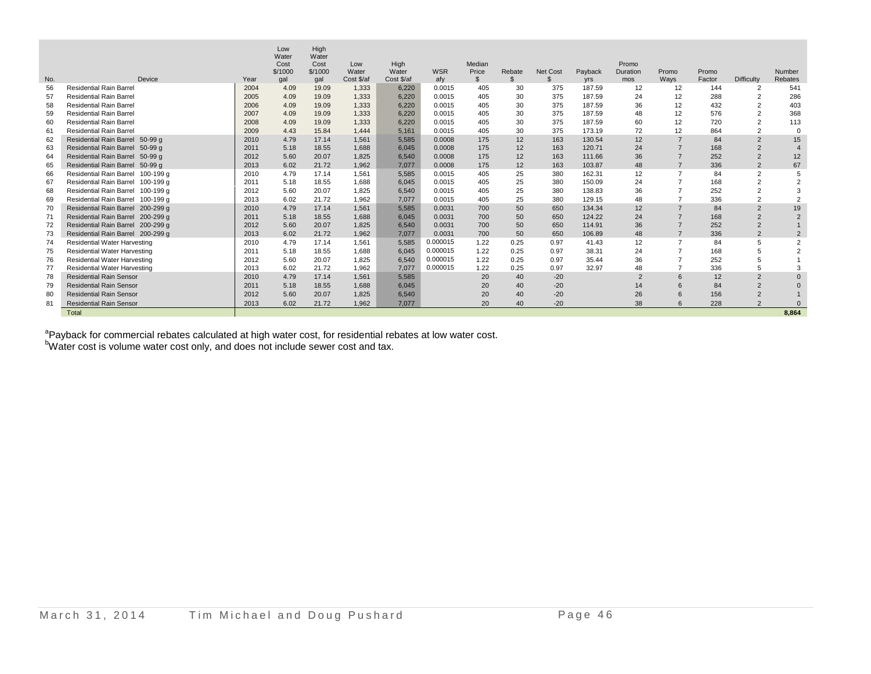|     |                                     |      | Low<br>Water | High<br>Water |            |            |            |              |                |                 |                  |                |                                  |            |                   |                |
|-----|-------------------------------------|------|--------------|---------------|------------|------------|------------|--------------|----------------|-----------------|------------------|----------------|----------------------------------|------------|-------------------|----------------|
|     |                                     |      | Cost         | Cost          | Low        | High       |            | Median       |                |                 |                  | Promo          |                                  |            |                   |                |
|     |                                     |      | \$/1000      | \$/1000       | Water      | Water      | <b>WSR</b> | Price        | Rebate         | <b>Net Cost</b> | Payback          | Duration       | Promo                            | Promo      |                   | Number         |
| No. | Device                              | Year | gal          | gal           | Cost \$/af | Cost \$/af | afy        | $\mathbb{S}$ | $\mathfrak{L}$ | $\mathfrak{L}$  | <b>yrs</b>       | mos            | Ways                             | Factor     | <b>Difficulty</b> | Rebates        |
| 56  | <b>Residential Rain Barrel</b>      | 2004 | 4.09         | 19.09         | 1,333      | 6,220      | 0.0015     | 405          | 30             | 375             | 187.59           | 12             | 12                               | 144        | $\overline{2}$    | 541            |
| 57  | <b>Residential Rain Barrel</b>      | 2005 | 4.09         | 19.09         | 1,333      | 6,220      | 0.0015     | 405          | 30             | 375             | 187.59           | 24             | 12                               | 288        | $\overline{2}$    | 286            |
| 58  | <b>Residential Rain Barrel</b>      | 2006 | 4.09         | 19.09         | 1.333      | 6,220      | 0.0015     | 405          | 30             | 375             | 187.59<br>187.59 | 36             | 12                               | 432<br>576 | $\overline{2}$    | 403            |
| 59  | <b>Residential Rain Barrel</b>      | 2007 | 4.09         | 19.09         | 1,333      | 6,220      | 0.0015     | 405          | 30             | 375             |                  | 48             | 12                               |            | $\overline{2}$    | 368            |
| 60  | <b>Residential Rain Barrel</b>      | 2008 | 4.09         | 19.09         | 1.333      | 6.220      | 0.0015     | 405          | 30             | 375             | 187.59           | 60             | 12                               | 720        | $\overline{2}$    | 113            |
| 61  | <b>Residential Rain Barrel</b>      | 2009 | 4.43         | 15.84         | 1.444      | 5.161      | 0.0015     | 405          | 30             | 375             | 173.19           | 72             | 12                               | 864        | $\overline{2}$    | $\Omega$       |
| 62  | Residential Rain Barrel 50-99 q     | 2010 | 4.79         | 17.14         | 1,561      | 5.585      | 0.0008     | 175          | 12             | 163             | 130.54           | 12             | $\overline{7}$                   | 84         | $\overline{2}$    | 15             |
| 63  | Residential Rain Barrel 50-99 g     | 2011 | 5.18         | 18.55         | 1.688      | 6.045      | 0.0008     | 175          | 12             | 163             | 120.71           | 24             | $\overline{7}$<br>$\overline{7}$ | 168        | $\overline{2}$    | $\overline{4}$ |
| 64  | Residential Rain Barrel 50-99 q     | 2012 | 5.60         | 20.07         | 1.825      | 6.540      | 0.0008     | 175          | 12             | 163             | 111.66           | 36             |                                  | 252        | $\overline{2}$    | 12             |
| 65  | Residential Rain Barrel 50-99 g     | 2013 | 6.02         | 21.72         | 1,962      | 7.077      | 0.0008     | 175          | 12             | 163             | 103.87           | 48             | $\overline{7}$                   | 336        | $\overline{2}$    | 67             |
| 66  | Residential Rain Barrel 100-199 q   | 2010 | 4.79         | 17.14         | 1,561      | 5.585      | 0.0015     | 405          | 25             | 380             | 162.31           | 12             | $\overline{7}$                   | 84         | $\overline{2}$    | 5              |
| 67  | Residential Rain Barrel 100-199 g   | 2011 | 5.18         | 18.55         | 1.688      | 6.045      | 0.0015     | 405          | 25             | 380             | 150.09           | 24             |                                  | 168        | $\overline{2}$    | $\overline{2}$ |
| 68  | Residential Rain Barrel 100-199 g   | 2012 | 5.60         | 20.07         | 1.825      | 6.540      | 0.0015     | 405          | 25             | 380             | 138.83           | 36             |                                  | 252        | $\overline{2}$    | 3              |
| 69  | Residential Rain Barrel 100-199 g   | 2013 | 6.02         | 21.72         | 1.962      | 7.077      | 0.0015     | 405          | 25             | 380             | 129.15           | 48             | $\overline{7}$                   | 336        | $\overline{2}$    | $\overline{2}$ |
| 70  | Residential Rain Barrel 200-299 g   | 2010 | 4.79         | 17.14         | 1,561      | 5,585      | 0.0031     | 700          | 50             | 650             | 134.34           | 12             | $\overline{7}$                   | 84         | 2                 | 19             |
| 71  | Residential Rain Barrel 200-299 q   | 2011 | 5.18         | 18.55         | 1.688      | 6.045      | 0.0031     | 700          | 50             | 650             | 124.22           | 24             | $\overline{7}$                   | 168        | $\overline{2}$    | $\overline{2}$ |
| 72  | Residential Rain Barrel 200-299 g   | 2012 | 5.60         | 20.07         | 1.825      | 6,540      | 0.0031     | 700          | 50             | 650             | 114.91           | 36             | $\overline{7}$                   | 252        | $\overline{2}$    |                |
| 73  | Residential Rain Barrel 200-299 q   | 2013 | 6.02         | 21.72         | 1,962      | 7.077      | 0.0031     | 700          | 50             | 650             | 106.89           | 48             | $\overline{7}$                   | 336        | $\overline{2}$    | $\overline{2}$ |
| 74  | <b>Residential Water Harvesting</b> | 2010 | 4.79         | 17.14         | 1,561      | 5.585      | 0.000015   | 1.22         | 0.25           | 0.97            | 41.43            | 12             | $\overline{7}$                   | 84         | 5                 | $\overline{2}$ |
| 75  | <b>Residential Water Harvesting</b> | 2011 | 5.18         | 18.55         | 1.688      | 6.045      | 0.000015   | 1.22         | 0.25           | 0.97            | 38.31            | 24             | $\overline{7}$                   | 168        | 5                 | $\overline{2}$ |
| 76  | <b>Residential Water Harvesting</b> | 2012 | 5.60         | 20.07         | 1.825      | 6,540      | 0.000015   | 1.22         | 0.25           | 0.97            | 35.44            | 36             |                                  | 252        | 5                 |                |
| -77 | <b>Residential Water Harvesting</b> | 2013 | 6.02         | 21.72         | 1.962      | 7.077      | 0.000015   | 1.22         | 0.25           | 0.97            | 32.97            | 48             | $\overline{7}$                   | 336        | 5                 | 3              |
| 78  | <b>Residential Rain Sensor</b>      | 2010 | 4.79         | 17.14         | 1,561      | 5,585      |            | 20           | 40             | $-20$           |                  | $\overline{2}$ | 6                                | 12         | 2                 | $\Omega$       |
| 79  | <b>Residential Rain Sensor</b>      | 2011 | 5.18         | 18.55         | 1,688      | 6.045      |            | 20           | 40             | $-20$           |                  | 14             | 6                                | 84         | $\overline{2}$    | $\Omega$       |
| 80  | <b>Residential Rain Sensor</b>      | 2012 | 5.60         | 20.07         | 1,825      | 6.540      |            | 20           | 40             | $-20$           |                  | 26             | 6                                | 156        | $\overline{2}$    |                |
| 81  | <b>Residential Rain Sensor</b>      | 2013 | 6.02         | 21.72         | 1.962      | 7.077      |            | 20           | 40             | $-20$           |                  | 38             | 6                                | 228        | $\mathcal{P}$     | $\Omega$       |
|     | Total                               |      |              |               |            |            |            |              |                |                 |                  |                |                                  |            |                   | 8.864          |

<sup>a</sup> Payback for commercial rebates calculated at high water cost, for residential rebates at low water cost.  $b$ Water cost is volume water cost only, and does not include sewer cost and tax.